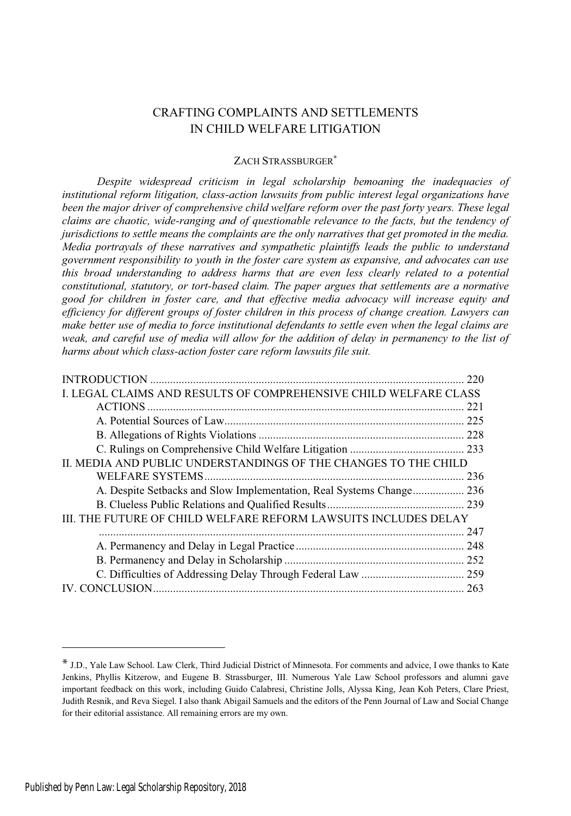# CRAFTING COMPLAINTS AND SETTLEMENTS IN CHILD WELFARE LITIGATION

# ZACH STRASSBURGER\*

*Despite widespread criticism in legal scholarship bemoaning the inadequacies of institutional reform litigation, class-action lawsuits from public interest legal organizations have been the major driver of comprehensive child welfare reform over the past forty years. These legal claims are chaotic, wide-ranging and of questionable relevance to the facts, but the tendency of jurisdictions to settle means the complaints are the only narratives that get promoted in the media. Media portrayals of these narratives and sympathetic plaintiffs leads the public to understand government responsibility to youth in the foster care system as expansive, and advocates can use this broad understanding to address harms that are even less clearly related to a potential constitutional, statutory, or tort-based claim. The paper argues that settlements are a normative good for children in foster care, and that effective media advocacy will increase equity and efficiency for different groups of foster children in this process of change creation. Lawyers can make better use of media to force institutional defendants to settle even when the legal claims are weak, and careful use of media will allow for the addition of delay in permanency to the list of harms about which class-action foster care reform lawsuits file suit.*

|                                                                  | 220 |
|------------------------------------------------------------------|-----|
| I. LEGAL CLAIMS AND RESULTS OF COMPREHENSIVE CHILD WELFARE CLASS |     |
|                                                                  | 221 |
|                                                                  |     |
|                                                                  |     |
|                                                                  |     |
| II. MEDIA AND PUBLIC UNDERSTANDINGS OF THE CHANGES TO THE CHILD  |     |
|                                                                  |     |
|                                                                  |     |
|                                                                  |     |
| III. THE FUTURE OF CHILD WELFARE REFORM LAWSUITS INCLUDES DELAY  |     |
|                                                                  | 247 |
|                                                                  |     |
|                                                                  |     |
|                                                                  |     |
|                                                                  |     |

<sup>\*</sup> J.D., Yale Law School. Law Clerk, Third Judicial District of Minnesota. For comments and advice, <sup>I</sup> owe thanks to Kate Jenkins, Phyllis Kitzerow, and Eugene B. Strassburger, III. Numerous Yale Law School professors and alumni gave important feedback on this work, including Guido Calabresi, Christine Jolls, Alyssa King, Jean Koh Peters, Clare Priest, Judith Resnik, and Reva Siegel. I also thank Abigail Samuels and the editors of the Penn Journal of Law and Social Change for their editorial assistance. All remaining errors are my own.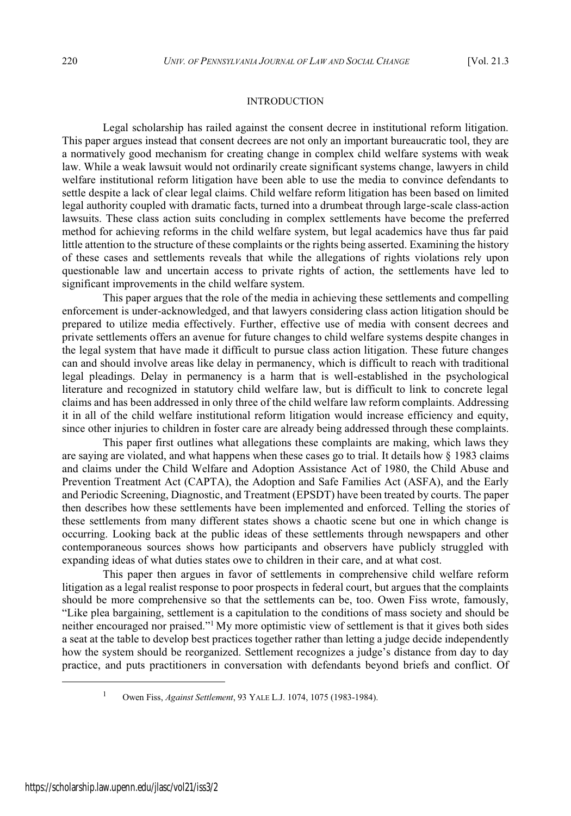#### INTRODUCTION

Legal scholarship has railed against the consent decree in institutional reform litigation. This paper argues instead that consent decrees are not only an important bureaucratic tool, they are a normatively good mechanism for creating change in complex child welfare systems with weak law. While a weak lawsuit would not ordinarily create significant systems change, lawyers in child welfare institutional reform litigation have been able to use the media to convince defendants to settle despite a lack of clear legal claims. Child welfare reform litigation has been based on limited legal authority coupled with dramatic facts, turned into a drumbeat through large-scale class-action lawsuits. These class action suits concluding in complex settlements have become the preferred method for achieving reforms in the child welfare system, but legal academics have thus far paid little attention to the structure of these complaints or the rights being asserted. Examining the history of these cases and settlements reveals that while the allegations of rights violations rely upon questionable law and uncertain access to private rights of action, the settlements have led to significant improvements in the child welfare system.

This paper argues that the role of the media in achieving these settlements and compelling enforcement is under-acknowledged, and that lawyers considering class action litigation should be prepared to utilize media effectively. Further, effective use of media with consent decrees and private settlements offers an avenue for future changes to child welfare systems despite changes in the legal system that have made it difficult to pursue class action litigation. These future changes can and should involve areas like delay in permanency, which is difficult to reach with traditional legal pleadings. Delay in permanency is a harm that is well-established in the psychological literature and recognized in statutory child welfare law, but is difficult to link to concrete legal claims and has been addressed in only three of the child welfare law reform complaints. Addressing it in all of the child welfare institutional reform litigation would increase efficiency and equity, since other injuries to children in foster care are already being addressed through these complaints.

This paper first outlines what allegations these complaints are making, which laws they are saying are violated, and what happens when these cases go to trial. It details how § 1983 claims and claims under the Child Welfare and Adoption Assistance Act of 1980, the Child Abuse and Prevention Treatment Act (CAPTA), the Adoption and Safe Families Act (ASFA), and the Early and Periodic Screening, Diagnostic, and Treatment (EPSDT) have been treated by courts. The paper then describes how these settlements have been implemented and enforced. Telling the stories of these settlements from many different states shows a chaotic scene but one in which change is occurring. Looking back at the public ideas of these settlements through newspapers and other contemporaneous sources shows how participants and observers have publicly struggled with expanding ideas of what duties states owe to children in their care, and at what cost.

This paper then argues in favor of settlements in comprehensive child welfare reform litigation as a legal realist response to poor prospects in federal court, but argues that the complaints should be more comprehensive so that the settlements can be, too. Owen Fiss wrote, famously, "Like plea bargaining, settlement is a capitulation to the conditions of mass society and should be neither encouraged nor praised."<sup>1</sup> My more optimistic view of settlement is that it gives both sides a seat at the table to develop best practices together rather than letting a judge decide independently how the system should be reorganized. Settlement recognizes a judge's distance from day to day practice, and puts practitioners in conversation with defendants beyond briefs and conflict. Of

<sup>1</sup> Owen Fiss, *Against Settlement*, 93 YALE L.J. 1074, 1075 (1983-1984).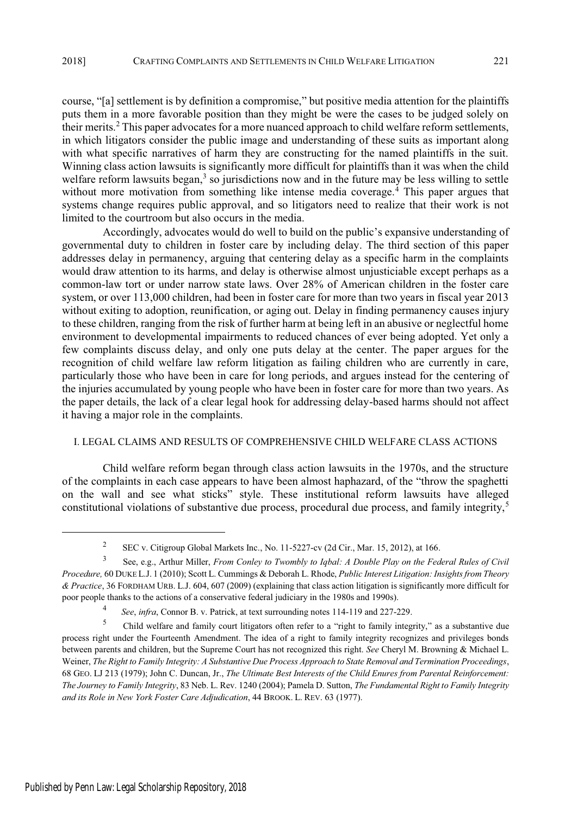course, "[a] settlement is by definition a compromise," but positive media attention for the plaintiffs puts them in a more favorable position than they might be were the cases to be judged solely on their merits.<sup>2</sup> This paper advocates for a more nuanced approach to child welfare reform settlements, in which litigators consider the public image and understanding of these suits as important along with what specific narratives of harm they are constructing for the named plaintiffs in the suit. Winning class action lawsuits is significantly more difficult for plaintiffs than it was when the child welfare reform lawsuits began,<sup>3</sup> so jurisdictions now and in the future may be less willing to settle without more motivation from something like intense media coverage.<sup>4</sup> This paper argues that systems change requires public approval, and so litigators need to realize that their work is not limited to the courtroom but also occurs in the media.

Accordingly, advocates would do well to build on the public's expansive understanding of governmental duty to children in foster care by including delay. The third section of this paper addresses delay in permanency, arguing that centering delay as a specific harm in the complaints would draw attention to its harms, and delay is otherwise almost unjusticiable except perhaps as a common-law tort or under narrow state laws. Over 28% of American children in the foster care system, or over 113,000 children, had been in foster care for more than two years in fiscal year 2013 without exiting to adoption, reunification, or aging out. Delay in finding permanency causes injury to these children, ranging from the risk of further harm at being left in an abusive or neglectful home environment to developmental impairments to reduced chances of ever being adopted. Yet only a few complaints discuss delay, and only one puts delay at the center. The paper argues for the recognition of child welfare law reform litigation as failing children who are currently in care, particularly those who have been in care for long periods, and argues instead for the centering of the injuries accumulated by young people who have been in foster care for more than two years. As the paper details, the lack of a clear legal hook for addressing delay-based harms should not affect it having a major role in the complaints.

### I. LEGAL CLAIMS AND RESULTS OF COMPREHENSIVE CHILD WELFARE CLASS ACTIONS

Child welfare reform began through class action lawsuits in the 1970s, and the structure of the complaints in each case appears to have been almost haphazard, of the "throw the spaghetti on the wall and see what sticks" style. These institutional reform lawsuits have alleged constitutional violations of substantive due process, procedural due process, and family integrity,<sup>5</sup>

<sup>2</sup> SEC v. Citigroup Global Markets Inc., No. 11-5227-cv (2d Cir., Mar. 15, 2012), at 166.

<sup>3</sup> See, e.g., Arthur Miller, *From Conley to Twombly to Iqbal: A Double Play on the Federal Rules of Civil Procedure,* 60 DUKE L.J. 1 (2010); Scott L. Cummings & Deborah L. Rhode, *Public Interest Litigation: Insights from Theory & Practice*, 36 FORDHAM URB. L.J. 604, 607 (2009) (explaining that class action litigation is significantly more difficult for poor people thanks to the actions of a conservative federal judiciary in the 1980s and 1990s).

<sup>4</sup> *See*, *infra*, Connor B. v. Patrick, at text surrounding notes 114-119 and 227-229.

<sup>5</sup> Child welfare and family court litigators often refer to a "right to family integrity," as a substantive due process right under the Fourteenth Amendment. The idea of a right to family integrity recognizes and privileges bonds between parents and children, but the Supreme Court has not recognized this right. *See* Cheryl M. Browning & Michael L. Weiner, *The Right to Family Integrity: A Substantive Due Process Approach to State Removal and Termination Proceedings*, 68 GEO. LJ 213 (1979); John C. Duncan, Jr., *The Ultimate Best Interests of the Child Enures from Parental Reinforcement: The Journey to Family Integrity*, 83 Neb. L. Rev. 1240 (2004); Pamela D. Sutton, *The Fundamental Right to Family Integrity and its Role in New York Foster Care Adjudication*, 44 BROOK. L. REV. 63 (1977).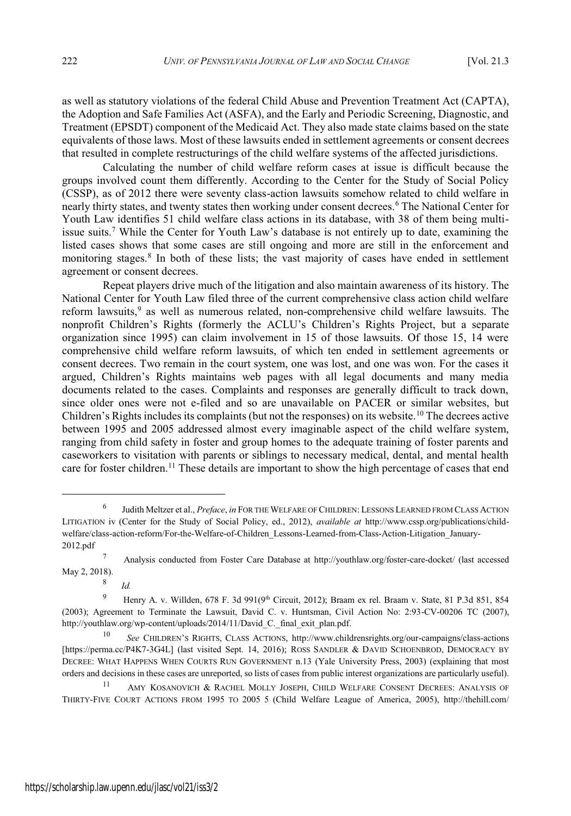as well as statutory violations of the federal Child Abuse and Prevention Treatment Act (CAPTA), the Adoption and Safe Families Act (ASFA), and the Early and Periodic Screening, Diagnostic, and Treatment (EPSDT) component of the Medicaid Act. They also made state claims based on the state equivalents of those laws. Most of these lawsuits ended in settlement agreements or consent decrees that resulted in complete restructurings of the child welfare systems of the affected jurisdictions.

Calculating the number of child welfare reform cases at issue is difficult because the groups involved count them differently. According to the Center for the Study of Social Policy (CSSP), as of 2012 there were seventy class-action lawsuits somehow related to child welfare in nearly thirty states, and twenty states then working under consent decrees.<sup>6</sup> The National Center for Youth Law identifies 51 child welfare class actions in its database, with 38 of them being multiissue suits.<sup>7</sup> While the Center for Youth Law's database is not entirely up to date, examining the listed cases shows that some cases are still ongoing and more are still in the enforcement and monitoring stages.<sup>8</sup> In both of these lists; the vast majority of cases have ended in settlement agreement or consent decrees.

Repeat players drive much of the litigation and also maintain awareness of its history. The National Center for Youth Law filed three of the current comprehensive class action child welfare reform lawsuits,<sup>9</sup> as well as numerous related, non-comprehensive child welfare lawsuits. The nonprofit Children's Rights (formerly the ACLU's Children's Rights Project, but a separate organization since 1995) can claim involvement in 15 of those lawsuits. Of those 15, 14 were comprehensive child welfare reform lawsuits, of which ten ended in settlement agreements or consent decrees. Two remain in the court system, one was lost, and one was won. For the cases it argued, Children's Rights maintains web pages with all legal documents and many media documents related to the cases. Complaints and responses are generally difficult to track down, since older ones were not e-filed and so are unavailable on PACER or similar websites, but Children's Rights includes its complaints (but not the responses) on its website.<sup>10</sup> The decrees active between 1995 and 2005 addressed almost every imaginable aspect of the child welfare system, ranging from child safety in foster and group homes to the adequate training of foster parents and caseworkers to visitation with parents or siblings to necessary medical, dental, and mental health care for foster children.<sup>11</sup> These details are important to show the high percentage of cases that end

*Id.*

8

<sup>6</sup> Judith Meltzer et al., *Preface*, *in* FOR THE WELFARE OF CHILDREN: LESSONS LEARNED FROM CLASS ACTION LITIGATION iv (Center for the Study of Social Policy, ed., 2012), *available at* http://www.cssp.org/publications/childwelfare/class-action-reform/For-the-Welfare-of-Children\_Lessons-Learned-from-Class-Action-Litigation\_January-2012.pdf

<sup>7</sup> Analysis conducted from Foster Care Database at http://youthlaw.org/foster-care-docket/ (last accessed May 2, 2018).

<sup>&</sup>lt;sup>9</sup> Henry A. v. Willden, 678 F. 3d 991(9<sup>th</sup> Circuit, 2012); Braam ex rel. Braam v. State, 81 P.3d 851, 854 (2003); Agreement to Terminate the Lawsuit, David C. v. Huntsman, Civil Action No: 2:93-CV-00206 TC (2007), http://youthlaw.org/wp-content/uploads/2014/11/David\_C.\_final\_exit\_plan.pdf.

<sup>10</sup> *See* CHILDREN'<sup>S</sup> RIGHTS, CLASS ACTIONS, http://www.childrensrights.org/our-campaigns/class-actions [https://perma.cc/P4K7-3G4L] (last visited Sept. 14, 2016); ROSS SANDLER & DAVID SCHOENBROD, DEMOCRACY BY DECREE: WHAT HAPPENS WHEN COURTS RUN GOVERNMENT n.13 (Yale University Press, 2003) (explaining that most orders and decisions in these cases are unreported, so lists of cases from public interest organizations are particularly useful).

<sup>11</sup> AMY KOSANOVICH & RACHEL MOLLY JOSEPH, CHILD WELFARE CONSENT DECREES: ANALYSIS OF THIRTY-FIVE COURT ACTIONS FROM 1995 TO 2005 5 (Child Welfare League of America, 2005), http://thehill.com/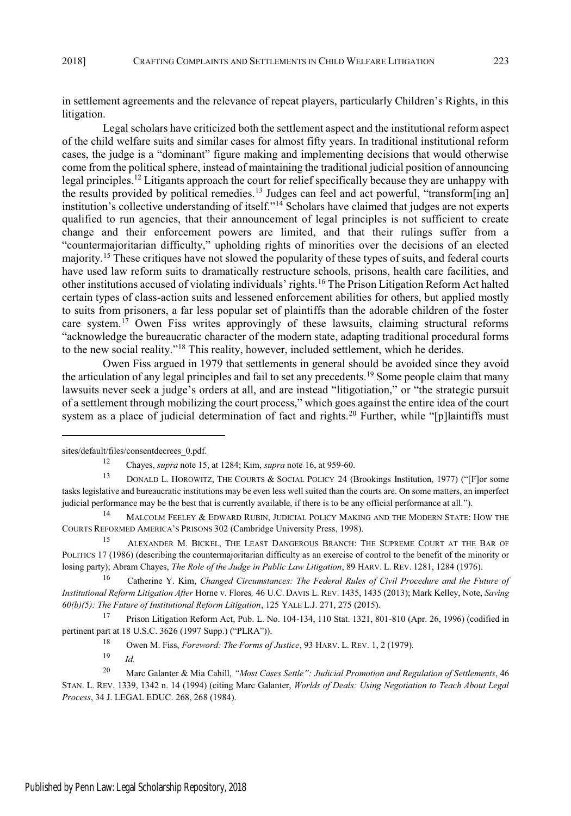in settlement agreements and the relevance of repeat players, particularly Children's Rights, in this litigation.

Legal scholars have criticized both the settlement aspect and the institutional reform aspect of the child welfare suits and similar cases for almost fifty years. In traditional institutional reform cases, the judge is a "dominant" figure making and implementing decisions that would otherwise come from the political sphere, instead of maintaining the traditional judicial position of announcing legal principles.<sup>12</sup> Litigants approach the court for relief specifically because they are unhappy with the results provided by political remedies.<sup>13</sup> Judges can feel and act powerful, "transform[ing an] institution's collective understanding of itself."<sup>14</sup> Scholars have claimed that judges are not experts qualified to run agencies, that their announcement of legal principles is not sufficient to create change and their enforcement powers are limited, and that their rulings suffer from a "countermajoritarian difficulty," upholding rights of minorities over the decisions of an elected majority.<sup>15</sup> These critiques have not slowed the popularity of these types of suits, and federal courts have used law reform suits to dramatically restructure schools, prisons, health care facilities, and other institutions accused of violating individuals' rights.<sup>16</sup> The Prison Litigation Reform Act halted certain types of class-action suits and lessened enforcement abilities for others, but applied mostly to suits from prisoners, a far less popular set of plaintiffs than the adorable children of the foster care system.<sup>17</sup> Owen Fiss writes approvingly of these lawsuits, claiming structural reforms "acknowledge the bureaucratic character of the modern state, adapting traditional procedural forms to the new social reality."<sup>18</sup> This reality, however, included settlement, which he derides.

Owen Fiss argued in 1979 that settlements in general should be avoided since they avoid the articulation of any legal principles and fail to set any precedents.<sup>19</sup> Some people claim that many lawsuits never seek a judge's orders at all, and are instead "litigotiation," or "the strategic pursuit of a settlement through mobilizing the court process," which goes against the entire idea of the court system as a place of judicial determination of fact and rights.<sup>20</sup> Further, while "[p]laintiffs must

<sup>19</sup> *Id.*

sites/default/files/consentdecrees\_0.pdf.

<sup>12</sup> Chayes, *supra* note 15, at 1284; Kim, *supra* note 16, at 959-60.

<sup>13</sup> DONALD L. HOROWITZ, THE COURTS & SOCIAL POLICY 24 (Brookings Institution, 1977) ("[F]or some tasks legislative and bureaucratic institutions may be even less well suited than the courts are. On some matters, an imperfect judicial performance may be the best that is currently available, if there is to be any official performance at all.").

<sup>14</sup> MALCOLM FEELEY & EDWARD RUBIN, JUDICIAL POLICY MAKING AND THE MODERN STATE: HOW THE COURTS REFORMED AMERICA'<sup>S</sup> PRISONS 302 (Cambridge University Press, 1998).

<sup>&</sup>lt;sup>15</sup> ALEXANDER M. BICKEL, THE LEAST DANGEROUS BRANCH: THE SUPREME COURT AT THE BAR OF POLITICS 17 (1986) (describing the countermajoritarian difficulty as an exercise of control to the benefit of the minority or losing party); Abram Chayes, *The Role of the Judge in Public Law Litigation*, 89 HARV. L. REV. 1281, 1284 (1976).

<sup>16</sup> Catherine Y. Kim, *Changed Circumstances: The Federal Rules of Civil Procedure and the Future of Institutional Reform Litigation After* Horne v. Flores*,* 46 U.C. DAVIS L. REV. 1435, 1435 (2013); Mark Kelley, Note, *Saving 60(b)(5): The Future of Institutional Reform Litigation*, 125 YALE L.J. 271, 275 (2015).

<sup>17</sup> Prison Litigation Reform Act, Pub. L. No. 104-134, 110 Stat. 1321, 801-810 (Apr. 26, 1996) (codified in pertinent part at 18 U.S.C. 3626 (1997 Supp.) ("PLRA")).

<sup>18</sup> Owen M. Fiss, *Foreword: The Forms of Justice*, 93 HARV. L. REV. 1, 2 (1979).

<sup>20</sup> Marc Galanter & Mia Cahill, *" Most Cases Settle" : Judicial Promotion and Regulation of Settlements*, 46 STAN. L. REV. 1339, 1342 n. 14 (1994) (citing Marc Galanter, *Worlds of Deals: Using Negotiation to Teach About Legal Process*, 34 J. LEGAL EDUC. 268, 268 (1984).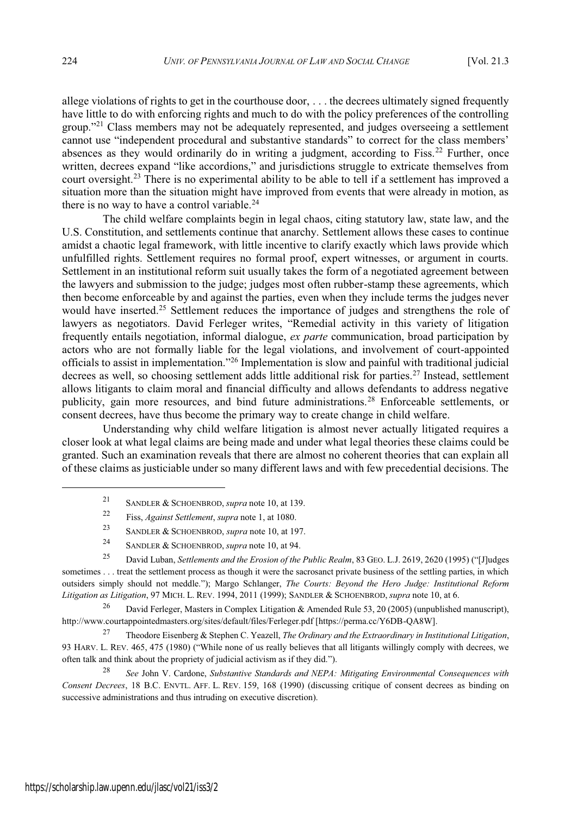allege violations of rights to get in the courthouse door, . . . the decrees ultimately signed frequently have little to do with enforcing rights and much to do with the policy preferences of the controlling group."<sup>21</sup> Class members may not be adequately represented, and judges overseeing a settlement cannot use "independent procedural and substantive standards" to correct for the class members' absences as they would ordinarily do in writing a judgment, according to Fiss.<sup>22</sup> Further, once written, decrees expand "like accordions," and jurisdictions struggle to extricate themselves from court oversight.<sup>23</sup> There is no experimental ability to be able to tell if a settlement has improved a situation more than the situation might have improved from events that were already in motion, as there is no way to have a control variable.<sup>24</sup>

The child welfare complaints begin in legal chaos, citing statutory law, state law, and the U.S. Constitution, and settlements continue that anarchy. Settlement allows these cases to continue amidst a chaotic legal framework, with little incentive to clarify exactly which laws provide which unfulfilled rights. Settlement requires no formal proof, expert witnesses, or argument in courts. Settlement in an institutional reform suit usually takes the form of a negotiated agreement between the lawyers and submission to the judge; judges most often rubber-stamp these agreements, which then become enforceable by and against the parties, even when they include terms the judges never would have inserted.<sup>25</sup> Settlement reduces the importance of judges and strengthens the role of lawyers as negotiators. David Ferleger writes, "Remedial activity in this variety of litigation frequently entails negotiation, informal dialogue, *ex parte* communication, broad participation by actors who are not formally liable for the legal violations, and involvement of court-appointed officials to assist in implementation."<sup>26</sup> Implementation is slow and painful with traditional judicial decrees as well, so choosing settlement adds little additional risk for parties.<sup>27</sup> Instead, settlement allows litigants to claim moral and financial difficulty and allows defendants to address negative publicity, gain more resources, and bind future administrations.<sup>28</sup> Enforceable settlements, or consent decrees, have thus become the primary way to create change in child welfare.

Understanding why child welfare litigation is almost never actually litigated requires a closer look at what legal claims are being made and under what legal theories these claims could be granted. Such an examination reveals that there are almost no coherent theories that can explain all of these claims as justiciable under so many different laws and with few precedential decisions. The

- <sup>21</sup> SANDLER & SCHOENBROD, *supra* note 10, at 139.
- <sup>22</sup> Fiss, *Against Settlement*, *supra* note 1, at 1080.
- <sup>23</sup> SANDLER & SCHOENBROD, *supra* note 10, at 197.
- <sup>24</sup> SANDLER & SCHOENBROD, *supra* note 10, at 94.

<sup>25</sup> David Luban, *Settlements and the Erosion of the Public Realm*, 83 GEO. L.J. 2619, 2620 (1995) ("[J]udges sometimes . . . treat the settlement process as though it were the sacrosanct private business of the settling parties, in which outsiders simply should not meddle."); Margo Schlanger, *The Courts: Beyond the Hero Judge: Institutional Reform Litigation as Litigation*, 97 MICH. L. REV. 1994, 2011 (1999); SANDLER & SCHOENBROD, *supra* note 10, at 6.

<sup>26</sup> David Ferleger, Masters in Complex Litigation & Amended Rule 53, 20 (2005) (unpublished manuscript), http://www.courtappointedmasters.org/sites/default/files/Ferleger.pdf [https://perma.cc/Y6DB-QA8W].

<sup>27</sup> Theodore Eisenberg & Stephen C. Yeazell, *The Ordinary and the Extraordinary in Institutional Litigation*, 93 HARV. L. REV. 465, 475 (1980) ("While none of us really believes that all litigants willingly comply with decrees, we often talk and think about the propriety of judicial activism as if they did.").

<sup>28</sup> *See* John V. Cardone, *Substantive Standards and NEPA: Mitigating Environmental Consequences with Consent Decrees*, 18 B.C. ENVTL. AFF. L. REV. 159, 168 (1990) (discussing critique of consent decrees as binding on successive administrations and thus intruding on executive discretion).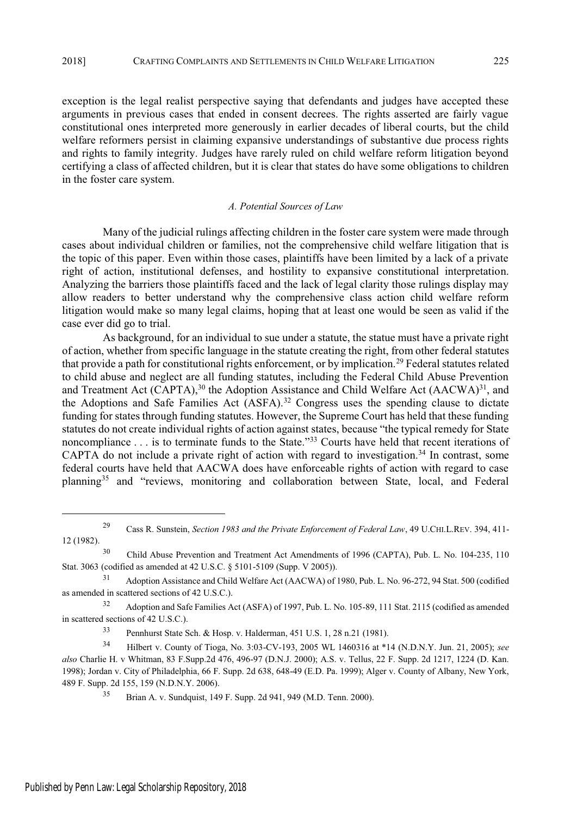exception is the legal realist perspective saying that defendants and judges have accepted these arguments in previous cases that ended in consent decrees. The rights asserted are fairly vague constitutional ones interpreted more generously in earlier decades of liberal courts, but the child welfare reformers persist in claiming expansive understandings of substantive due process rights and rights to family integrity. Judges have rarely ruled on child welfare reform litigation beyond certifying a class of affected children, but it is clear that states do have some obligations to children in the foster care system.

### *A. Potential Sources of Law*

Many of the judicial rulings affecting children in the foster care system were made through cases about individual children or families, not the comprehensive child welfare litigation that is the topic of this paper. Even within those cases, plaintiffs have been limited by a lack of a private right of action, institutional defenses, and hostility to expansive constitutional interpretation. Analyzing the barriers those plaintiffs faced and the lack of legal clarity those rulings display may allow readers to better understand why the comprehensive class action child welfare reform litigation would make so many legal claims, hoping that at least one would be seen as valid if the case ever did go to trial.

As background, for an individual to sue under a statute, the statue must have a private right of action, whether from specific language in the statute creating the right, from other federal statutes that provide a path for constitutional rights enforcement, or by implication.<sup>29</sup> Federal statutes related to child abuse and neglect are all funding statutes, including the Federal Child Abuse Prevention and Treatment Act (CAPTA),<sup>30</sup> the Adoption Assistance and Child Welfare Act (AACWA)<sup>31</sup>, and the Adoptions and Safe Families Act  $(ASFA)$ .<sup>32</sup> Congress uses the spending clause to dictate funding for states through funding statutes. However, the Supreme Court has held that these funding statutes do not create individual rights of action against states, because "the typical remedy for State" noncompliance . . . is to terminate funds to the State."33 Courts have held that recent iterations of CAPTA do not include a private right of action with regard to investigation.<sup>34</sup> In contrast, some federal courts have held that AACWA does have enforceable rights of action with regard to case planning<sup>35</sup> and "reviews, monitoring and collaboration between State, local, and Federal

<sup>29</sup> Cass R. Sunstein, *Section 1983 and the Private Enforcement of Federal Law*, 49 U.CHI.L.REV. 394, 411- 12 (1982).

<sup>30</sup> Child Abuse Prevention and Treatment Act Amendments of 1996 (CAPTA), Pub. L. No. 104-235, 110 Stat. 3063 (codified as amended at 42 U.S.C. § 5101-5109 (Supp. V 2005)).

<sup>31</sup> Adoption Assistance and Child Welfare Act (AACWA) of 1980, Pub. L. No. 96-272, 94 Stat. 500 (codified as amended in scattered sections of 42 U.S.C.).

<sup>32</sup> Adoption and Safe Families Act (ASFA) of 1997, Pub. L. No. 105-89, 111 Stat. 2115 (codified as amended in scattered sections of 42 U.S.C.).

<sup>33</sup> Pennhurst State Sch. & Hosp. v. Halderman, 451 U.S. 1, 28 n.21 (1981).

<sup>34</sup> Hilbert v. County of Tioga, No. 3:03-CV-193, 2005 WL 1460316 at \*14 (N.D.N.Y. Jun. 21, 2005); *see also* Charlie H. v Whitman, 83 F.Supp.2d 476, 496-97 (D.N.J. 2000); A.S. v. Tellus, 22 F. Supp. 2d 1217, 1224 (D. Kan. 1998); Jordan v. City of Philadelphia, 66 F. Supp. 2d 638, 648-49 (E.D. Pa. 1999); Alger v. County of Albany, New York, 489 F. Supp. 2d 155, 159 (N.D.N.Y. 2006).

<sup>35</sup> Brian A. v. Sundquist, 149 F. Supp. 2d 941, 949 (M.D. Tenn. 2000).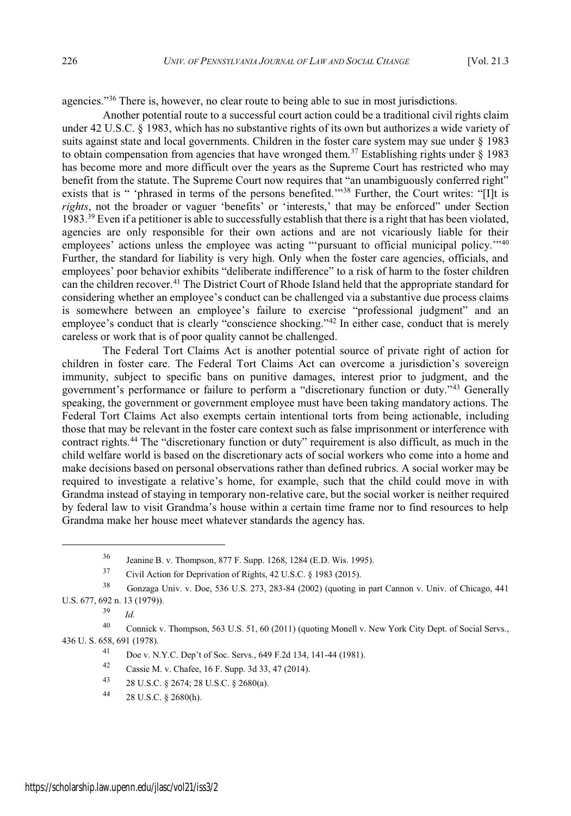agencies."<sup>36</sup> There is, however, no clear route to being able to sue in most jurisdictions.

Another potential route to a successful court action could be a traditional civil rights claim under 42 U.S.C. § 1983, which has no substantive rights of its own but authorizes a wide variety of suits against state and local governments. Children in the foster care system may sue under § 1983 to obtain compensation from agencies that have wronged them.<sup>37</sup> Establishing rights under  $\S$  1983 has become more and more difficult over the years as the Supreme Court has restricted who may benefit from the statute. The Supreme Court now requires that "an unambiguously conferred right" exists that is " 'phrased in terms of the persons benefited."<sup>38</sup> Further, the Court writes: "IIt is *rights*, not the broader or vaguer 'benefits' or 'interests,' that may be enforced" under Section 1983.<sup>39</sup> Even if a petitioner is able to successfully establish that there is a right that has been violated, agencies are only responsible for their own actions and are not vicariously liable for their employees' actions unless the employee was acting "'pursuant to official municipal policy."<sup>40</sup> Further, the standard for liability is very high. Only when the foster care agencies, officials, and employees' poor behavior exhibits "deliberate indifference" to a risk of harm to the foster children can the children recover.<sup>41</sup> The District Court of Rhode Island held that the appropriate standard for considering whether an employee's conduct can be challenged via a substantive due process claims is somewhere between an employee's failure to exercise "professional judgment" and an employee's conduct that is clearly "conscience shocking."<sup>42</sup> In either case, conduct that is merely careless or work that is of poor quality cannot be challenged.

The Federal Tort Claims Act is another potential source of private right of action for children in foster care. The Federal Tort Claims Act can overcome a jurisdiction's sovereign immunity, subject to specific bans on punitive damages, interest prior to judgment, and the government's performance or failure to perform a "discretionary function or duty."<sup>43</sup> Generally speaking, the government or government employee must have been taking mandatory actions. The Federal Tort Claims Act also exempts certain intentional torts from being actionable, including those that may be relevant in the foster care context such as false imprisonment or interference with contract rights.<sup>44</sup> The "discretionary function or duty" requirement is also difficult, as much in the child welfare world is based on the discretionary acts of social workers who come into a home and make decisions based on personal observations rather than defined rubrics. A social worker may be required to investigate a relative's home, for example, such that the child could move in with Grandma instead of staying in temporary non-relative care, but the social worker is neither required by federal law to visit Grandma's house within a certain time frame nor to find resources to help Grandma make her house meet whatever standards the agency has.

<sup>39</sup> *Id.*

<sup>36</sup> Jeanine B. v. Thompson, 877 F. Supp. 1268, 1284 (E.D. Wis. 1995).

<sup>37</sup> Civil Action for Deprivation of Rights, 42 U.S.C. § 1983 (2015).

<sup>38</sup> Gonzaga Univ. v. Doe, 536 U.S. 273, 283-84 (2002) (quoting in part Cannon v. Univ. of Chicago, 441 U.S. 677, 692 n. 13 (1979)).

<sup>40</sup> Connick v. Thompson, 563 U.S. 51, 60 (2011) (quoting Monell v. New York City Dept. of Social Servs., 436 U. S. 658, 691 (1978).

<sup>41</sup> Doe v. N.Y.C. Dep't of Soc. Servs., 649 F.2d 134, 141-44 (1981).

<sup>42</sup> Cassie M. v. Chafee, 16 F. Supp. 3d 33, 47 (2014).

<sup>43</sup> 28 U.S.C. § 2674; 28 U.S.C. § 2680(a).

<sup>44</sup> 28 U.S.C. § 2680(h).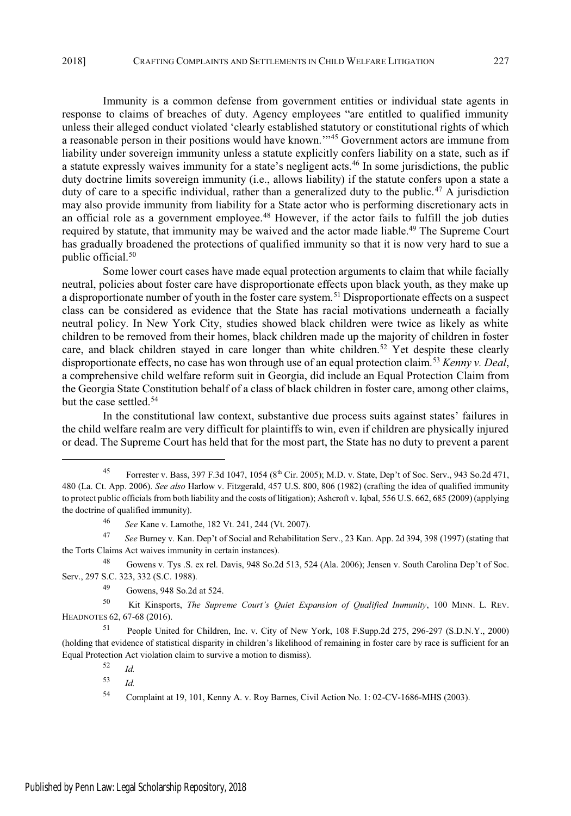Immunity is a common defense from government entities or individual state agents in response to claims of breaches of duty. Agency employees "are entitled to qualified immunity unless their alleged conduct violated 'clearly established statutory or constitutional rights of which a reasonable person in their positions would have known."<sup>45</sup> Government actors are immune from liability under sovereign immunity unless a statute explicitly confers liability on a state, such as if a statute expressly waives immunity for a state's negligent acts.<sup>46</sup> In some jurisdictions, the public duty doctrine limits sovereign immunity (i.e., allows liability) if the statute confers upon a state a duty of care to a specific individual, rather than a generalized duty to the public.<sup>47</sup> A jurisdiction may also provide immunity from liability for a State actor who is performing discretionary acts in an official role as a government employee.<sup>48</sup> However, if the actor fails to fulfill the job duties required by statute, that immunity may be waived and the actor made liable.<sup>49</sup> The Supreme Court has gradually broadened the protections of qualified immunity so that it is now very hard to sue a public official.<sup>50</sup>

Some lower court cases have made equal protection arguments to claim that while facially neutral, policies about foster care have disproportionate effects upon black youth, as they make up a disproportionate number of youth in the foster care system.<sup>51</sup> Disproportionate effects on a suspect class can be considered as evidence that the State has racial motivations underneath a facially neutral policy. In New York City, studies showed black children were twice as likely as white children to be removed from their homes, black children made up the majority of children in foster care, and black children stayed in care longer than white children.<sup>52</sup> Yet despite these clearly disproportionate effects, no case has won through use of an equal protection claim.<sup>53</sup> *Kenny v. Deal*, a comprehensive child welfare reform suit in Georgia, did include an Equal Protection Claim from the Georgia State Constitution behalf of a class of black children in foster care, among other claims, but the case settled.<sup>54</sup>

In the constitutional law context, substantive due process suits against states' failures in the child welfare realm are very difficult for plaintiffs to win, even if children are physically injured or dead. The Supreme Court has held that for the most part, the State has no duty to prevent a parent

<sup>45</sup> Forrester v. Bass, 397 F.3d 1047, 1054 (8<sup>th</sup> Cir. 2005); M.D. v. State, Dep't of Soc. Serv., 943 So.2d 471, 480 (La. Ct. App. 2006). *See also* Harlow v. Fitzgerald, 457 U.S. 800, 806 (1982) (crafting the idea of qualified immunity to protect public officials from both liability and the costs of litigation); Ashcroft v. Iqbal, 556 U.S. 662, 685 (2009) (applying the doctrine of qualified immunity).

<sup>46</sup> *See* Kane v. Lamothe, 182 Vt. 241, 244 (Vt. 2007).

<sup>47</sup> *See* Burney v. Kan. Dep't of Social and Rehabilitation Serv., 23 Kan. App. 2d 394, 398 (1997) (stating that the Torts Claims Act waives immunity in certain instances).

<sup>48</sup> Gowens v. Tys .S. ex rel. Davis, 948 So.2d 513, 524 (Ala. 2006); Jensen v. South Carolina Dep't of Soc. Serv., 297 S.C. 323, 332 (S.C. 1988).

<sup>49</sup> Gowens, 948 So.2d at 524.

<sup>50</sup> Kit Kinsports, *The Supreme Court's Quiet Expansion of Qualified Immunity*, 100 MINN. L. REV. HEADNOTES 62, 67-68 (2016).

<sup>51</sup> People United for Children, Inc. v. City of New York, 108 F.Supp.2d 275, 296-297 (S.D.N.Y., 2000) (holding that evidence of statistical disparity in children's likelihood of remaining in foster care by race is sufficient for an Equal Protection Act violation claim to survive a motion to dismiss).

<sup>52</sup> *Id.*

<sup>53</sup> *Id.*

<sup>54</sup> Complaint at 19, 101, Kenny A. v. Roy Barnes, Civil Action No. 1: 02-CV-1686-MHS (2003).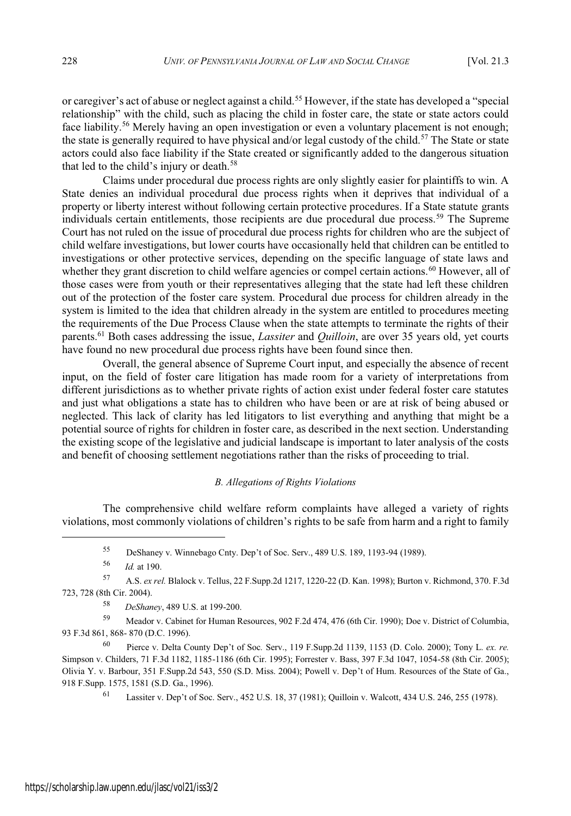or caregiver's act of abuse or neglect against a child.<sup>55</sup> However, if the state has developed a "special" relationship" with the child, such as placing the child in foster care, the state or state actors could face liability.<sup>56</sup> Merely having an open investigation or even a voluntary placement is not enough; the state is generally required to have physical and/or legal custody of the child.<sup>57</sup> The State or state actors could also face liability if the State created or significantly added to the dangerous situation that led to the child's injury or death.<sup>58</sup>

Claims under procedural due process rights are only slightly easier for plaintiffs to win. A State denies an individual procedural due process rights when it deprives that individual of a property or liberty interest without following certain protective procedures. If a State statute grants individuals certain entitlements, those recipients are due procedural due process.<sup>59</sup> The Supreme Court has not ruled on the issue of procedural due process rights for children who are the subject of child welfare investigations, but lower courts have occasionally held that children can be entitled to investigations or other protective services, depending on the specific language of state laws and whether they grant discretion to child welfare agencies or compel certain actions.<sup>60</sup> However, all of those cases were from youth or their representatives alleging that the state had left these children out of the protection of the foster care system. Procedural due process for children already in the system is limited to the idea that children already in the system are entitled to procedures meeting the requirements of the Due Process Clause when the state attempts to terminate the rights of their parents.<sup>61</sup> Both cases addressing the issue, *Lassiter* and *Quilloin*, are over 35 years old, yet courts have found no new procedural due process rights have been found since then.

Overall, the general absence of Supreme Court input, and especially the absence of recent input, on the field of foster care litigation has made room for a variety of interpretations from different jurisdictions as to whether private rights of action exist under federal foster care statutes and just what obligations a state has to children who have been or are at risk of being abused or neglected. This lack of clarity has led litigators to list everything and anything that might be a potential source of rights for children in foster care, as described in the next section. Understanding the existing scope of the legislative and judicial landscape is important to later analysis of the costs and benefit of choosing settlement negotiations rather than the risks of proceeding to trial.

# *B. Allegations of Rights Violations*

The comprehensive child welfare reform complaints have alleged a variety of rights violations, most commonly violations of children's rights to be safe from harm and a right to family

<sup>55</sup> DeShaney v. Winnebago Cnty. Dep't of Soc. Serv., 489 U.S. 189, 1193-94 (1989).

<sup>56</sup> *Id.* at 190.

<sup>57</sup> A.S. *ex rel.* Blalock v. Tellus, 22 F.Supp.2d 1217, 1220-22 (D. Kan. 1998); Burton v. Richmond, 370. F.3d 723, 728 (8th Cir. 2004).

<sup>58</sup> *DeShaney*, 489 U.S. at 199-200.

<sup>59</sup> Meador v. Cabinet for Human Resources, 902 F.2d 474, 476 (6th Cir. 1990); Doe v. District of Columbia, 93 F.3d 861, 868- 870 (D.C. 1996).

<sup>60</sup> Pierce v. Delta County Dep't of Soc*.* Serv., 119 F.Supp.2d 1139, 1153 (D. Colo. 2000); Tony L. *ex. re.* Simpson v. Childers, 71 F.3d 1182, 1185-1186 (6th Cir. 1995); Forrester v. Bass, 397 F.3d 1047, 1054-58 (8th Cir. 2005); Olivia Y. v. Barbour, 351 F.Supp.2d 543, 550 (S.D. Miss. 2004); Powell v. Dep't of Hum. Resources of the State of Ga., 918 F.Supp. 1575, 1581 (S.D. Ga., 1996).

<sup>61</sup> Lassiter v. Dep't of Soc. Serv., 452 U.S. 18, 37 (1981); Quilloin v. Walcott, 434 U.S. 246, 255 (1978).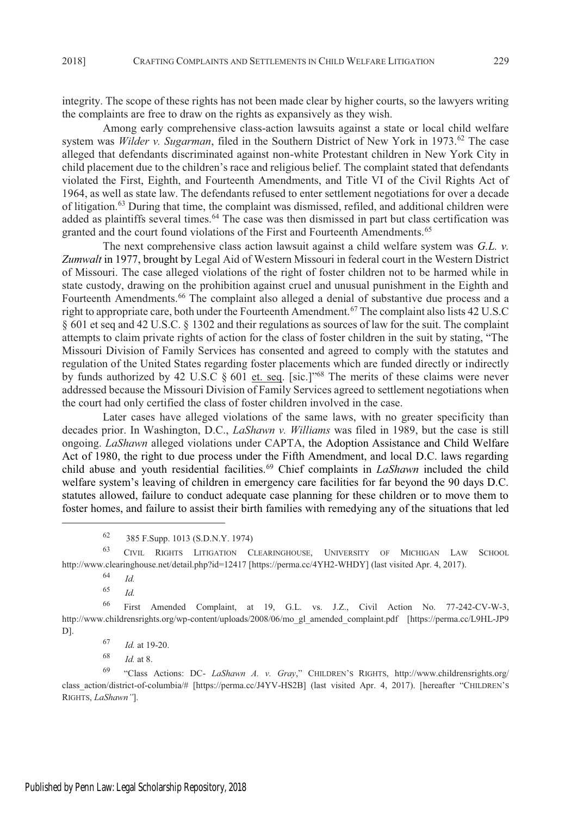integrity. The scope of these rights has not been made clear by higher courts, so the lawyers writing the complaints are free to draw on the rights as expansively as they wish.

Among early comprehensive class-action lawsuits against a state or local child welfare system was *Wilder v. Sugarman*, filed in the Southern District of New York in 1973.<sup>62</sup> The case alleged that defendants discriminated against non-white Protestant children in New York City in child placement due to the children's race and religious belief. The complaint stated that defendants violated the First, Eighth, and Fourteenth Amendments, and Title VI of the Civil Rights Act of 1964, as well as state law. The defendants refused to enter settlement negotiations for over a decade of litigation.<sup>63</sup> During that time, the complaint was dismissed, refiled, and additional children were added as plaintiffs several times.<sup>64</sup> The case was then dismissed in part but class certification was granted and the court found violations of the First and Fourteenth Amendments.<sup>65</sup>

The next comprehensive class action lawsuit against a child welfare system was *G.L. v. Zumwalt* in 1977, brought by Legal Aid of Western Missouri in federal court in the Western District of Missouri. The case alleged violations of the right of foster children not to be harmed while in state custody, drawing on the prohibition against cruel and unusual punishment in the Eighth and Fourteenth Amendments.<sup>66</sup> The complaint also alleged a denial of substantive due process and a right to appropriate care, both under the Fourteenth Amendment.<sup>67</sup> The complaint also lists 42 U.S.C § 601 et seq and 42 U.S.C. § 1302 and their regulations as sources of law for the suit. The complaint attempts to claim private rights of action for the class of foster children in the suit by stating, "The Missouri Division of Family Services has consented and agreed to comply with the statutes and regulation of the United States regarding foster placements which are funded directly or indirectly by funds authorized by 42 U.S.C § 601 et. seq. [sic.]"<sup>68</sup> The merits of these claims were never addressed because the Missouri Division of Family Services agreed to settlement negotiations when the court had only certified the class of foster children involved in the case.

Later cases have alleged violations of the same laws, with no greater specificity than decades prior. In Washington, D.C., *LaShawn v. Williams* was filed in 1989, but the case is still ongoing. *LaShawn* alleged violations under CAPTA, the Adoption Assistance and Child Welfare Act of 1980, the right to due process under the Fifth Amendment, and local D.C. laws regarding child abuse and youth residential facilities.<sup>69</sup> Chief complaints in *LaShawn* included the child welfare system's leaving of children in emergency care facilities for far beyond the 90 days D.C. statutes allowed, failure to conduct adequate case planning for these children or to move them to foster homes, and failure to assist their birth families with remedying any of the situations that led

<sup>63</sup> CIVIL RIGHTS LITIGATION CLEARINGHOUSE, UNIVERSITY OF MICHIGAN LAW SCHOOL http://www.clearinghouse.net/detail.php?id=12417 [https://perma.cc/4YH2-WHDY] (last visited Apr. 4, 2017).

<sup>64</sup> *Id.*

<sup>65</sup> *Id.*

<sup>66</sup> First Amended Complaint, at 19, G.L. vs. J.Z., Civil Action No. 77-242-CV-W-3, http://www.childrensrights.org/wp-content/uploads/2008/06/mo\_gl\_amended\_complaint.pdf [https://perma.cc/L9HL-JP9 D].

<sup>67</sup> *Id.* at 19-20.

<sup>68</sup> *Id.* at 8.

<sup>69</sup> "Class Actions: DC- *LaShawn A. v. Gray*," CHILDREN'<sup>S</sup> RIGHTS, http://www.childrensrights.org/ class\_action/district-of-columbia/# [https://perma.cc/J4YV-HS2B] (last visited Apr. 4, 2017). [hereafter "CHILDREN'<sup>S</sup> RIGHTS, *LaShawn"*].

<sup>62</sup> 385 F.Supp. 1013 (S.D.N.Y. 1974)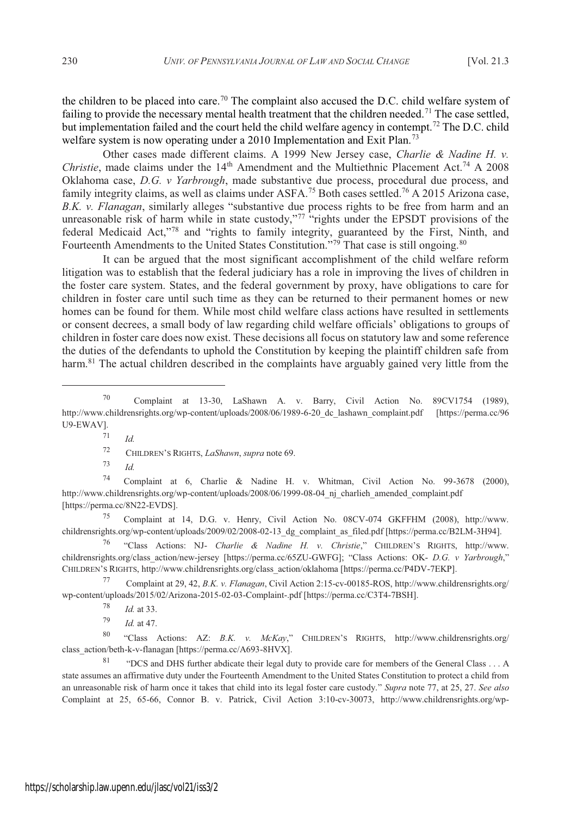the children to be placed into care.<sup>70</sup> The complaint also accused the D.C. child welfare system of failing to provide the necessary mental health treatment that the children needed.<sup>71</sup> The case settled. but implementation failed and the court held the child welfare agency in contempt.<sup>72</sup> The D.C. child welfare system is now operating under a 2010 Implementation and Exit Plan.<sup>73</sup>

Other cases made different claims. A 1999 New Jersey case, *Charlie & Nadine H. v. Christie*, made claims under the 14<sup>th</sup> Amendment and the Multiethnic Placement Act.<sup>74</sup> A 2008 Oklahoma case, *D.G. v Yarbrough*, made substantive due process, procedural due process, and family integrity claims, as well as claims under ASFA.<sup>75</sup> Both cases settled.<sup>76</sup> A 2015 Arizona case, *B.K. v. Flanagan*, similarly alleges "substantive due process rights to be free from harm and an unreasonable risk of harm while in state custody.<sup>777</sup> "rights under the EPSDT provisions of the federal Medicaid Act,"78 and "rights to family integrity, guaranteed by the First, Ninth, and Fourteenth Amendments to the United States Constitution."<sup>79</sup> That case is still ongoing.<sup>80</sup>

It can be argued that the most significant accomplishment of the child welfare reform litigation was to establish that the federal judiciary has a role in improving the lives of children in the foster care system. States, and the federal government by proxy, have obligations to care for children in foster care until such time as they can be returned to their permanent homes or new homes can be found for them. While most child welfare class actions have resulted in settlements or consent decrees, a small body of law regarding child welfare officials' obligations to groups of children in foster care does now exist. These decisions all focus on statutory law and some reference the duties of the defendants to uphold the Constitution by keeping the plaintiff children safe from harm.<sup>81</sup> The actual children described in the complaints have arguably gained very little from the

<sup>71</sup> *Id.*

<sup>73</sup> *Id.*

<sup>74</sup> Complaint at 6, Charlie & Nadine H. v. Whitman, Civil Action No. 99-3678 (2000), http://www.childrensrights.org/wp-content/uploads/2008/06/1999-08-04\_nj\_charlieh\_amended\_complaint.pdf [https://perma.cc/8N22-EVDS].

<sup>75</sup> Complaint at 14, D.G. v. Henry, Civil Action No. 08CV-074 GKFFHM (2008), http://www. childrensrights.org/wp-content/uploads/2009/02/2008-02-13\_dg\_complaint\_as\_filed.pdf [https://perma.cc/B2LM-3H94].

<sup>76</sup> "Class Actions: NJ- *Charlie & Nadine H. v. Christie*," CHILDREN'<sup>S</sup> RIGHTS, http://www. childrensrights.org/class\_action/new-jersey [https://perma.cc/65ZU-GWFG]; "Class Actions: OK- *D.G. v Yarbrough*," CHILDREN'<sup>S</sup> RIGHTS, http://www.childrensrights.org/class\_action/oklahoma [https://perma.cc/P4DV-7EKP].

<sup>77</sup> Complaint at 29, 42, *B.K. v. Flanagan*, Civil Action 2:15-cv-00185-ROS, http://www.childrensrights.org/ wp-content/uploads/2015/02/Arizona-2015-02-03-Complaint-.pdf [https://perma.cc/C3T4-7BSH].

<sup>79</sup> *Id.* at 47.

<sup>80</sup> "Class Actions: AZ: *B.K. v. McKay*," CHILDREN'<sup>S</sup> RIGHTS, http://www.childrensrights.org/ class\_action/beth-k-v-flanagan [https://perma.cc/A693-8HVX].

<sup>81</sup> "DCS and DHS further abdicate their legal duty to provide care for members of the General Class . . . A state assumes an affirmative duty under the Fourteenth Amendment to the United States Constitution to protect a child from an unreasonable risk of harm once it takes that child into its legal foster care custody." *Supra* note 77, at 25, 27. *See also* Complaint at 25, 65-66, Connor B. v. Patrick, Civil Action 3:10-cv-30073, http://www.childrensrights.org/wp-

<sup>70</sup> Complaint at 13-30, LaShawn A. v. Barry, Civil Action No. 89CV1754 (1989), http://www.childrensrights.org/wp-content/uploads/2008/06/1989-6-20\_dc\_lashawn\_complaint.pdf [https://perma.cc/96 U9-EWAV].

<sup>72</sup> CHILDREN'<sup>S</sup> RIGHTS, *LaShawn*, *supra* note 69.

<sup>78</sup> *Id.* at 33.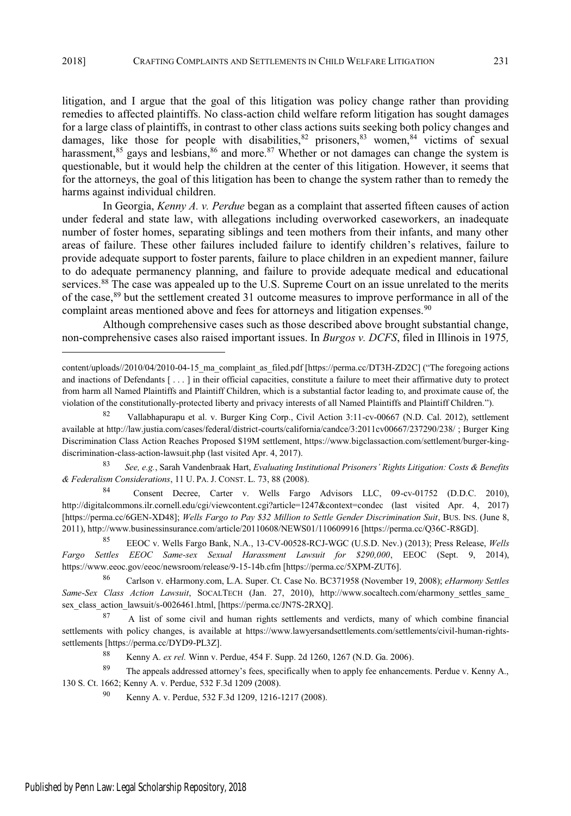litigation, and I argue that the goal of this litigation was policy change rather than providing remedies to affected plaintiffs. No class-action child welfare reform litigation has sought damages for a large class of plaintiffs, in contrast to other class actions suits seeking both policy changes and damages, like those for people with disabilities,<sup>82</sup> prisoners,<sup>83</sup> women,<sup>84</sup> victims of sexual harassment, $85$  gays and lesbians,  $86$  and more.  $87$  Whether or not damages can change the system is questionable, but it would help the children at the center of this litigation. However, it seems that for the attorneys, the goal of this litigation has been to change the system rather than to remedy the harms against individual children.

In Georgia, *Kenny A. v. Perdue* began as a complaint that asserted fifteen causes of action under federal and state law, with allegations including overworked caseworkers, an inadequate number of foster homes, separating siblings and teen mothers from their infants, and many other areas of failure. These other failures included failure to identify children's relatives, failure to provide adequate support to foster parents, failure to place children in an expedient manner, failure to do adequate permanency planning, and failure to provide adequate medical and educational services.<sup>88</sup> The case was appealed up to the U.S. Supreme Court on an issue unrelated to the merits of the case,<sup>89</sup> but the settlement created 31 outcome measures to improve performance in all of the complaint areas mentioned above and fees for attorneys and litigation expenses.<sup>90</sup>

Although comprehensive cases such as those described above brought substantial change, non-comprehensive cases also raised important issues. In *Burgos v. DCFS*, filed in Illinois in 1975*,*

<sup>83</sup> *See, e.g.*, Sarah Vandenbraak Hart, *Evaluating Institutional Prisoners' Rights Litigation: Costs & Benefits & Federalism Considerations*, 11 U. PA. J. CONST. L. 73, 88 (2008).

Consent Decree, Carter v. Wells Fargo Advisors LLC, 09-cv-01752 (D.D.C. 2010), http://digitalcommons.ilr.cornell.edu/cgi/viewcontent.cgi?article=1247&context=condec (last visited Apr. 4, 2017) [https://perma.cc/6GEN-XD48]; *Wells Fargo to Pay \$32 Million to Settle Gender Discrimination Suit*, BUS. INS. (June 8, 2011), http://www.businessinsurance.com/article/20110608/NEWS01/110609916 [https://perma.cc/Q36C-R8GD].

<sup>85</sup> EEOC v. Wells Fargo Bank, N.A., 13-CV-00528-RCJ-WGC (U.S.D. Nev.) (2013); Press Release, *Wells Fargo Settles EEOC Same-sex Sexual Harassment Lawsuit for \$290,000*, EEOC (Sept. 9, 2014), https://www.eeoc.gov/eeoc/newsroom/release/9-15-14b.cfm [https://perma.cc/5XPM-ZUT6].

<sup>86</sup> Carlson v. eHarmony.com, L.A. Super. Ct. Case No. BC371958 (November 19, 2008); *eHarmony Settles Same-Sex Class Action Lawsuit*, SOCALTECH (Jan. 27, 2010), http://www.socaltech.com/eharmony\_settles\_same\_ sex\_class\_action\_lawsuit/s-0026461.html, [https://perma.cc/JN7S-2RXQ].

87 A list of some civil and human rights settlements and verdicts, many of which combine financial settlements with policy changes, is available at https://www.lawyersandsettlements.com/settlements/civil-human-rightssettlements [https://perma.cc/DYD9-PL3Z].

<sup>88</sup> Kenny A. *ex rel.* Winn v. Perdue, 454 F. Supp. 2d 1260, 1267 (N.D. Ga. 2006).

<sup>89</sup> The appeals addressed attorney's fees, specifically when to apply fee enhancements. Perdue v. Kenny A., 130 S. Ct. 1662; Kenny A. v. Perdue, 532 F.3d 1209 (2008).

<sup>90</sup> Kenny A. v. Perdue, 532 F.3d 1209, 1216-1217 (2008).

content/uploads//2010/04/2010-04-15\_ma\_complaint\_as\_filed.pdf [https://perma.cc/DT3H-ZD2C] ("The foregoing actions and inactions of Defendants [ . . . ] in their official capacities, constitute a failure to meet their affirmative duty to protect from harm all Named Plaintiffs and Plaintiff Children, which is a substantial factor leading to, and proximate cause of, the violation of the constitutionally-protected liberty and privacy interests of all Named Plaintiffs and Plaintiff Children.").

<sup>82</sup> Vallabhapurapu et al. v. Burger King Corp., Civil Action 3:11-cv-00667 (N.D. Cal. 2012), settlement available at http://law.justia.com/cases/federal/district-courts/california/candce/3:2011cv00667/237290/238/ ; Burger King Discrimination Class Action Reaches Proposed \$19M settlement, https://www.bigclassaction.com/settlement/burger-kingdiscrimination-class-action-lawsuit.php (last visited Apr. 4, 2017).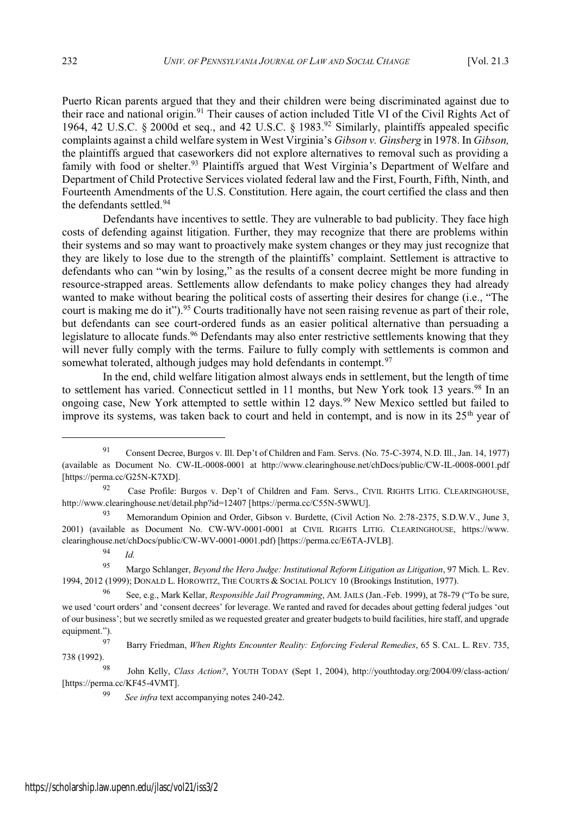Puerto Rican parents argued that they and their children were being discriminated against due to their race and national origin.<sup>91</sup> Their causes of action included Title VI of the Civil Rights Act of 1964, 42 U.S.C. § 2000d et seq., and 42 U.S.C. § 1983.<sup>92</sup> Similarly, plaintiffs appealed specific complaints against a child welfare system in West Virginia's Gibson v. Ginsberg in 1978. In Gibson, the plaintiffs argued that caseworkers did not explore alternatives to removal such as providing a family with food or shelter.<sup>93</sup> Plaintiffs argued that West Virginia's Department of Welfare and Department of Child Protective Services violated federal law and the First, Fourth, Fifth, Ninth, and Fourteenth Amendments of the U.S. Constitution. Here again, the court certified the class and then the defendants settled.<sup>94</sup>

Defendants have incentives to settle. They are vulnerable to bad publicity. They face high costs of defending against litigation. Further, they may recognize that there are problems within their systems and so may want to proactively make system changes or they may just recognize that they are likely to lose due to the strength of the plaintiffs' complaint. Settlement is attractive to defendants who can "win by losing," as the results of a consent decree might be more funding in resource-strapped areas. Settlements allow defendants to make policy changes they had already wanted to make without bearing the political costs of asserting their desires for change (i.e., "The court is making me do it").<sup>95</sup> Courts traditionally have not seen raising revenue as part of their role, but defendants can see court-ordered funds as an easier political alternative than persuading a legislature to allocate funds.<sup>96</sup> Defendants may also enter restrictive settlements knowing that they will never fully comply with the terms. Failure to fully comply with settlements is common and somewhat tolerated, although judges may hold defendants in contempt.<sup>97</sup>

In the end, child welfare litigation almost always ends in settlement, but the length of time to settlement has varied. Connecticut settled in 11 months, but New York took 13 years.<sup>98</sup> In an ongoing case, New York attempted to settle within 12 days.<sup>99</sup> New Mexico settled but failed to improve its systems, was taken back to court and held in contempt, and is now in its 25<sup>th</sup> year of

<sup>91</sup> Consent Decree, Burgos v. Ill. Dep't of Children and Fam. Servs. (No. 75-C-3974, N.D. Ill., Jan. 14, 1977) (available as Document No. CW-IL-0008-0001 at http://www.clearinghouse.net/chDocs/public/CW-IL-0008-0001.pdf [https://perma.cc/G25N-K7XD].

<sup>&</sup>lt;sup>92</sup> Case Profile: Burgos v. Dep't of Children and Fam. Servs., CIVIL RIGHTS LITIG. CLEARINGHOUSE, http://www.clearinghouse.net/detail.php?id=12407 [https://perma.cc/C55N-5WWU].

<sup>93</sup> Memorandum Opinion and Order, Gibson v. Burdette, (Civil Action No. 2:78-2375, S.D.W.V., June 3, 2001) (available as Document No. CW-WV-0001-0001 at CIVIL RIGHTS LITIG. CLEARINGHOUSE, https://www. clearinghouse.net/chDocs/public/CW-WV-0001-0001.pdf) [https://perma.cc/E6TA-JVLB].

<sup>94</sup> *Id.*

<sup>95</sup> Margo Schlanger, *Beyond the Hero Judge: Institutional Reform Litigation as Litigation*, 97 Mich. L. Rev. 1994, 2012 (1999); DONALD L. HOROWITZ, THE COURTS & SOCIAL POLICY 10 (Brookings Institution, 1977).

<sup>96</sup> See, e.g., Mark Kellar, *Responsible Jail Programming*, AM. JAILS (Jan.-Feb. 1999), at 78-79 ("To be sure, we used 'court orders' and 'consent decrees' for leverage. We ranted and raved for decades about getting federal judges 'out of our business'; but we secretly smiled as we requested greater and greater budgets to build facilities, hire staff, and upgrade equipment.").

<sup>97</sup> Barry Friedman, *When Rights Encounter Reality: Enforcing Federal Remedies*, 65 S. CAL. L. REV. 735, 738 (1992).

<sup>98</sup> John Kelly, *Class Action?*, YOUTH TODAY (Sept 1, 2004), http://youthtoday.org/2004/09/class-action/ [https://perma.cc/KF45-4VMT].

<sup>99</sup> *See infra* text accompanying notes 240-242.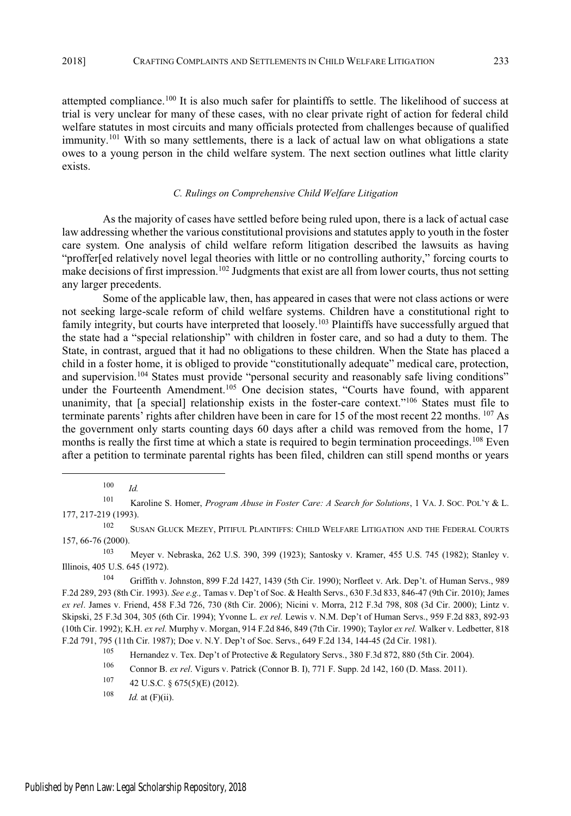attempted compliance.<sup>100</sup> It is also much safer for plaintiffs to settle. The likelihood of success at trial is very unclear for many of these cases, with no clear private right of action for federal child welfare statutes in most circuits and many officials protected from challenges because of qualified immunity.<sup>101</sup> With so many settlements, there is a lack of actual law on what obligations a state owes to a young person in the child welfare system. The next section outlines what little clarity exists.

## *C. Rulings on Comprehensive Child Welfare Litigation*

As the majority of cases have settled before being ruled upon, there is a lack of actual case law addressing whether the various constitutional provisions and statutes apply to youth in the foster care system. One analysis of child welfare reform litigation described the lawsuits as having "proffer[ed relatively novel legal theories with little or no controlling authority," forcing courts to make decisions of first impression.<sup>102</sup> Judgments that exist are all from lower courts, thus not setting any larger precedents.

Some of the applicable law, then, has appeared in cases that were not class actions or were not seeking large-scale reform of child welfare systems. Children have a constitutional right to family integrity, but courts have interpreted that loosely.<sup>103</sup> Plaintiffs have successfully argued that the state had a "special relationship" with children in foster care, and so had a duty to them. The State, in contrast, argued that it had no obligations to these children. When the State has placed a child in a foster home, it is obliged to provide "constitutionally adequate" medical care, protection, and supervision.<sup>104</sup> States must provide "personal security and reasonably safe living conditions" under the Fourteenth Amendment.<sup>105</sup> One decision states, "Courts have found, with apparent unanimity, that [a special] relationship exists in the foster-care context."<sup>106</sup> States must file to terminate parents' rights after children have been in care for 15 of the most recent 22 months.  $^{107}$  As the government only starts counting days 60 days after a child was removed from the home, 17 months is really the first time at which a state is required to begin termination proceedings.<sup>108</sup> Even after a petition to terminate parental rights has been filed, children can still spend months or years

<sup>100</sup> *Id.*

<sup>101</sup> Karoline S. Homer, *Program Abuse in Foster Care: A Search for Solutions*, 1 VA. J. SOC. POL'<sup>Y</sup> & L. 177, 217-219 (1993).

<sup>102</sup> SUSAN GLUCK MEZEY, PITIFUL PLAINTIFFS: CHILD WELFARE LITIGATION AND THE FEDERAL COURTS 157, 66-76 (2000).

<sup>103</sup> Meyer v. Nebraska, 262 U.S. 390, 399 (1923); Santosky v. Kramer, 455 U.S. 745 (1982); Stanley v. Illinois, 405 U.S. 645 (1972).

<sup>104</sup> Griffith v. Johnston, 899 F.2d 1427, 1439 (5th Cir. 1990); Norfleet v. Ark. Dep't. of Human Servs., 989 F.2d 289, 293 (8th Cir. 1993). *See e.g.,* Tamas v. Dep't of Soc. & Health Servs., 630 F.3d 833, 846-47 (9th Cir. 2010); James *ex rel*. James v. Friend, 458 F.3d 726, 730 (8th Cir. 2006); Nicini v. Morra, 212 F.3d 798, 808 (3d Cir. 2000); Lintz v. Skipski, 25 F.3d 304, 305 (6th Cir. 1994); Yvonne L. *ex rel.* Lewis v. N.M. Dep't of Human Servs., 959 F.2d 883, 892-93 (10th Cir. 1992); K.H. *ex rel.* Murphy v. Morgan, 914 F.2d 846, 849 (7th Cir. 1990); Taylor *ex rel.* Walker v. Ledbetter, 818 F.2d 791, 795 (11th Cir. 1987); Doe v. N.Y. Dep't of Soc. Servs., 649 F.2d 134, 144-45 (2d Cir. 1981).

<sup>105</sup> Hernandez v. Tex. Dep't of Protective & Regulatory Servs., 380 F.3d 872, 880 (5th Cir. 2004).

<sup>106</sup> Connor B. *ex rel*. Vigurs v. Patrick (Connor B. I), 771 F. Supp. 2d 142, 160 (D. Mass. 2011).

 $107$  42 U.S.C. § 675(5)(E) (2012).

 $108$  *Id.* at (F)(ii).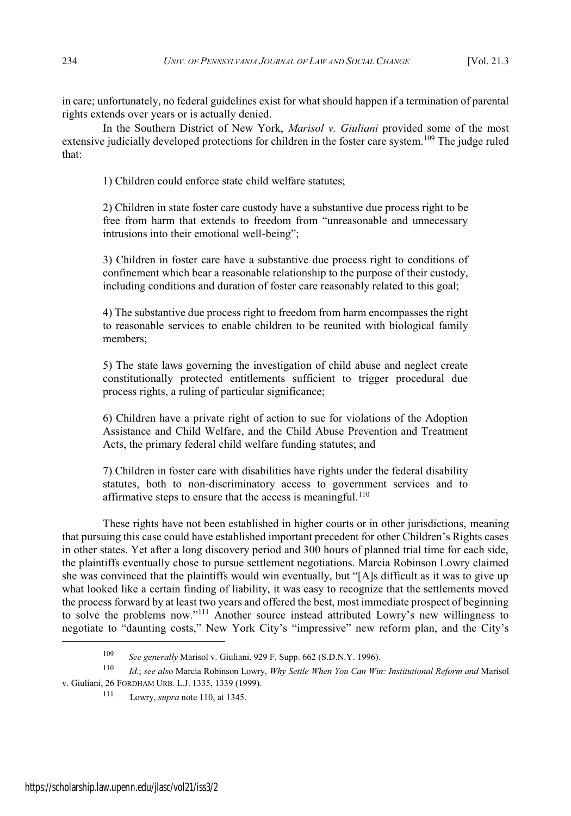in care; unfortunately, no federal guidelines exist for what should happen if a termination of parental rights extends over years or is actually denied.

In the Southern District of New York, *Marisol v. Giuliani* provided some of the most extensive judicially developed protections for children in the foster care system.<sup>109</sup> The judge ruled that:

1) Children could enforce state child welfare statutes;

2) Children in state foster care custody have a substantive due process right to be free from harm that extends to freedom from "unreasonable and unnecessary intrusions into their emotional well-being";

3) Children in foster care have a substantive due process right to conditions of confinement which bear a reasonable relationship to the purpose of their custody, including conditions and duration of foster care reasonably related to this goal;

4) The substantive due process right to freedom from harm encompasses the right to reasonable services to enable children to be reunited with biological family members;

5) The state laws governing the investigation of child abuse and neglect create constitutionally protected entitlements sufficient to trigger procedural due process rights, a ruling of particular significance;

6) Children have a private right of action to sue for violations of the Adoption Assistance and Child Welfare, and the Child Abuse Prevention and Treatment Acts, the primary federal child welfare funding statutes; and

7) Children in foster care with disabilities have rights under the federal disability statutes, both to non-discriminatory access to government services and to affirmative steps to ensure that the access is meaningful.<sup>110</sup>

These rights have not been established in higher courts or in other jurisdictions, meaning that pursuing this case could have established important precedent for other Children's Rights cases in other states. Yet after a long discovery period and 300 hours of planned trial time for each side, the plaintiffs eventually chose to pursue settlement negotiations. Marcia Robinson Lowry claimed she was convinced that the plaintiffs would win eventually, but "[A]s difficult as it was to give up what looked like a certain finding of liability, it was easy to recognize that the settlements moved the process forward by at least two years and offered the best, most immediate prospect of beginning to solve the problems now." $^{111}$  Another source instead attributed Lowry's new willingness to negotiate to "daunting costs," New York City's "impressive" new reform plan, and the City's

<sup>109</sup> *See generally* Marisol v. Giuliani, 929 F. Supp. 662 (S.D.N.Y. 1996).

<sup>110</sup> *Id.*; *see als*o Marcia Robinson Lowry, *Why Settle When You Can Win: Institutional Reform and* Marisol v. Giuliani, 26 FORDHAM URB. L.J. 1335, 1339 (1999).

<sup>111</sup> Lowry, *supra* note 110, at 1345.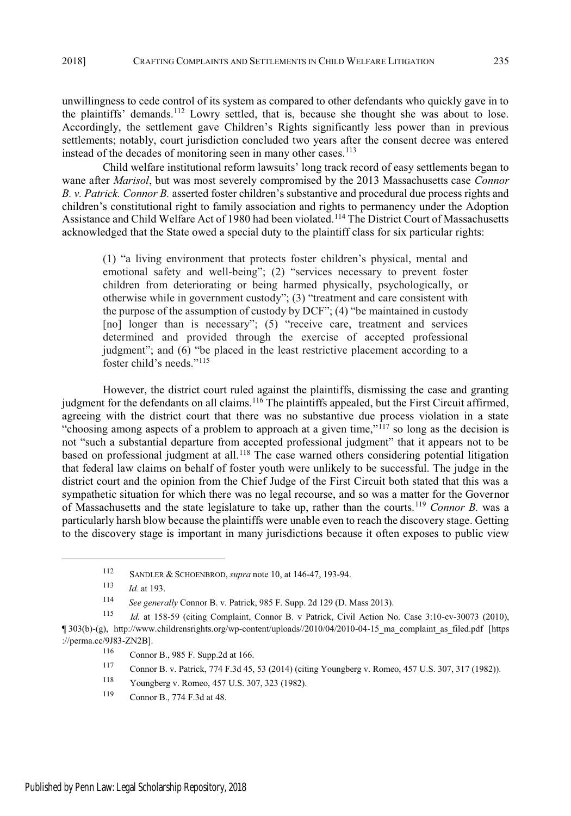unwillingness to cede control of its system as compared to other defendants who quickly gave in to the plaintiffs' demands.<sup>112</sup> Lowry settled, that is, because she thought she was about to lose. Accordingly, the settlement gave Children's Rights significantly less power than in previous settlements; notably, court jurisdiction concluded two years after the consent decree was entered instead of the decades of monitoring seen in many other cases.<sup>113</sup>

Child welfare institutional reform lawsuits' long track record of easy settlements began to wane after *Marisol*, but was most severely compromised by the 2013 Massachusetts case *Connor B. v. Patrick. Connor B.* asserted foster children's substantive and procedural due process rights and children's constitutional right to family association and rights to permanency under the Adoption Assistance and Child Welfare Act of 1980 had been violated.<sup>114</sup> The District Court of Massachusetts acknowledged that the State owed a special duty to the plaintiff class for six particular rights:

(1) "a living environment that protects foster children's physical, mental and emotional safety and well-being"; (2) "services necessary to prevent foster children from deteriorating or being harmed physically, psychologically, or otherwise while in government custody";  $(3)$  "treatment and care consistent with the purpose of the assumption of custody by  $DCF$ "; (4) "be maintained in custody [no] longer than is necessary";  $(5)$  "receive care, treatment and services determined and provided through the exercise of accepted professional judgment"; and (6) "be placed in the least restrictive placement according to a foster child's needs." $^{115}$ 

However, the district court ruled against the plaintiffs, dismissing the case and granting judgment for the defendants on all claims.<sup>116</sup> The plaintiffs appealed, but the First Circuit affirmed, agreeing with the district court that there was no substantive due process violation in a state "choosing among aspects of a problem to approach at a given time," $^{117}$  so long as the decision is not "such a substantial departure from accepted professional judgment" that it appears not to be based on professional judgment at all.<sup>118</sup> The case warned others considering potential litigation that federal law claims on behalf of foster youth were unlikely to be successful. The judge in the district court and the opinion from the Chief Judge of the First Circuit both stated that this was a sympathetic situation for which there was no legal recourse, and so was a matter for the Governor of Massachusetts and the state legislature to take up, rather than the courts.<sup>119</sup> *Connor B.* was a particularly harsh blow because the plaintiffs were unable even to reach the discovery stage. Getting to the discovery stage is important in many jurisdictions because it often exposes to public view

<sup>112</sup> SANDLER & SCHOENBROD, *supra* note 10, at 146-47, 193-94.

<sup>113</sup> *Id.* at 193.

<sup>114</sup> *See generally* Connor B. v. Patrick, 985 F. Supp. 2d 129 (D. Mass 2013).

<sup>115</sup> *Id.* at 158-59 (citing Complaint, Connor B. v Patrick, Civil Action No. Case 3:10-cv-30073 (2010), ¶ 303(b)-(g), http://www.childrensrights.org/wp-content/uploads//2010/04/2010-04-15\_ma\_complaint\_as\_filed.pdf [https ://perma.cc/9J83-ZN2B].

<sup>116</sup> Connor B., 985 F. Supp.2d at 166.

<sup>117</sup> Connor B. v. Patrick, 774 F.3d 45, 53 (2014) (citing Youngberg v. Romeo, 457 U.S. 307, 317 (1982)).

<sup>118</sup> Youngberg v. Romeo, 457 U.S. 307, 323 (1982).

<sup>119</sup> Connor B., 774 F.3d at 48.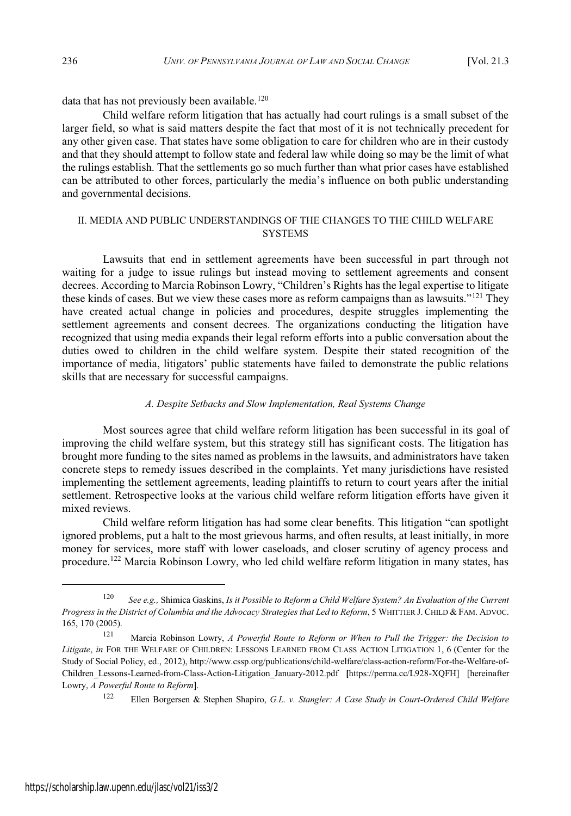data that has not previously been available.<sup>120</sup>

Child welfare reform litigation that has actually had court rulings is a small subset of the larger field, so what is said matters despite the fact that most of it is not technically precedent for any other given case. That states have some obligation to care for children who are in their custody and that they should attempt to follow state and federal law while doing so may be the limit of what the rulings establish. That the settlements go so much further than what prior cases have established can be attributed to other forces, particularly the media's influence on both public understanding and governmental decisions.

# II. MEDIA AND PUBLIC UNDERSTANDINGS OF THE CHANGES TO THE CHILD WELFARE **SVSTEMS**

Lawsuits that end in settlement agreements have been successful in part through not waiting for a judge to issue rulings but instead moving to settlement agreements and consent decrees. According to Marcia Robinson Lowry, "Children's Rights has the legal expertise to litigate these kinds of cases. But we view these cases more as reform campaigns than as lawsuits."<sup>121</sup> They have created actual change in policies and procedures, despite struggles implementing the settlement agreements and consent decrees. The organizations conducting the litigation have recognized that using media expands their legal reform efforts into a public conversation about the duties owed to children in the child welfare system. Despite their stated recognition of the importance of media, litigators' public statements have failed to demonstrate the public relations skills that are necessary for successful campaigns.

# *A. Despite Setbacks and Slow Implementation, Real Systems Change*

Most sources agree that child welfare reform litigation has been successful in its goal of improving the child welfare system, but this strategy still has significant costs. The litigation has brought more funding to the sites named as problems in the lawsuits, and administrators have taken concrete steps to remedy issues described in the complaints. Yet many jurisdictions have resisted implementing the settlement agreements, leading plaintiffs to return to court years after the initial settlement. Retrospective looks at the various child welfare reform litigation efforts have given it mixed reviews.

Child welfare reform litigation has had some clear benefits. This litigation "can spotlight ignored problems, put a halt to the most grievous harms, and often results, at least initially, in more money for services, more staff with lower caseloads, and closer scrutiny of agency process and procedure.<sup>122</sup> Marcia Robinson Lowry, who led child welfare reform litigation in many states, has

<sup>120</sup> *See e.g.,* Shimica Gaskins, *Is it Possible to Reform a Child Welfare System? An Evaluation of the Current Progress in the District of Columbia and the Advocacy Strategies that Led to Reform*, 5 WHITTIER J. CHILD & FAM. ADVOC. 165, 170 (2005).

<sup>121</sup> Marcia Robinson Lowry, *A Powerful Route to Reform or When to Pull the Trigger: the Decision to Litigate*, *in* FOR THE WELFARE OF CHILDREN: LESSONS LEARNED FROM CLASS ACTION LITIGATION 1, 6 (Center for the Study of Social Policy, ed., 2012), http://www.cssp.org/publications/child-welfare/class-action-reform/For-the-Welfare-of-Children\_Lessons-Learned-from-Class-Action-Litigation\_January-2012.pdf **[**https://perma.cc/L928-XQFH] [hereinafter Lowry, *A Powerful Route to Reform*].

<sup>122</sup> Ellen Borgersen & Stephen Shapiro, *G.L. v. Stangler: A Case Study in Court-Ordered Child Welfare*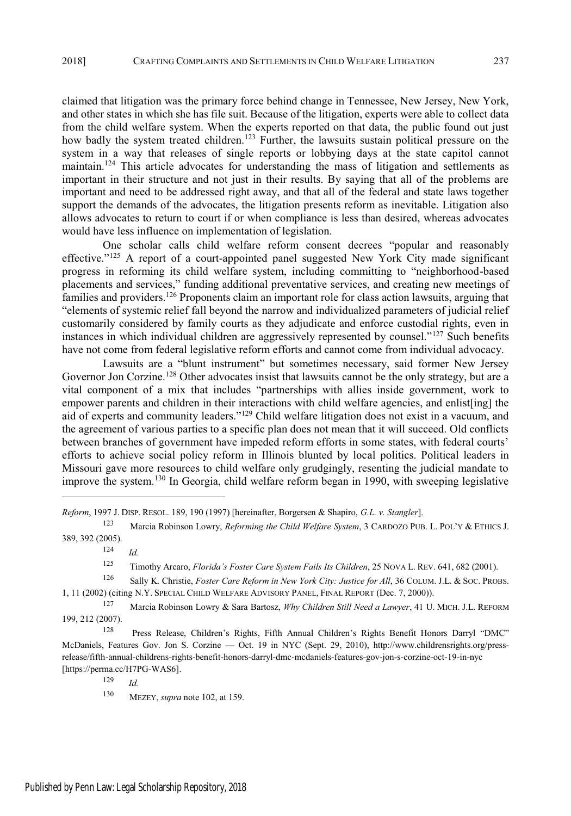claimed that litigation was the primary force behind change in Tennessee, New Jersey, New York, and other states in which she has file suit. Because of the litigation, experts were able to collect data from the child welfare system. When the experts reported on that data, the public found out just how badly the system treated children.<sup>123</sup> Further, the lawsuits sustain political pressure on the system in a way that releases of single reports or lobbying days at the state capitol cannot maintain.<sup>124</sup> This article advocates for understanding the mass of litigation and settlements as important in their structure and not just in their results. By saying that all of the problems are important and need to be addressed right away, and that all of the federal and state laws together support the demands of the advocates, the litigation presents reform as inevitable. Litigation also allows advocates to return to court if or when compliance is less than desired, whereas advocates would have less influence on implementation of legislation.

One scholar calls child welfare reform consent decrees "popular and reasonably effective."<sup>125</sup> A report of a court-appointed panel suggested New York City made significant progress in reforming its child welfare system, including committing to "neighborhood-based placements and services," funding additional preventative services, and creating new meetings of families and providers.<sup>126</sup> Proponents claim an important role for class action lawsuits, arguing that "elements of systemic relief fall beyond the narrow and individualized parameters of judicial relief customarily considered by family courts as they adjudicate and enforce custodial rights, even in instances in which individual children are aggressively represented by counsel."<sup>127</sup> Such benefits have not come from federal legislative reform efforts and cannot come from individual advocacy.

Lawsuits are a "blunt instrument" but sometimes necessary, said former New Jersey Governor Jon Corzine.<sup>128</sup> Other advocates insist that lawsuits cannot be the only strategy, but are a vital component of a mix that includes "partnerships with allies inside government, work to empower parents and children in their interactions with child welfare agencies, and enlist[ing] the aid of experts and community leaders."<sup>129</sup> Child welfare litigation does not exist in a vacuum, and the agreement of various parties to a specific plan does not mean that it will succeed. Old conflicts between branches of government have impeded reform efforts in some states, with federal courts' efforts to achieve social policy reform in Illinois blunted by local politics. Political leaders in Missouri gave more resources to child welfare only grudgingly, resenting the judicial mandate to improve the system.<sup>130</sup> In Georgia, child welfare reform began in 1990, with sweeping legislative

<sup>129</sup> *Id.*

*Reform*, 1997 J. DISP. RESOL. 189, 190 (1997) [hereinafter, Borgersen & Shapiro, *G.L. v. Stangler*].

<sup>123</sup> Marcia Robinson Lowry, *Reforming the Child Welfare System*, 3 CARDOZO PUB. L. POL'<sup>Y</sup> & ETHICS J. 389, 392 (2005).

<sup>124</sup> *Id.*

<sup>125</sup> Timothy Arcaro, *Florida's Foster Care System Fails Its Children*, 25 NOVA L. REV. 641, 682 (2001).

<sup>126</sup> Sally K. Christie, *Foster Care Reform in New York City: Justice for All*, 36 COLUM. J.L. & SOC. PROBS. 1, 11 (2002) (citing N.Y. SPECIAL CHILD WELFARE ADVISORY PANEL, FINAL REPORT (Dec. 7, 2000)).

<sup>127</sup> Marcia Robinson Lowry & Sara Bartosz, *Why Children Still Need a Lawyer*, 41 U. MICH. J.L. REFORM 199, 212 (2007).

<sup>128</sup> Press Release, Children's Rights, Fifth Annual Children's Rights Benefit Honors Darryl "DMC" McDaniels, Features Gov. Jon S. Corzine - Oct. 19 in NYC (Sept. 29, 2010), http://www.childrensrights.org/pressrelease/fifth-annual-childrens-rights-benefit-honors-darryl-dmc-mcdaniels-features-gov-jon-s-corzine-oct-19-in-nyc [https://perma.cc/H7PG-WAS6].

<sup>130</sup> MEZEY, *supra* note 102, at 159.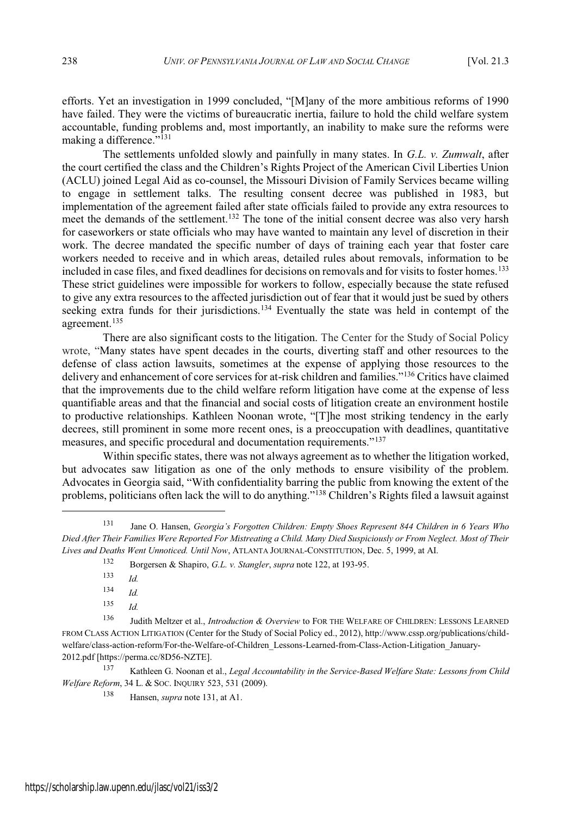efforts. Yet an investigation in 1999 concluded, "[M] any of the more ambitious reforms of 1990 have failed. They were the victims of bureaucratic inertia, failure to hold the child welfare system accountable, funding problems and, most importantly, an inability to make sure the reforms were making a difference."<sup>131</sup>

The settlements unfolded slowly and painfully in many states. In *G.L. v. Zumwalt*, after the court certified the class and the Children's Rights Project of the American Civil Liberties Union (ACLU) joined Legal Aid as co-counsel, the Missouri Division of Family Services became willing to engage in settlement talks. The resulting consent decree was published in 1983, but implementation of the agreement failed after state officials failed to provide any extra resources to meet the demands of the settlement.<sup>132</sup> The tone of the initial consent decree was also very harsh for caseworkers or state officials who may have wanted to maintain any level of discretion in their work. The decree mandated the specific number of days of training each year that foster care workers needed to receive and in which areas, detailed rules about removals, information to be included in case files, and fixed deadlines for decisions on removals and for visits to foster homes.<sup>133</sup> These strict guidelines were impossible for workers to follow, especially because the state refused to give any extra resources to the affected jurisdiction out of fear that it would just be sued by others seeking extra funds for their jurisdictions.<sup>134</sup> Eventually the state was held in contempt of the agreement.<sup>135</sup>

There are also significant costs to the litigation. The Center for the Study of Social Policy wrote, "Many states have spent decades in the courts, diverting staff and other resources to the defense of class action lawsuits, sometimes at the expense of applying those resources to the delivery and enhancement of core services for at-risk children and families."<sup>136</sup> Critics have claimed that the improvements due to the child welfare reform litigation have come at the expense of less quantifiable areas and that the financial and social costs of litigation create an environment hostile to productive relationships. Kathleen Noonan wrote, "[T]he most striking tendency in the early decrees, still prominent in some more recent ones, is a preoccupation with deadlines, quantitative measures, and specific procedural and documentation requirements." $^{137}$ 

Within specific states, there was not always agreement as to whether the litigation worked, but advocates saw litigation as one of the only methods to ensure visibility of the problem. Advocates in Georgia said, "With confidentiality barring the public from knowing the extent of the problems, politicians often lack the will to do anything.<sup> $\frac{1}{138}$ </sup> Children's Rights filed a lawsuit against

<sup>131</sup> Jane O. Hansen, *Georgia's Forgotten Children: Empty Shoes Represent 844 Children in 6 Years Who* Died After Their Families Were Reported For Mistreating a Child. Many Died Suspiciously or From Neglect. Most of Their *Lives and Deaths Went Unnoticed. Until Now*, ATLANTA JOURNAL-CONSTITUTION, Dec. 5, 1999, at AI.

<sup>132</sup> Borgersen & Shapiro, *G.L. v. Stangler*, *supra* note 122, at 193-95.

<sup>133</sup> *Id.*

<sup>134</sup> *Id.*

<sup>135</sup> *Id.*

<sup>136</sup> Judith Meltzer et al., *Introduction & Overview* to FOR THE WELFARE OF CHILDREN: LESSONS LEARNED FROM CLASS ACTION LITIGATION (Center for the Study of Social Policy ed., 2012), http://www.cssp.org/publications/childwelfare/class-action-reform/For-the-Welfare-of-Children\_Lessons-Learned-from-Class-Action-Litigation\_January-2012.pdf [https://perma.cc/8D56-NZTE].

<sup>137</sup> Kathleen G. Noonan et al., *Legal Accountability in the Service-Based Welfare State: Lessons from Child Welfare Reform*, 34 L. & SOC. INQUIRY 523, 531 (2009).

<sup>138</sup> Hansen, *supra* note 131, at A1.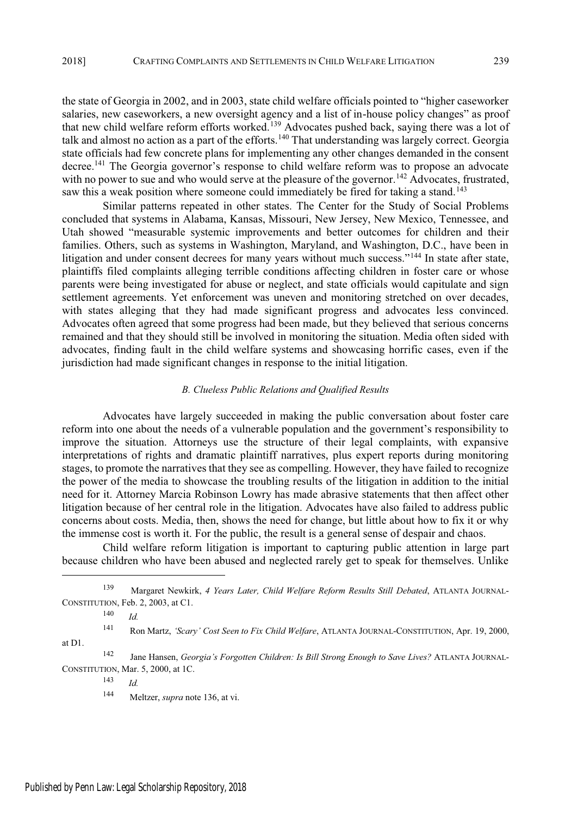the state of Georgia in 2002, and in 2003, state child welfare officials pointed to "higher caseworker" salaries, new caseworkers, a new oversight agency and a list of in-house policy changes" as proof that new child welfare reform efforts worked.<sup>139</sup> Advocates pushed back, saying there was a lot of talk and almost no action as a part of the efforts.<sup>140</sup> That understanding was largely correct. Georgia state officials had few concrete plans for implementing any other changes demanded in the consent decree.<sup>141</sup> The Georgia governor's response to child welfare reform was to propose an advocate with no power to sue and who would serve at the pleasure of the governor.<sup>142</sup> Advocates, frustrated, saw this a weak position where someone could immediately be fired for taking a stand.<sup>143</sup>

Similar patterns repeated in other states. The Center for the Study of Social Problems concluded that systems in Alabama, Kansas, Missouri, New Jersey, New Mexico, Tennessee, and Utah showed "measurable systemic improvements and better outcomes for children and their families. Others, such as systems in Washington, Maryland, and Washington, D.C., have been in litigation and under consent decrees for many years without much success."<sup>144</sup> In state after state, plaintiffs filed complaints alleging terrible conditions affecting children in foster care or whose parents were being investigated for abuse or neglect, and state officials would capitulate and sign settlement agreements. Yet enforcement was uneven and monitoring stretched on over decades, with states alleging that they had made significant progress and advocates less convinced. Advocates often agreed that some progress had been made, but they believed that serious concerns remained and that they should still be involved in monitoring the situation. Media often sided with advocates, finding fault in the child welfare systems and showcasing horrific cases, even if the jurisdiction had made significant changes in response to the initial litigation.

### *B. Clueless Public Relations and Qualified Results*

Advocates have largely succeeded in making the public conversation about foster care reform into one about the needs of a vulnerable population and the government's responsibility to improve the situation. Attorneys use the structure of their legal complaints, with expansive interpretations of rights and dramatic plaintiff narratives, plus expert reports during monitoring stages, to promote the narratives that they see as compelling. However, they have failed to recognize the power of the media to showcase the troubling results of the litigation in addition to the initial need for it. Attorney Marcia Robinson Lowry has made abrasive statements that then affect other litigation because of her central role in the litigation. Advocates have also failed to address public concerns about costs. Media, then, shows the need for change, but little about how to fix it or why the immense cost is worth it. For the public, the result is a general sense of despair and chaos.

Child welfare reform litigation is important to capturing public attention in large part because children who have been abused and neglected rarely get to speak for themselves. Unlike

<sup>143</sup> *Id.*

<sup>139</sup> Margaret Newkirk, *4 Years Later, Child Welfare Reform Results Still Debated*, ATLANTA JOURNAL-CONSTITUTION, Feb. 2, 2003, at C1.

<sup>140</sup> *Id.*

<sup>141</sup> Ron Martz, *!Scary' Cost Seen to Fix Child Welfare*, ATLANTA JOURNAL-CONSTITUTION, Apr. 19, 2000, at D1.

<sup>142</sup> Jane Hansen, *Georgia's Forgotten Children: Is Bill Strong Enough to Save Lives?* ATLANTA JOURNAL-CONSTITUTION, Mar. 5, 2000, at 1C.

<sup>144</sup> Meltzer, *supra* note 136, at vi.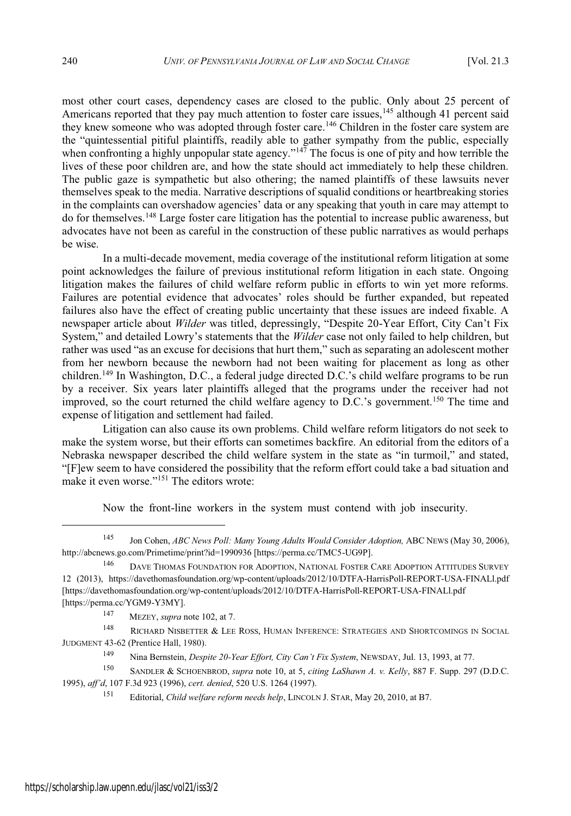most other court cases, dependency cases are closed to the public. Only about 25 percent of Americans reported that they pay much attention to foster care issues,<sup>145</sup> although 41 percent said they knew someone who was adopted through foster care.<sup>146</sup> Children in the foster care system are the "quintessential pitiful plaintiffs, readily able to gather sympathy from the public, especially when confronting a highly unpopular state agency." $147$  The focus is one of pity and how terrible the lives of these poor children are, and how the state should act immediately to help these children. The public gaze is sympathetic but also othering; the named plaintiffs of these lawsuits never themselves speak to the media. Narrative descriptions of squalid conditions or heartbreaking stories in the complaints can overshadow agencies' data or any speaking that youth in care may attempt to do for themselves.<sup>148</sup> Large foster care litigation has the potential to increase public awareness, but advocates have not been as careful in the construction of these public narratives as would perhaps be wise.

In a multi-decade movement, media coverage of the institutional reform litigation at some point acknowledges the failure of previous institutional reform litigation in each state. Ongoing litigation makes the failures of child welfare reform public in efforts to win yet more reforms. Failures are potential evidence that advocates' roles should be further expanded, but repeated failures also have the effect of creating public uncertainty that these issues are indeed fixable. A newspaper article about *Wilder* was titled, depressingly, "Despite 20-Year Effort, City Can't Fix System," and detailed Lowry's statements that the *Wilder* case not only failed to help children, but rather was used "as an excuse for decisions that hurt them," such as separating an adolescent mother from her newborn because the newborn had not been waiting for placement as long as other children.<sup>149</sup> In Washington, D.C., a federal judge directed D.C.'s child welfare programs to be run by a receiver. Six years later plaintiffs alleged that the programs under the receiver had not improved, so the court returned the child welfare agency to D.C.'s government.<sup>150</sup> The time and expense of litigation and settlement had failed.

Litigation can also cause its own problems. Child welfare reform litigators do not seek to make the system worse, but their efforts can sometimes backfire. An editorial from the editors of a Nebraska newspaper described the child welfare system in the state as "in turmoil," and stated, "[F] ew seem to have considered the possibility that the reform effort could take a bad situation and make it even worse."<sup>151</sup> The editors wrote:

Now the front-line workers in the system must contend with job insecurity.

<sup>147</sup> MEZEY, *supra* note 102, at 7.

<sup>148</sup> RICHARD NISBETTER & LEE ROSS, HUMAN INFERENCE: STRATEGIES AND SHORTCOMINGS IN SOCIAL JUDGMENT 43-62 (Prentice Hall, 1980).

<sup>150</sup> SANDLER & SCHOENBROD, *supra* note 10, at 5, *citing LaShawn A. v. Kelly*, 887 F. Supp. 297 (D.D.C. 1995), *aff' d*, 107 F.3d 923 (1996), *cert. denied*, 520 U.S. 1264 (1997).

<sup>145</sup> Jon Cohen, *ABC News Poll: Many Young Adults Would Consider Adoption,* ABC NEWS (May 30, 2006), http://abcnews.go.com/Primetime/print?id=1990936 [https://perma.cc/TMC5-UG9P].

<sup>146</sup> DAVE THOMAS FOUNDATION FOR ADOPTION, NATIONAL FOSTER CARE ADOPTION ATTITUDES SURVEY 12 (2013), https://davethomasfoundation.org/wp-content/uploads/2012/10/DTFA-HarrisPoll-REPORT-USA-FINALl.pdf [https://davethomasfoundation.org/wp-content/uploads/2012/10/DTFA-HarrisPoll-REPORT-USA-FINALl.pdf [https://perma.cc/YGM9-Y3MY].

<sup>149</sup> Nina Bernstein, *Despite 20-Year Effort, City Can' t Fix System*, NEWSDAY, Jul. 13, 1993, at 77.

<sup>151</sup> Editorial, *Child welfare reform needs help*, LINCOLN J. STAR, May 20, 2010, at B7.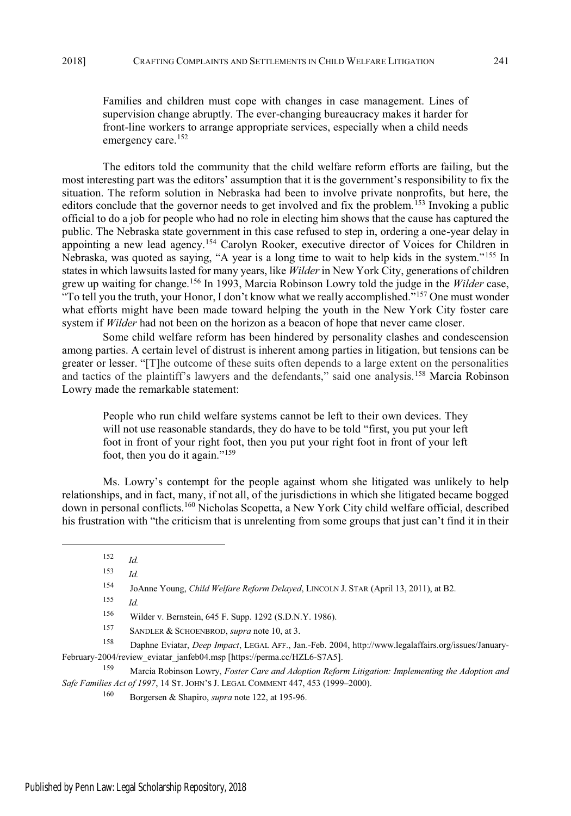Families and children must cope with changes in case management. Lines of supervision change abruptly. The ever-changing bureaucracy makes it harder for front-line workers to arrange appropriate services, especially when a child needs emergency care.<sup>152</sup>

The editors told the community that the child welfare reform efforts are failing, but the most interesting part was the editors' assumption that it is the government's responsibility to fix the situation. The reform solution in Nebraska had been to involve private nonprofits, but here, the editors conclude that the governor needs to get involved and fix the problem.<sup>153</sup> Invoking a public official to do a job for people who had no role in electing him shows that the cause has captured the public. The Nebraska state government in this case refused to step in, ordering a one-year delay in appointing a new lead agency.<sup>154</sup> Carolyn Rooker, executive director of Voices for Children in Nebraska, was quoted as saying, "A year is a long time to wait to help kids in the system."<sup>155</sup> In statesin which lawsuits lasted for many years, like *Wilder*in New York City, generations of children grew up waiting for change.<sup>156</sup> In 1993, Marcia Robinson Lowry told the judge in the *Wilder* case, "To tell you the truth, your Honor, I don't know what we really accomplished."<sup>157</sup> One must wonder what efforts might have been made toward helping the youth in the New York City foster care system if *Wilder* had not been on the horizon as a beacon of hope that never came closer.

Some child welfare reform has been hindered by personality clashes and condescension among parties. A certain level of distrust is inherent among parties in litigation, but tensions can be greater or lesser. "[T]he outcome of these suits often depends to a large extent on the personalities and tactics of the plaintiff's lawyers and the defendants," said one analysis.<sup>158</sup> Marcia Robinson Lowry made the remarkable statement:

People who run child welfare systems cannot be left to their own devices. They will not use reasonable standards, they do have to be told "first, you put your left" foot in front of your right foot, then you put your right foot in front of your left foot, then you do it again."<sup>159</sup>

Ms. Lowry's contempt for the people against whom she litigated was unlikely to help relationships, and in fact, many, if not all, of the jurisdictions in which she litigated became bogged down in personal conflicts.<sup>160</sup> Nicholas Scopetta, a New York City child welfare official, described his frustration with "the criticism that is unrelenting from some groups that just can't find it in their

<sup>155</sup> *Id.*

<sup>156</sup> Wilder v. Bernstein, 645 F. Supp. 1292 (S.D.N.Y. 1986).

<sup>157</sup> SANDLER & SCHOENBROD, *supra* note 10, at 3.

<sup>158</sup> Daphne Eviatar, *Deep Impact*, LEGAL AFF., Jan.-Feb. 2004, http://www.legalaffairs.org/issues/January-February-2004/review\_eviatar\_janfeb04.msp [https://perma.cc/HZL6-S7A5].

<sup>159</sup> Marcia Robinson Lowry, *Foster Care and Adoption Reform Litigation: Implementing the Adoption and Safe Families Act of 1997*, 14 ST. JOHN'S J. LEGAL COMMENT 447, 453 (1999-2000).

<sup>152</sup> *Id.*

<sup>153</sup> *Id.*

<sup>154</sup> JoAnne Young, *Child Welfare Reform Delayed*, LINCOLN J. STAR (April 13, 2011), at B2.

<sup>160</sup> Borgersen & Shapiro, *supra* note 122, at 195-96.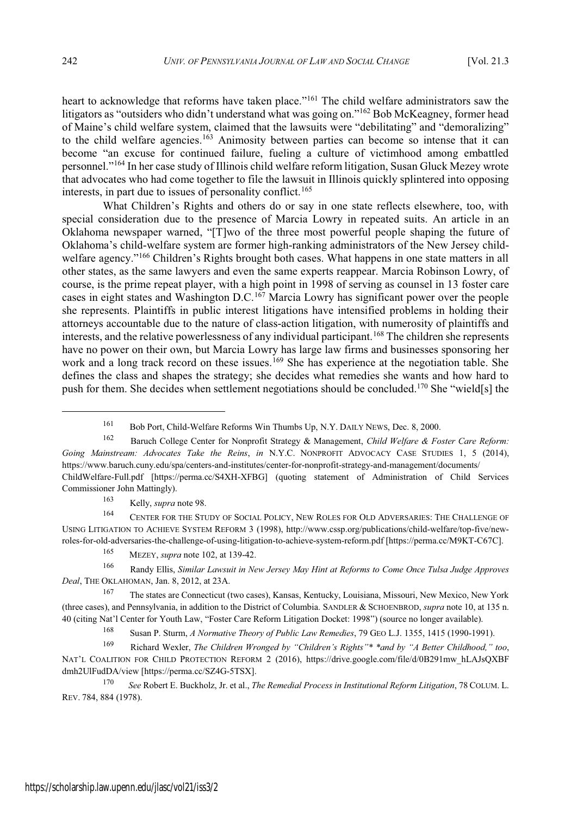heart to acknowledge that reforms have taken place."<sup>161</sup> The child welfare administrators saw the litigators as "outsiders who didn't understand what was going on."<sup>162</sup> Bob McKeagney, former head of Maine's child welfare system, claimed that the lawsuits were "debilitating" and "demoralizing" to the child welfare agencies.<sup>163</sup> Animosity between parties can become so intense that it can become "an excuse for continued failure, fueling a culture of victimhood among embattled personnel."<sup>164</sup> In her case study of Illinois child welfare reform litigation, Susan Gluck Mezey wrote that advocates who had come together to file the lawsuit in Illinois quickly splintered into opposing interests, in part due to issues of personality conflict.<sup>165</sup>

What Children's Rights and others do or say in one state reflects elsewhere, too, with special consideration due to the presence of Marcia Lowry in repeated suits. An article in an Oklahoma newspaper warned, "[T]wo of the three most powerful people shaping the future of Oklahoma's child-welfare system are former high-ranking administrators of the New Jersey childwelfare agency."<sup>166</sup> Children's Rights brought both cases. What happens in one state matters in all other states, as the same lawyers and even the same experts reappear. Marcia Robinson Lowry, of course, is the prime repeat player, with a high point in 1998 of serving as counsel in 13 foster care cases in eight states and Washington D.C.<sup>167</sup> Marcia Lowry has significant power over the people she represents. Plaintiffs in public interest litigations have intensified problems in holding their attorneys accountable due to the nature of class-action litigation, with numerosity of plaintiffs and interests, and the relative powerlessness of any individual participant.<sup>168</sup> The children she represents have no power on their own, but Marcia Lowry has large law firms and businesses sponsoring her work and a long track record on these issues.<sup>169</sup> She has experience at the negotiation table. She defines the class and shapes the strategy; she decides what remedies she wants and how hard to push for them. She decides when settlement negotiations should be concluded.<sup>170</sup> She "wield[s] the

<sup>163</sup> Kelly, *supra* note 98.

<sup>164</sup> CENTER FOR THE STUDY OF SOCIAL POLICY, NEW ROLES FOR OLD ADVERSARIES: THE CHALLENGE OF USING LITIGATION TO ACHIEVE SYSTEM REFORM 3 (1998), http://www.cssp.org/publications/child-welfare/top-five/newroles-for-old-adversaries-the-challenge-of-using-litigation-to-achieve-system-reform.pdf [https://perma.cc/M9KT-C67C].

<sup>166</sup> Randy Ellis, *Similar Lawsuit in New Jersey May Hint at Reforms to Come Once Tulsa Judge Approves Deal*, THE OKLAHOMAN, Jan. 8, 2012, at 23A.

<sup>167</sup> The states are Connecticut (two cases), Kansas, Kentucky, Louisiana, Missouri, New Mexico, New York (three cases), and Pennsylvania, in addition to the District of Columbia. SANDLER & SCHOENBROD, *supra* note 10, at 135 n. 40 (citing Nat'l Center for Youth Law, "Foster Care Reform Litigation Docket: 1998") (source no longer available).

<sup>168</sup> Susan P. Sturm, *A Normative Theory of Public Law Remedies*, 79 GEO L.J. 1355, 1415 (1990-1991).

<sup>161</sup> Bob Port, Child-Welfare Reforms Win Thumbs Up, N.Y. DAILY NEWS, Dec. 8, 2000.

<sup>162</sup> Baruch College Center for Nonprofit Strategy & Management, *Child Welfare & Foster Care Reform: Going Mainstream: Advocates Take the Reins*, *in* N.Y.C. NONPROFIT ADVOCACY CASE STUDIES 1, 5 (2014), https://www.baruch.cuny.edu/spa/centers-and-institutes/center-for-nonprofit-strategy-and-management/documents/ ChildWelfare-Full.pdf [https://perma.cc/S4XH-XFBG] (quoting statement of Administration of Child Services Commissioner John Mattingly).

<sup>165</sup> MEZEY, *supra* note 102, at 139-42.

<sup>169</sup> Richard Wexler, *The Children Wronged by " Children's Rights" \* \*and by " A Better Childhood," too*, NAT'<sup>L</sup> COALITION FOR CHILD PROTECTION REFORM 2 (2016), https://drive.google.com/file/d/0B291mw\_hLAJsQXBF dmh2UlFudDA/view [https://perma.cc/SZ4G-5TSX].

<sup>170</sup> *See* Robert E. Buckholz, Jr. et al., *The Remedial Process in Institutional Reform Litigation*, 78 COLUM. L. REV. 784, 884 (1978).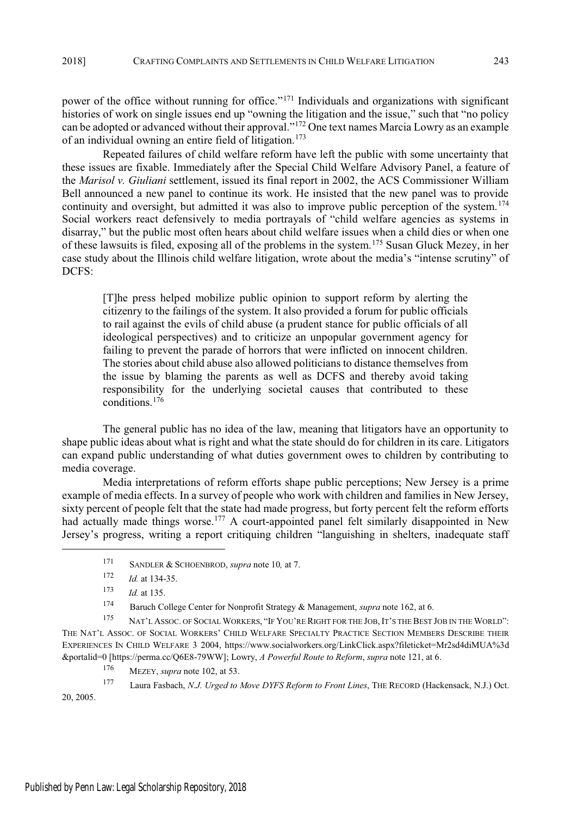power of the office without running for office."<sup>171</sup> Individuals and organizations with significant histories of work on single issues end up "owning the litigation and the issue," such that "no policy can be adopted or advanced without their approval."<sup>172</sup> One text names Marcia Lowry as an example of an individual owning an entire field of litigation.<sup>173</sup>

Repeated failures of child welfare reform have left the public with some uncertainty that these issues are fixable. Immediately after the Special Child Welfare Advisory Panel, a feature of the *Marisol v. Giuliani* settlement, issued its final report in 2002, the ACS Commissioner William Bell announced a new panel to continue its work. He insisted that the new panel was to provide continuity and oversight, but admitted it was also to improve public perception of the system.<sup>174</sup> Social workers react defensively to media portrayals of "child welfare agencies as systems in disarray," but the public most often hears about child welfare issues when a child dies or when one of these lawsuits is filed, exposing all of the problems in the system.<sup>175</sup> Susan Gluck Mezey, in her case study about the Illinois child welfare litigation, wrote about the media's "intense scrutiny" of DCFS:

[T]he press helped mobilize public opinion to support reform by alerting the citizenry to the failings of the system. It also provided a forum for public officials to rail against the evils of child abuse (a prudent stance for public officials of all ideological perspectives) and to criticize an unpopular government agency for failing to prevent the parade of horrors that were inflicted on innocent children. The stories about child abuse also allowed politicians to distance themselves from the issue by blaming the parents as well as DCFS and thereby avoid taking responsibility for the underlying societal causes that contributed to these conditions.<sup>176</sup>

The general public has no idea of the law, meaning that litigators have an opportunity to shape public ideas about what is right and what the state should do for children in its care. Litigators can expand public understanding of what duties government owes to children by contributing to media coverage.

Media interpretations of reform efforts shape public perceptions; New Jersey is a prime example of media effects. In a survey of people who work with children and families in New Jersey, sixty percent of people felt that the state had made progress, but forty percent felt the reform efforts had actually made things worse.<sup>177</sup> A court-appointed panel felt similarly disappointed in New Jersey's progress, writing a report critiquing children "languishing in shelters, inadequate staff

<sup>176</sup> MEZEY, *supra* note 102, at 53.

<sup>171</sup> SANDLER & SCHOENBROD, *supra* note 10*,* at 7.

<sup>172</sup> *Id.* at 134-35.

<sup>173</sup> *Id.* at 135.

<sup>174</sup> Baruch College Center for Nonprofit Strategy & Management, *supra* note 162, at 6.

<sup>175</sup> NAT'<sup>L</sup> ASSOC. OF SOCIAL WORKERS, "I<sup>F</sup> YOU'RE RIGHT FOR THE JOB, IT'<sup>S</sup> THE BEST JOB IN THE WORLD": THE NAT'<sup>L</sup> ASSOC. OF SOCIAL WORKERS' CHILD WELFARE SPECIALTY PRACTICE SECTION MEMBERS DESCRIBE THEIR EXPERIENCES IN CHILD WELFARE 3 2004, https://www.socialworkers.org/LinkClick.aspx?fileticket=Mr2sd4diMUA%3d &portalid=0 [https://perma.cc/Q6E8-79WW]; Lowry, *A Powerful Route to Reform*, *supra* note 121, at 6.

<sup>177</sup> Laura Fasbach, *N.J. Urged to Move DYFS Reform to Front Lines*, THE RECORD (Hackensack, N.J.) Oct. 20, 2005.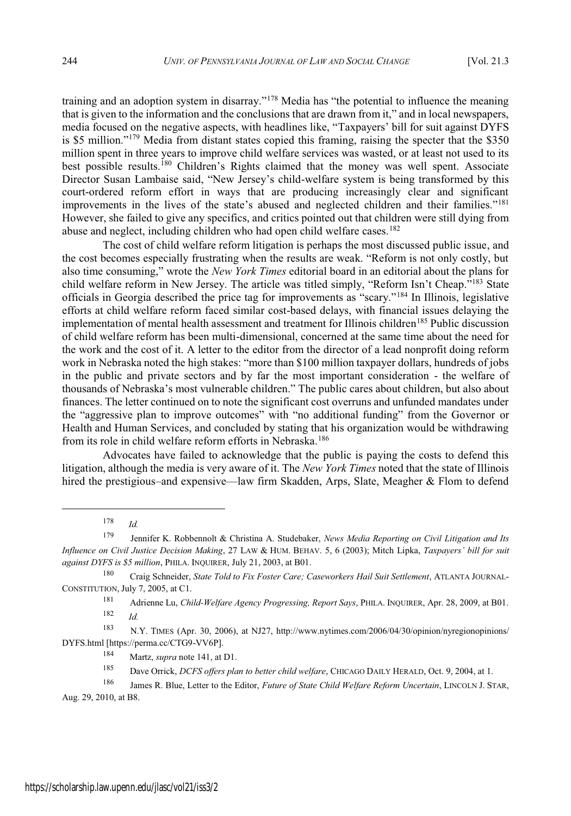training and an adoption system in disarray."<sup>178</sup> Media has "the potential to influence the meaning that is given to the information and the conclusions that are drawn from it," and in local newspapers, media focused on the negative aspects, with headlines like, "Taxpayers' bill for suit against DYFS is \$5 million."<sup>179</sup> Media from distant states copied this framing, raising the specter that the \$350 million spent in three years to improve child welfare services was wasted, or at least not used to its best possible results.<sup>180</sup> Children's Rights claimed that the money was well spent. Associate Director Susan Lambaise said, "New Jersey's child-welfare system is being transformed by this court-ordered reform effort in ways that are producing increasingly clear and significant improvements in the lives of the state's abused and neglected children and their families."<sup>181</sup> However, she failed to give any specifics, and critics pointed out that children were still dying from abuse and neglect, including children who had open child welfare cases.<sup>182</sup>

The cost of child welfare reform litigation is perhaps the most discussed public issue, and the cost becomes especially frustrating when the results are weak. "Reform is not only costly, but also time consuming," wrote the *New York Times* editorial board in an editorial about the plans for child welfare reform in New Jersey. The article was titled simply, "Reform Isn't Cheap."<sup>183</sup> State officials in Georgia described the price tag for improvements as "scary."<sup>184</sup> In Illinois, legislative efforts at child welfare reform faced similar cost-based delays, with financial issues delaying the implementation of mental health assessment and treatment for Illinois children<sup>185</sup> Public discussion of child welfare reform has been multi-dimensional, concerned at the same time about the need for the work and the cost of it. A letter to the editor from the director of a lead nonprofit doing reform work in Nebraska noted the high stakes: "more than \$100 million taxpayer dollars, hundreds of jobs in the public and private sectors and by far the most important consideration - the welfare of thousands of Nebraska's most vulnerable children." The public cares about children, but also about finances. The letter continued on to note the significant cost overruns and unfunded mandates under the "aggressive plan to improve outcomes" with "no additional funding" from the Governor or Health and Human Services, and concluded by stating that his organization would be withdrawing from its role in child welfare reform efforts in Nebraska.<sup>186</sup>

Advocates have failed to acknowledge that the public is paying the costs to defend this litigation, although the media is very aware of it. The *New York Times* noted that the state of Illinois hired the prestigious–and expensive—law firm Skadden, Arps, Slate, Meagher  $\&$  Flom to defend

<sup>178</sup> *Id.*

<sup>180</sup> Craig Schneider, *State Told to Fix Foster Care; Caseworkers Hail Suit Settlement*, ATLANTA JOURNAL-CONSTITUTION, July 7, 2005, at C1.

<sup>183</sup> N.Y. TIMES (Apr. 30, 2006), at NJ27, http://www.nytimes.com/2006/04/30/opinion/nyregionopinions/ DYFS.html [https://perma.cc/CTG9-VV6P].

<sup>184</sup> Martz, *supra* note 141, at D1.

<sup>185</sup> Dave Orrick, *DCFS offers plan to better child welfare*, CHICAGO DAILY HERALD, Oct. 9, 2004, at 1.

<sup>179</sup> Jennifer K. Robbennolt & Christina A. Studebaker, *News Media Reporting on Civil Litigation and Its Influence on Civil Justice Decision Making*, 27 LAW & HUM. BEHAV. 5, 6 (2003); Mitch Lipka, *Taxpayers' bill for suit against DYFS is \$5 million*, PHILA. INQUIRER, July 21, 2003, at B01.

<sup>181</sup> Adrienne Lu, *Child-Welfare Agency Progressing, Report Says*, PHILA. INQUIRER, Apr. 28, 2009, at B01. <sup>182</sup> *Id.*

<sup>186</sup> James R. Blue, Letter to the Editor, *Future of State Child Welfare Reform Uncertain*, LINCOLN J. STAR, Aug. 29, 2010, at B8.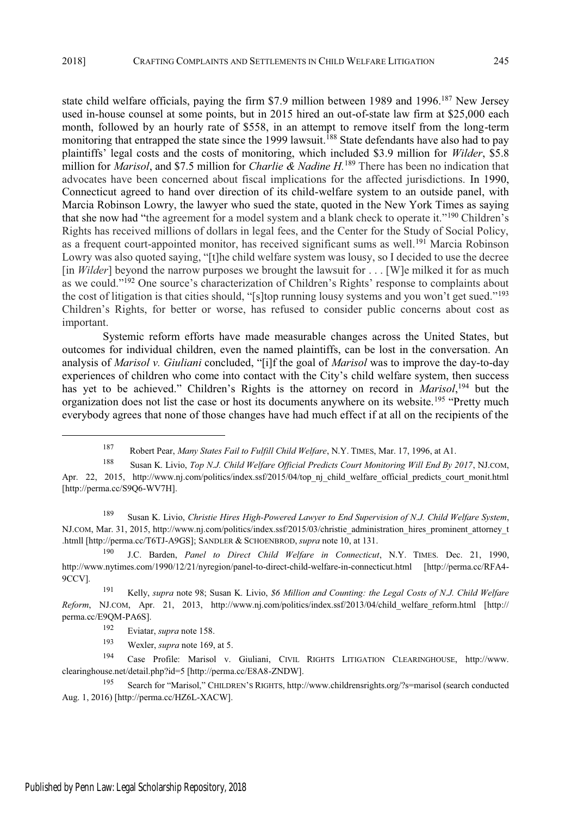state child welfare officials, paying the firm \$7.9 million between 1989 and 1996.<sup>187</sup> New Jersey used in-house counsel at some points, but in 2015 hired an out-of-state law firm at \$25,000 each month, followed by an hourly rate of \$558, in an attempt to remove itself from the long-term monitoring that entrapped the state since the 1999 lawsuit.<sup>188</sup> State defendants have also had to pay plaintiffs' legal costs and the costs of monitoring, which included \$3.9 million for *Wilder*, \$5.8 million for *Marisol*, and \$7.5 million for *Charlie & Nadine H.*<sup>189</sup> There has been no indication that advocates have been concerned about fiscal implications for the affected jurisdictions. In 1990, Connecticut agreed to hand over direction of its child-welfare system to an outside panel, with Marcia Robinson Lowry, the lawyer who sued the state, quoted in the New York Times as saying that she now had "the agreement for a model system and a blank check to operate it."<sup>190</sup> Children's Rights has received millions of dollars in legal fees, and the Center for the Study of Social Policy, as a frequent court-appointed monitor, has received significant sums as well.<sup>191</sup> Marcia Robinson Lowry was also quoted saying, "[t]he child welfare system was lousy, so I decided to use the decree [in *Wilder*] beyond the narrow purposes we brought the lawsuit for . . . [W]e milked it for as much as we could."<sup>192</sup> One source's characterization of Children's Rights' response to complaints about the cost of litigation is that cities should. "[s] top running lousy systems and you won't get sued."<sup>193</sup> Children's Rights, for better or worse, has refused to consider public concerns about cost as important.

Systemic reform efforts have made measurable changes across the United States, but outcomes for individual children, even the named plaintiffs, can be lost in the conversation. An analysis of *Marisol v. Giuliani* concluded, "[i]f the goal of *Marisol* was to improve the day-to-day experiences of children who come into contact with the City's child welfare system, then success has yet to be achieved." Children's Rights is the attorney on record in *Marisol*,<sup>194</sup> but the organization does not list the case or host its documents anywhere on its website.<sup>195</sup> "Pretty much everybody agrees that none of those changes have had much effect if at all on the recipients of the

<sup>193</sup> Wexler, *supra* note 169, at 5.

<sup>187</sup> Robert Pear, *Many States Fail to Fulfill Child Welfare*, N.Y. TIMES, Mar. 17, 1996, at A1.

<sup>188</sup> Susan K. Livio, *Top N.J. Child Welfare Official Predicts Court Monitoring Will End By 2017*, NJ.COM, Apr. 22, 2015, http://www.nj.com/politics/index.ssf/2015/04/top\_nj\_child\_welfare\_official\_predicts\_court\_monit.html [http://perma.cc/S9Q6-WV7H].

<sup>189</sup> Susan K. Livio, *Christie Hires High-Powered Lawyer to End Supervision of N.J. Child Welfare System*, NJ.COM, Mar. 31, 2015, http://www.nj.com/politics/index.ssf/2015/03/christie\_administration\_hires\_prominent\_attorney\_t .htmll [http://perma.cc/T6TJ-A9GS]; SANDLER & SCHOENBROD, *supra* note 10, at 131.

<sup>190</sup> J.C. Barden, *Panel to Direct Child Welfare in Connecticut*, N.Y. TIMES. Dec. 21, 1990, http://www.nytimes.com/1990/12/21/nyregion/panel-to-direct-child-welfare-in-connecticut.html [http://perma.cc/RFA4- 9CCV].

<sup>191</sup> Kelly, *supra* note 98; Susan K. Livio, *\$6 Million and Counting: the Legal Costs of N.J. Child Welfare Reform*, NJ.COM, Apr. 21, 2013, http://www.nj.com/politics/index.ssf/2013/04/child\_welfare\_reform.html [http:// perma.cc/E9QM-PA6S].

<sup>192</sup> Eviatar, *supra* note 158.

<sup>194</sup> Case Profile: Marisol v. Giuliani, CIVIL RIGHTS LITIGATION CLEARINGHOUSE, http://www. clearinghouse.net/detail.php?id=5 [http://perma.cc/E8A8-ZNDW].

<sup>195</sup> Search for "Marisol," CHILDREN'<sup>S</sup> RIGHTS, http://www.childrensrights.org/?s=marisol (search conducted Aug. 1, 2016) [http://perma.cc/HZ6L-XACW].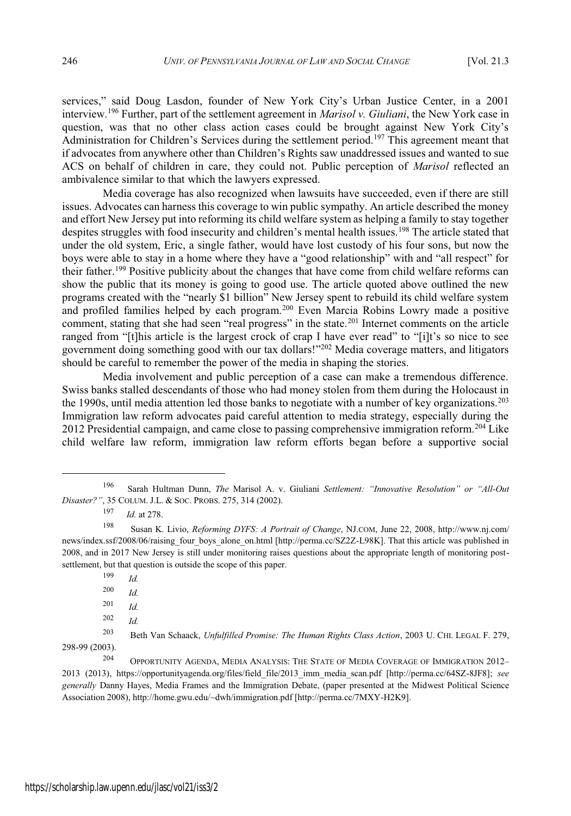services," said Doug Lasdon, founder of New York City's Urban Justice Center, in a 2001 interview.<sup>196</sup> Further, part of the settlement agreement in *Marisol v. Giuliani*, the New York case in question, was that no other class action cases could be brought against New York City's Administration for Children's Services during the settlement period.<sup>197</sup> This agreement meant that if advocates from anywhere other than Children's Rights saw unaddressed issues and wanted to sue ACS on behalf of children in care, they could not. Public perception of *Marisol* reflected an ambivalence similar to that which the lawyers expressed.

Media coverage has also recognized when lawsuits have succeeded, even if there are still issues. Advocates can harness this coverage to win public sympathy. An article described the money and effort New Jersey put into reforming its child welfare system as helping a family to stay together despites struggles with food insecurity and children's mental health issues.<sup>198</sup> The article stated that under the old system, Eric, a single father, would have lost custody of his four sons, but now the boys were able to stay in a home where they have a "good relationship" with and "all respect" for their father.<sup>199</sup> Positive publicity about the changes that have come from child welfare reforms can show the public that its money is going to good use. The article quoted above outlined the new programs created with the "nearly \$1 billion" New Jersey spent to rebuild its child welfare system and profiled families helped by each program.<sup>200</sup> Even Marcia Robins Lowry made a positive comment, stating that she had seen "real progress" in the state.<sup>201</sup> Internet comments on the article ranged from "[t]his article is the largest crock of crap I have ever read" to "[i]t's so nice to see government doing something good with our tax dollars!" <sup>202</sup> Media coverage matters, and litigators should be careful to remember the power of the media in shaping the stories.

Media involvement and public perception of a case can make a tremendous difference. Swiss banks stalled descendants of those who had money stolen from them during the Holocaust in the 1990s, until media attention led those banks to negotiate with a number of key organizations.<sup>203</sup> Immigration law reform advocates paid careful attention to media strategy, especially during the 2012 Presidential campaign, and came close to passing comprehensive immigration reform.<sup>204</sup> Like child welfare law reform, immigration law reform efforts began before a supportive social

<sup>199</sup> *Id.*

<sup>200</sup> *Id.*

<sup>201</sup> *Id.*

<sup>202</sup> *Id.*

<sup>196</sup> Sarah Hultman Dunn, *The* Marisol A. v. Giuliani *Settlement: " Innovative Resolution" or " All-Out Disaster?"* , 35 COLUM. J.L. & SOC. PROBS. 275, 314 (2002).

<sup>197</sup> *Id.* at 278.

<sup>198</sup> Susan K. Livio, *Reforming DYFS: A Portrait of Change*, NJ.COM, June 22, 2008, http://www.nj.com/ news/index.ssf/2008/06/raising\_four\_boys\_alone\_on.html [http://perma.cc/SZ2Z-L98K]. That this article was published in 2008, and in 2017 New Jersey is still under monitoring raises questions about the appropriate length of monitoring postsettlement, but that question is outside the scope of this paper.

<sup>203</sup> Beth Van Schaack, *Unfulfilled Promise: The Human Rights Class Action*, 2003 U. CHI. LEGAL F. 279, 298-99 (2003).

<sup>&</sup>lt;sup>204</sup> OPPORTUNITY AGENDA, MEDIA ANALYSIS: THE STATE OF MEDIA COVERAGE OF IMMIGRATION 2012-2013 (2013), https://opportunityagenda.org/files/field\_file/2013\_imm\_media\_scan.pdf [http://perma.cc/64SZ-8JF8]; *see generally* Danny Hayes, Media Frames and the Immigration Debate, (paper presented at the Midwest Political Science Association 2008), http://home.gwu.edu/~dwh/immigration.pdf [http://perma.cc/7MXY-H2K9].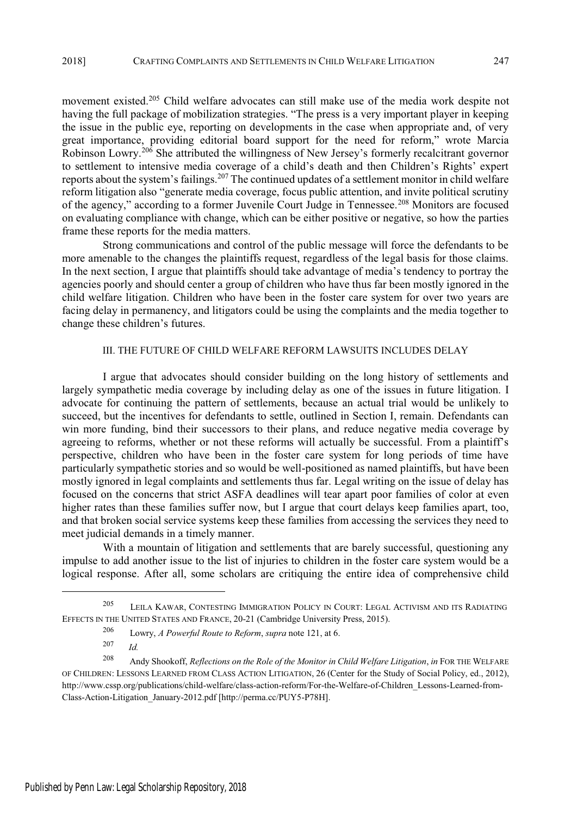movement existed.<sup>205</sup> Child welfare advocates can still make use of the media work despite not having the full package of mobilization strategies. "The press is a very important player in keeping the issue in the public eye, reporting on developments in the case when appropriate and, of very great importance, providing editorial board support for the need for reform," wrote Marcia Robinson Lowry.<sup>206</sup> She attributed the willingness of New Jersey's formerly recalcitrant governor to settlement to intensive media coverage of a child's death and then Children's Rights' expert reports about the system's failings.<sup>207</sup> The continued updates of a settlement monitor in child welfare reform litigation also "generate media coverage, focus public attention, and invite political scrutiny of the agency," according to a former Juvenile Court Judge in Tennessee.<sup>208</sup> Monitors are focused on evaluating compliance with change, which can be either positive or negative, so how the parties frame these reports for the media matters.

Strong communications and control of the public message will force the defendants to be more amenable to the changes the plaintiffs request, regardless of the legal basis for those claims. In the next section, I argue that plaintiffs should take advantage of media's tendency to portray the agencies poorly and should center a group of children who have thus far been mostly ignored in the child welfare litigation. Children who have been in the foster care system for over two years are facing delay in permanency, and litigators could be using the complaints and the media together to change these children's futures.

# III. THE FUTURE OF CHILD WELFARE REFORM LAWSUITS INCLUDES DELAY

I argue that advocates should consider building on the long history of settlements and largely sympathetic media coverage by including delay as one of the issues in future litigation. I advocate for continuing the pattern of settlements, because an actual trial would be unlikely to succeed, but the incentives for defendants to settle, outlined in Section I, remain. Defendants can win more funding, bind their successors to their plans, and reduce negative media coverage by agreeing to reforms, whether or not these reforms will actually be successful. From a plaintiff's perspective, children who have been in the foster care system for long periods of time have particularly sympathetic stories and so would be well-positioned as named plaintiffs, but have been mostly ignored in legal complaints and settlements thus far. Legal writing on the issue of delay has focused on the concerns that strict ASFA deadlines will tear apart poor families of color at even higher rates than these families suffer now, but I argue that court delays keep families apart, too, and that broken social service systems keep these families from accessing the services they need to meet judicial demands in a timely manner.

With a mountain of litigation and settlements that are barely successful, questioning any impulse to add another issue to the list of injuries to children in the foster care system would be a logical response. After all, some scholars are critiquing the entire idea of comprehensive child

<sup>206</sup> Lowry, *A Powerful Route to Reform*, *supra* note 121, at 6.

<sup>205</sup> LEILA KAWAR, CONTESTING IMMIGRATION POLICY IN COURT: LEGAL ACTIVISM AND ITS RADIATING EFFECTS IN THE UNITED STATES AND FRANCE, 20-21 (Cambridge University Press, 2015).

<sup>207</sup> *Id.*

<sup>208</sup> Andy Shookoff, *Reflections on the Role of the Monitor in Child Welfare Litigation*, *in* FOR THE WELFARE OF CHILDREN: LESSONS LEARNED FROM CLASS ACTION LITIGATION, 26 (Center for the Study of Social Policy, ed., 2012), http://www.cssp.org/publications/child-welfare/class-action-reform/For-the-Welfare-of-Children\_Lessons-Learned-from-Class-Action-Litigation\_January-2012.pdf [http://perma.cc/PUY5-P78H].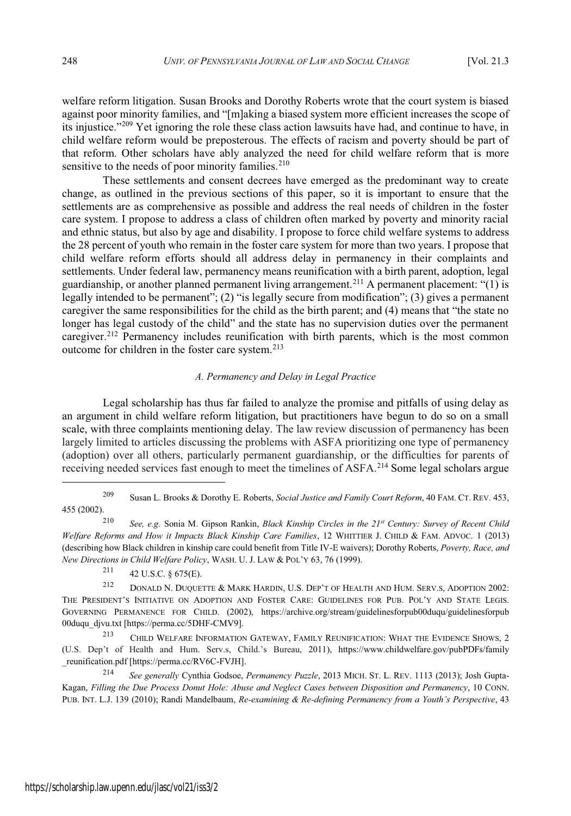welfare reform litigation. Susan Brooks and Dorothy Roberts wrote that the court system is biased against poor minority families, and "[m]aking a biased system more efficient increases the scope of its injustice."<sup>209</sup> Yet ignoring the role these class action lawsuits have had, and continue to have, in child welfare reform would be preposterous. The effects of racism and poverty should be part of that reform. Other scholars have ably analyzed the need for child welfare reform that is more sensitive to the needs of poor minority families.<sup>210</sup>

These settlements and consent decrees have emerged as the predominant way to create change, as outlined in the previous sections of this paper, so it is important to ensure that the settlements are as comprehensive as possible and address the real needs of children in the foster care system. I propose to address a class of children often marked by poverty and minority racial and ethnic status, but also by age and disability. I propose to force child welfare systems to address the 28 percent of youth who remain in the foster care system for more than two years. I propose that child welfare reform efforts should all address delay in permanency in their complaints and settlements. Under federal law, permanency means reunification with a birth parent, adoption, legal guardianship, or another planned permanent living arrangement.<sup>211</sup> A permanent placement: "(1) is legally intended to be permanent"; (2) "is legally secure from modification"; (3) gives a permanent caregiver the same responsibilities for the child as the birth parent; and  $(4)$  means that "the state no longer has legal custody of the child" and the state has no supervision duties over the permanent caregiver.<sup>212</sup> Permanency includes reunification with birth parents, which is the most common outcome for children in the foster care system.<sup>213</sup>

# *A. Permanency and Delay in Legal Practice*

Legal scholarship has thus far failed to analyze the promise and pitfalls of using delay as an argument in child welfare reform litigation, but practitioners have begun to do so on a small scale, with three complaints mentioning delay. The law review discussion of permanency has been largely limited to articles discussing the problems with ASFA prioritizing one type of permanency (adoption) over all others, particularly permanent guardianship, or the difficulties for parents of receiving needed services fast enough to meet the timelines of ASFA.<sup>214</sup> Some legal scholars argue

 $211$  42 U.S.C. § 675(E).

<sup>213</sup> CHILD WELFARE INFORMATION GATEWAY, FAMILY REUNIFICATION: WHAT THE EVIDENCE SHOWS, 2 (U.S. Dep't of Health and Hum. Serv.s, Child.'s Bureau, 2011), https://www.childwelfare.gov/pubPDFs/family \_reunification.pdf [https://perma.cc/RV6C-FVJH].

<sup>214</sup> *See generally* Cynthia Godsoe, *Permanency Puzzle*, 2013 MICH. ST. L. REV. 1113 (2013); Josh Gupta-Kagan, *Filling the Due Process Donut Hole: Abuse and Neglect Cases between Disposition and Permanency*, 10 CONN. PUB. INT. L.J. 139 (2010); Randi Mandelbaum, *Re-examining & Re-defining Permanency from a Youth's Perspective*, 43

<sup>209</sup> Susan L. Brooks & Dorothy E. Roberts, *Social Justice and Family Court Reform*, 40 FAM. CT. REV. 453, 455 (2002).

<sup>210</sup> *See, e.g.* Sonia M. Gipson Rankin, *Black Kinship Circles in the 21st Century: Survey of Recent Child Welfare Reforms and How it Impacts Black Kinship Care Families*, 12 WHITTIER J. CHILD & FAM. ADVOC. 1 (2013) (describing how Black children in kinship care could benefit from Title IV-E waivers); Dorothy Roberts, *Poverty, Race, and New Directions in Child Welfare Policy*, WASH. U. J. LAW & POL'<sup>Y</sup> 63, 76 (1999).

<sup>&</sup>lt;sup>212</sup> DONALD N. DUQUETTE & MARK HARDIN, U.S. DEP'T OF HEALTH AND HUM. SERV.S, ADOPTION 2002: THE PRESIDENT'<sup>S</sup> INITIATIVE ON ADOPTION AND FOSTER CARE: GUIDELINES FOR PUB. POL'<sup>Y</sup> AND STATE LEGIS. GOVERNING PERMANENCE FOR CHILD. (2002), https://archive.org/stream/guidelinesforpub00duqu/guidelinesforpub 00duqu\_djvu.txt [https://perma.cc/5DHF-CMV9].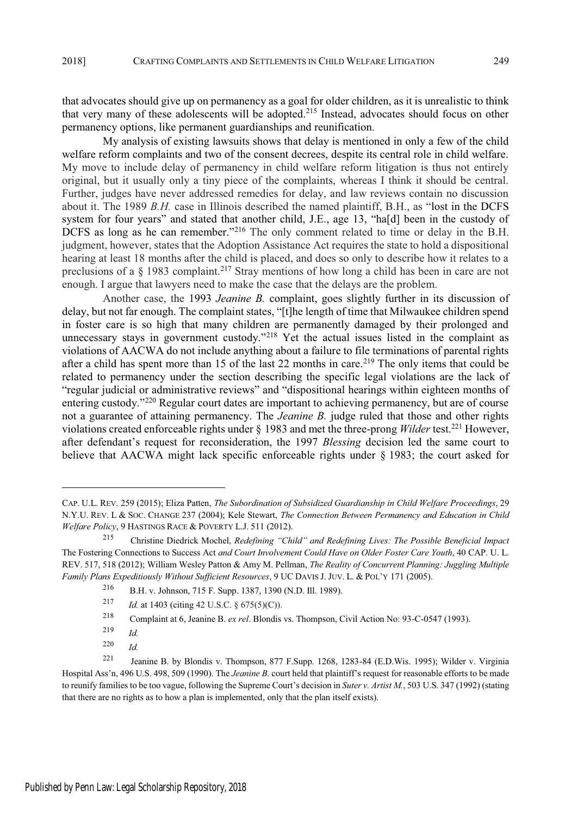that advocates should give up on permanency as a goal for older children, as it is unrealistic to think that very many of these adolescents will be adopted.<sup>215</sup> Instead, advocates should focus on other permanency options, like permanent guardianships and reunification.

My analysis of existing lawsuits shows that delay is mentioned in only a few of the child welfare reform complaints and two of the consent decrees, despite its central role in child welfare. My move to include delay of permanency in child welfare reform litigation is thus not entirely original, but it usually only a tiny piece of the complaints, whereas I think it should be central. Further, judges have never addressed remedies for delay, and law reviews contain no discussion about it. The 1989 *B.H.* case in Illinois described the named plaintiff, B.H., as "lost in the DCFS system for four years" and stated that another child, J.E., age 13, "ha[d] been in the custody of  $\overline{D}$ CFS as long as he can remember."<sup>216</sup> The only comment related to time or delay in the B.H. judgment, however, states that the Adoption Assistance Act requires the state to hold a dispositional hearing at least 18 months after the child is placed, and does so only to describe how it relates to a preclusions of a § 1983 complaint.<sup>217</sup> Stray mentions of how long a child has been in care are not enough. I argue that lawyers need to make the case that the delays are the problem.

Another case, the 1993 *Jeanine B.* complaint, goes slightly further in its discussion of delay, but not far enough. The complaint states, "[t]he length of time that Milwaukee children spend in foster care is so high that many children are permanently damaged by their prolonged and unnecessary stays in government custody."<sup>218</sup> Yet the actual issues listed in the complaint as violations of AACWA do not include anything about a failure to file terminations of parental rights after a child has spent more than 15 of the last 22 months in care.<sup>219</sup> The only items that could be related to permanency under the section describing the specific legal violations are the lack of "regular judicial or administrative reviews" and "dispositional hearings within eighteen months of entering custody."<sup>220</sup> Regular court dates are important to achieving permanency, but are of course not a guarantee of attaining permanency. The *Jeanine B.* judge ruled that those and other rights violations created enforceable rights under § 1983 and met the three-prong *Wilder* test.<sup>221</sup> However, after defendant's request for reconsideration, the 1997 Blessing decision led the same court to believe that AACWA might lack specific enforceable rights under § 1983; the court asked for

CAP. U.L. REV. 259 (2015); Eliza Patten, *The Subordination of Subsidized Guardianship in Child Welfare Proceedings*, 29 N.Y.U. REV. L & SOC. CHANGE 237 (2004); Kele Stewart, *The Connection Between Permanency and Education in Child Welfare Policy*, 9 HASTINGS RACE & POVERTY L.J. 511 (2012).

<sup>215</sup> Christine Diedrick Mochel, *Redefining " Child" and Redefining Lives: The Possible Beneficial Impact* The Fostering Connections to Success Act *and Court Involvement Could Have on Older Foster Care Youth*, 40 CAP. U. L. REV. 517, 518 (2012); William Wesley Patton & Amy M. Pellman, *The Reality of Concurrent Planning: Juggling Multiple Family Plans Expeditiously Without Sufficient Resources*, 9 UC DAVIS J. JUV. L. & POL'<sup>Y</sup> 171 (2005).

<sup>216</sup> B.H. v. Johnson, 715 F. Supp. 1387, 1390 (N.D. Ill. 1989).

<sup>217</sup> *Id.* at 1403 (citing 42 U.S.C. § 675(5)(C)).

<sup>218</sup> Complaint at 6, Jeanine B. *ex rel*. Blondis vs. Thompson, Civil Action No: 93-C-0547 (1993).

<sup>219</sup> *Id.*

<sup>220</sup> *Id.*

<sup>221</sup> Jeanine B. by Blondis v. Thompson, 877 F.Supp. 1268, 1283-84 (E.D.Wis. 1995); Wilder v. Virginia Hospital Ass'n, 496 U.S. 498, 509 (1990). The *Jeanine B.* court held that plaintiff's request for reasonable efforts to be made to reunify families to be too vague, following the Supreme Court's decision in *Suter v. Artist M.*, 503 U.S. 347 (1992) (stating that there are no rights as to how a plan is implemented, only that the plan itself exists).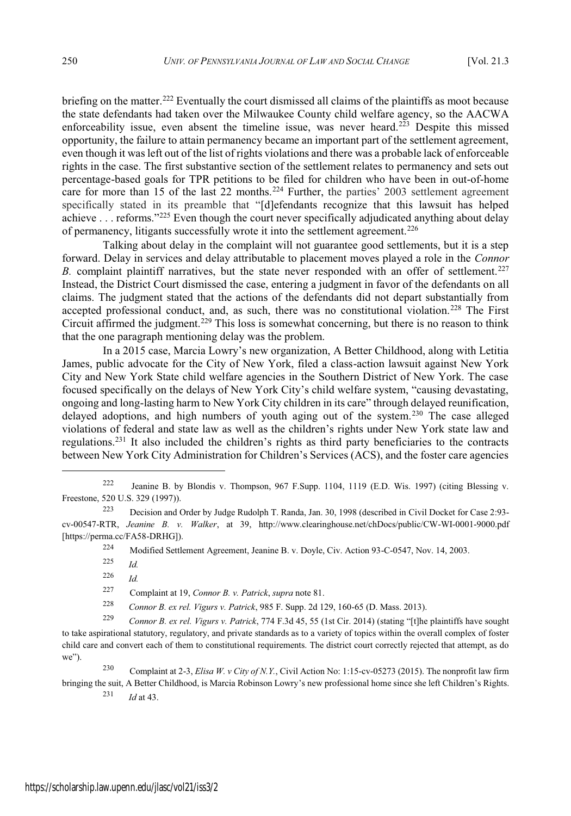briefing on the matter.<sup>222</sup> Eventually the court dismissed all claims of the plaintiffs as moot because the state defendants had taken over the Milwaukee County child welfare agency, so the AACWA enforceability issue, even absent the timeline issue, was never heard.<sup>223</sup> Despite this missed opportunity, the failure to attain permanency became an important part of the settlement agreement, even though it wasleft out of the list of rights violations and there was a probable lack of enforceable rights in the case. The first substantive section of the settlement relates to permanency and sets out percentage-based goals for TPR petitions to be filed for children who have been in out-of-home care for more than 15 of the last 22 months.<sup>224</sup> Further, the parties' 2003 settlement agreement specifically stated in its preamble that "[d]efendants recognize that this lawsuit has helped achieve . . . reforms."<sup>225</sup> Even though the court never specifically adjudicated anything about delay of permanency, litigants successfully wrote it into the settlement agreement.<sup>226</sup>

Talking about delay in the complaint will not guarantee good settlements, but it is a step forward. Delay in services and delay attributable to placement moves played a role in the *Connor B.* complaint plaintiff narratives, but the state never responded with an offer of settlement.<sup>227</sup> Instead, the District Court dismissed the case, entering a judgment in favor of the defendants on all claims. The judgment stated that the actions of the defendants did not depart substantially from accepted professional conduct, and, as such, there was no constitutional violation.<sup>228</sup> The First Circuit affirmed the judgment.<sup>229</sup> This loss is somewhat concerning, but there is no reason to think that the one paragraph mentioning delay was the problem.

In a 2015 case, Marcia Lowry's new organization, A Better Childhood, along with Letitia James, public advocate for the City of New York, filed a class-action lawsuit against New York City and New York State child welfare agencies in the Southern District of New York. The case focused specifically on the delays of New York City's child welfare system, "causing devastating, ongoing and long-lasting harm to New York City children in its care" through delayed reunification, delayed adoptions, and high numbers of youth aging out of the system.<sup>230</sup> The case alleged violations of federal and state law as well as the children's rights under New York state law and regulations.<sup>231</sup> It also included the children's rights as third party beneficiaries to the contracts between New York City Administration for Children's Services (ACS), and the foster care agencies

<sup>224</sup> Modified Settlement Agreement, Jeanine B. v. Doyle, Civ. Action 93-C-0547, Nov. 14, 2003.

<sup>225</sup> *Id.*

<sup>226</sup> *Id.*

<sup>227</sup> Complaint at 19, *Connor B. v. Patrick*, *supra* note 81.

<sup>228</sup> *Connor B. ex rel. Vigurs v. Patrick*, 985 F. Supp. 2d 129, 160-65 (D. Mass. 2013).

<sup>229</sup> *Connor B. ex rel. Vigurs v. Patrick*, 774 F.3d 45, 55 (1st Cir. 2014) (stating "[t]he plaintiffs have sought to take aspirational statutory, regulatory, and private standards as to a variety of topics within the overall complex of foster child care and convert each of them to constitutional requirements. The district court correctly rejected that attempt, as do we").

<sup>230</sup> Complaint at 2-3, *Elisa W. v City of N.Y.*, Civil Action No: 1:15-cv-05273 (2015). The nonprofit law firm bringing the suit, A Better Childhood, is Marcia Robinson Lowry's new professional home since she left Children's Rights.

<sup>231</sup> *Id* at 43.

<sup>222</sup> Jeanine B. by Blondis v. Thompson, 967 F.Supp. 1104, 1119 (E.D. Wis. 1997) (citing Blessing v. Freestone, 520 U.S. 329 (1997)).

<sup>223</sup> Decision and Order by Judge Rudolph T. Randa, Jan. 30, 1998 (described in Civil Docket for Case 2:93 cv-00547-RTR, *Jeanine B. v. Walker*, at 39, http://www.clearinghouse.net/chDocs/public/CW-WI-0001-9000.pdf [https://perma.cc/FA58-DRHG]).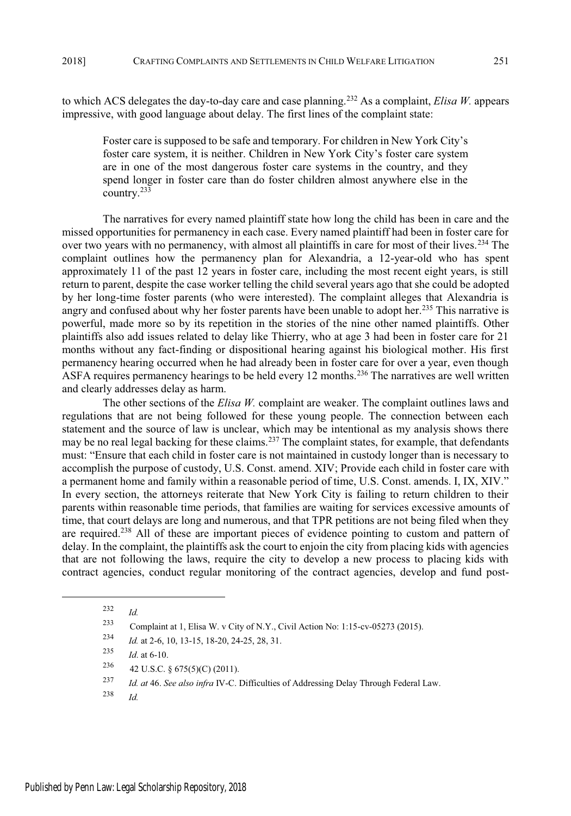to which ACS delegates the day-to-day care and case planning.<sup>232</sup> As a complaint, *Elisa W.* appears impressive, with good language about delay. The first lines of the complaint state:

Foster care is supposed to be safe and temporary. For children in New York City's foster care system, it is neither. Children in New York City's foster care system are in one of the most dangerous foster care systems in the country, and they spend longer in foster care than do foster children almost anywhere else in the country.<sup>233</sup>

The narratives for every named plaintiff state how long the child has been in care and the missed opportunities for permanency in each case. Every named plaintiff had been in foster care for over two years with no permanency, with almost all plaintiffs in care for most of their lives.<sup>234</sup> The complaint outlines how the permanency plan for Alexandria, a 12-year-old who has spent approximately 11 of the past 12 years in foster care, including the most recent eight years, is still return to parent, despite the case worker telling the child several years ago that she could be adopted by her long-time foster parents (who were interested). The complaint alleges that Alexandria is angry and confused about why her foster parents have been unable to adopt her.<sup>235</sup> This narrative is powerful, made more so by its repetition in the stories of the nine other named plaintiffs. Other plaintiffs also add issues related to delay like Thierry, who at age 3 had been in foster care for 21 months without any fact-finding or dispositional hearing against his biological mother. His first permanency hearing occurred when he had already been in foster care for over a year, even though ASFA requires permanency hearings to be held every 12 months.<sup>236</sup> The narratives are well written and clearly addresses delay as harm.

The other sections of the *Elisa W.* complaint are weaker. The complaint outlines laws and regulations that are not being followed for these young people. The connection between each statement and the source of law is unclear, which may be intentional as my analysis shows there may be no real legal backing for these claims.<sup>237</sup> The complaint states, for example, that defendants must: "Ensure that each child in foster care is not maintained in custody longer than is necessary to accomplish the purpose of custody, U.S. Const. amend. XIV; Provide each child in foster care with a permanent home and family within a reasonable period of time, U.S. Const. amends. I, IX, XIV." In every section, the attorneys reiterate that New York City is failing to return children to their parents within reasonable time periods, that families are waiting for services excessive amounts of time, that court delays are long and numerous, and that TPR petitions are not being filed when they are required.<sup>238</sup> All of these are important pieces of evidence pointing to custom and pattern of delay. In the complaint, the plaintiffs ask the court to enjoin the city from placing kids with agencies that are not following the laws, require the city to develop a new process to placing kids with contract agencies, conduct regular monitoring of the contract agencies, develop and fund post-

<sup>238</sup> *Id.*

<sup>232</sup> *Id.*

<sup>233</sup> Complaint at 1, Elisa W. v City of N.Y., Civil Action No: 1:15-cv-05273 (2015).

<sup>234</sup> *Id.* at 2-6, 10, 13-15, 18-20, 24-25, 28, 31.

<sup>235</sup> *Id*. at 6-10.

<sup>236</sup> 42 U.S.C. § 675(5)(C) (2011).

<sup>237</sup> *Id. at* 46. *See also infra* IV-C. Difficulties of Addressing Delay Through Federal Law.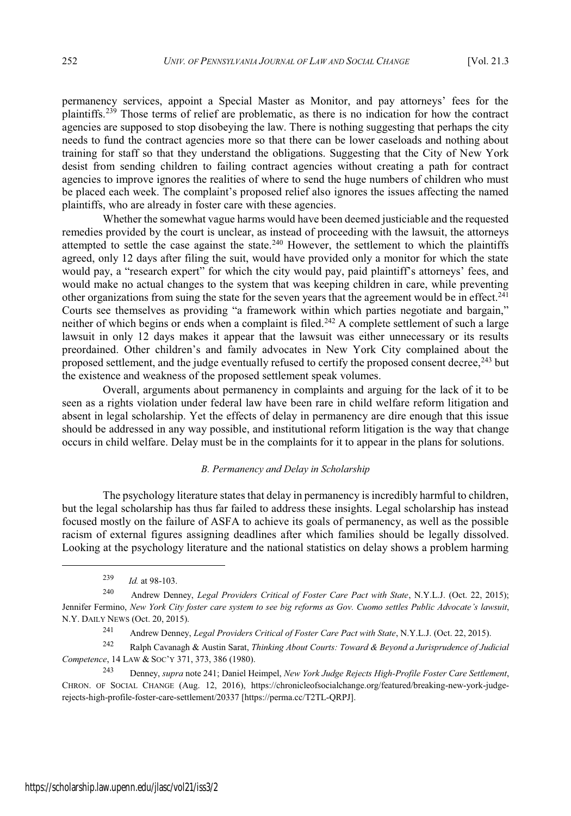permanency services, appoint a Special Master as Monitor, and pay attorneys' fees for the plaintiffs.<sup>239</sup> Those terms of relief are problematic, as there is no indication for how the contract agencies are supposed to stop disobeying the law. There is nothing suggesting that perhaps the city needs to fund the contract agencies more so that there can be lower caseloads and nothing about training for staff so that they understand the obligations. Suggesting that the City of New York desist from sending children to failing contract agencies without creating a path for contract agencies to improve ignores the realities of where to send the huge numbers of children who must be placed each week. The complaint's proposed relief also ignores the issues affecting the named plaintiffs, who are already in foster care with these agencies.

Whether the somewhat vague harms would have been deemed justiciable and the requested remedies provided by the court is unclear, as instead of proceeding with the lawsuit, the attorneys attempted to settle the case against the state.<sup>240</sup> However, the settlement to which the plaintiffs agreed, only 12 days after filing the suit, would have provided only a monitor for which the state would pay, a "research expert" for which the city would pay, paid plaintiff's attorneys' fees, and would make no actual changes to the system that was keeping children in care, while preventing other organizations from suing the state for the seven years that the agreement would be in effect.<sup>241</sup> Courts see themselves as providing "a framework within which parties negotiate and bargain," neither of which begins or ends when a complaint is filed.<sup>242</sup> A complete settlement of such a large lawsuit in only 12 days makes it appear that the lawsuit was either unnecessary or its results preordained. Other children's and family advocates in New York City complained about the proposed settlement, and the judge eventually refused to certify the proposed consent decree,<sup>243</sup> but the existence and weakness of the proposed settlement speak volumes.

Overall, arguments about permanency in complaints and arguing for the lack of it to be seen as a rights violation under federal law have been rare in child welfare reform litigation and absent in legal scholarship. Yet the effects of delay in permanency are dire enough that this issue should be addressed in any way possible, and institutional reform litigation is the way that change occurs in child welfare. Delay must be in the complaints for it to appear in the plans for solutions.

#### *B. Permanency and Delay in Scholarship*

The psychology literature states that delay in permanency is incredibly harmful to children, but the legal scholarship has thus far failed to address these insights. Legal scholarship has instead focused mostly on the failure of ASFA to achieve its goals of permanency, as well as the possible racism of external figures assigning deadlines after which families should be legally dissolved. Looking at the psychology literature and the national statistics on delay shows a problem harming

<sup>239</sup> *Id.* at 98-103.

<sup>241</sup> Andrew Denney, *Legal Providers Critical of Foster Care Pact with State*, N.Y.L.J. (Oct. 22, 2015).

<sup>240</sup> Andrew Denney, *Legal Providers Critical of Foster Care Pact with State*, N.Y.L.J. (Oct. 22, 2015); Jennifer Fermino, New York City foster care system to see big reforms as Gov. Cuomo settles Public Advocate's lawsuit, N.Y. DAILY NEWS (Oct. 20, 2015).

<sup>242</sup> Ralph Cavanagh & Austin Sarat, *Thinking About Courts: Toward & Beyond a Jurisprudence of Judicial Competence*, 14 LAW & SOC'<sup>Y</sup> 371, 373, 386 (1980).

<sup>243</sup> Denney, *supra* note 241; Daniel Heimpel, *New York Judge Rejects High-Profile Foster Care Settlement*, CHRON. OF SOCIAL CHANGE (Aug. 12, 2016), https://chronicleofsocialchange.org/featured/breaking-new-york-judgerejects-high-profile-foster-care-settlement/20337 [https://perma.cc/T2TL-QRPJ].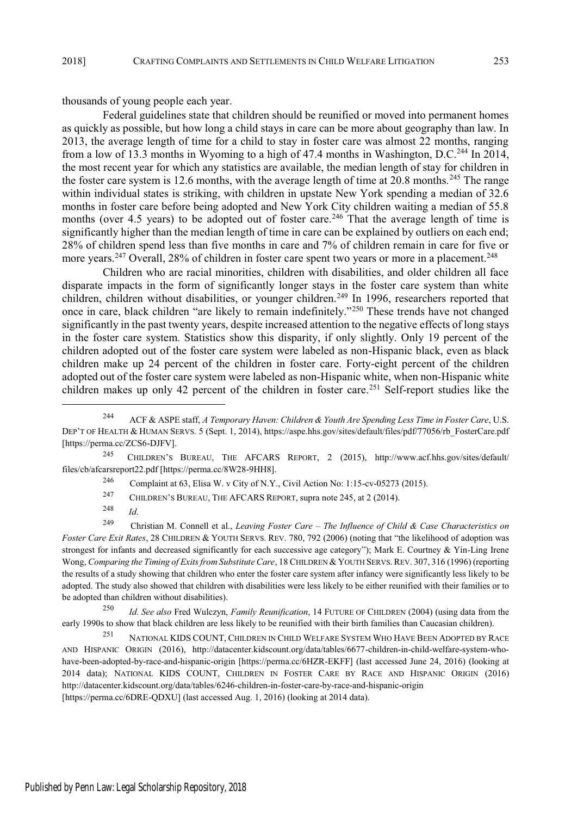thousands of young people each year.

Federal guidelines state that children should be reunified or moved into permanent homes as quickly as possible, but how long a child stays in care can be more about geography than law. In 2013, the average length of time for a child to stay in foster care was almost 22 months, ranging from a low of 13.3 months in Wyoming to a high of 47.4 months in Washington, D.C.<sup>244</sup> In 2014, the most recent year for which any statistics are available, the median length of stay for children in the foster care system is 12.6 months, with the average length of time at 20.8 months.<sup>245</sup> The range within individual states is striking, with children in upstate New York spending a median of 32.6 months in foster care before being adopted and New York City children waiting a median of 55.8 months (over 4.5 years) to be adopted out of foster care.<sup>246</sup> That the average length of time is significantly higher than the median length of time in care can be explained by outliers on each end; 28% of children spend less than five months in care and 7% of children remain in care for five or more years.<sup>247</sup> Overall, 28% of children in foster care spent two years or more in a placement.<sup>248</sup>

Children who are racial minorities, children with disabilities, and older children all face disparate impacts in the form of significantly longer stays in the foster care system than white children, children without disabilities, or younger children.<sup>249</sup> In 1996, researchers reported that once in care, black children "are likely to remain indefinitely."<sup>250</sup> These trends have not changed significantly in the past twenty years, despite increased attention to the negative effects of long stays in the foster care system. Statistics show this disparity, if only slightly. Only 19 percent of the children adopted out of the foster care system were labeled as non-Hispanic black, even as black children make up 24 percent of the children in foster care. Forty-eight percent of the children adopted out of the foster care system were labeled as non-Hispanic white, when non-Hispanic white children makes up only 42 percent of the children in foster care.<sup>251</sup> Self-report studies like the

<sup>245</sup> CHILDREN'<sup>S</sup> BUREAU, THE AFCARS REPORT, 2 (2015), http://www.acf.hhs.gov/sites/default/ files/cb/afcarsreport22.pdf [https://perma.cc/8W28-9HH8].

<sup>246</sup> Complaint at 63, Elisa W. v City of N.Y., Civil Action No: 1:15-cv-05273 (2015).

<sup>247</sup> CHILDREN'S BUREAU, THE AFCARS REPORT, supra note 245, at 2 (2014).

<sup>248</sup> *Id*.

<sup>249</sup> Christian M. Connell et al., *Leaving Foster Care " The Influence of Child & Case Characteristics on Foster Care Exit Rates*, 28 CHILDREN & YOUTH SERVS. REV. 780, 792 (2006) (noting that "the likelihood of adoption was strongest for infants and decreased significantly for each successive age category"); Mark E. Courtney & Yin-Ling Irene Wong, *Comparing the Timing of Exitsfrom Substitute Care*, 18 CHILDREN & YOUTH SERVS. REV. 307, 316 (1996) (reporting the results of a study showing that children who enter the foster care system after infancy were significantly less likely to be adopted. The study also showed that children with disabilities were less likely to be either reunified with their families or to be adopted than children without disabilities).

<sup>250</sup> *Id. See also* Fred Wulczyn, *Family Reunification*, 14 FUTURE OF CHILDREN (2004) (using data from the early 1990s to show that black children are less likely to be reunified with their birth families than Caucasian children).

<sup>251</sup> NATIONAL KIDS COUNT, CHILDREN IN CHILD WELFARE SYSTEM WHO HAVE BEEN ADOPTED BY RACE AND HISPANIC ORIGIN (2016), http://datacenter.kidscount.org/data/tables/6677-children-in-child-welfare-system-whohave-been-adopted-by-race-and-hispanic-origin [https://perma.cc/6HZR-EKFF] (last accessed June 24, 2016) (looking at 2014 data); NATIONAL KIDS COUNT, CHILDREN IN FOSTER CARE BY RACE AND HISPANIC ORIGIN (2016) http://datacenter.kidscount.org/data/tables/6246-children-in-foster-care-by-race-and-hispanic-origin [https://perma.cc/6DRE-QDXU] (last accessed Aug. 1, 2016) (looking at 2014 data).

<sup>244</sup> ACF & ASPE staff, *A Temporary Haven: Children & Youth Are Spending Less Time in Foster Care*, U.S. DEP'T OF HEALTH & HUMAN SERVS. 5 (Sept. 1, 2014), https://aspe.hhs.gov/sites/default/files/pdf/77056/rb\_FosterCare.pdf [https://perma.cc/ZCS6-DJFV].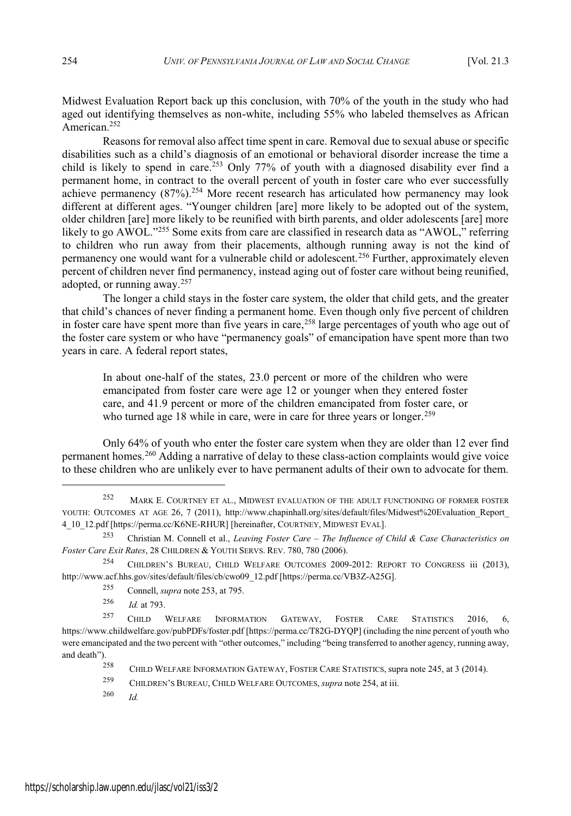Midwest Evaluation Report back up this conclusion, with 70% of the youth in the study who had aged out identifying themselves as non-white, including 55% who labeled themselves as African American.<sup>252</sup>

Reasons for removal also affect time spent in care. Removal due to sexual abuse or specific disabilities such as a child's diagnosis of an emotional or behavioral disorder increase the time a child is likely to spend in care.<sup>253</sup> Only 77% of youth with a diagnosed disability ever find a permanent home, in contract to the overall percent of youth in foster care who ever successfully achieve permanency (87%).<sup>254</sup> More recent research has articulated how permanency may look different at different ages. "Younger children [are] more likely to be adopted out of the system, older children [are] more likely to be reunified with birth parents, and older adolescents [are] more likely to go  $\widehat{AWOL}$ ."<sup>255</sup> Some exits from care are classified in research data as "AWOL." referring to children who run away from their placements, although running away is not the kind of permanency one would want for a vulnerable child or adolescent.<sup>256</sup> Further, approximately eleven percent of children never find permanency, instead aging out of foster care without being reunified, adopted, or running away.<sup>257</sup>

The longer a child stays in the foster care system, the older that child gets, and the greater that child's chances of never finding a permanent home. Even though only five percent of children in foster care have spent more than five years in care,<sup>258</sup> large percentages of youth who age out of the foster care system or who have "permanency goals" of emancipation have spent more than two years in care. A federal report states,

In about one-half of the states, 23.0 percent or more of the children who were emancipated from foster care were age 12 or younger when they entered foster care, and 41.9 percent or more of the children emancipated from foster care, or who turned age 18 while in care, were in care for three years or longer.<sup>259</sup>

Only 64% of youth who enter the foster care system when they are older than 12 ever find permanent homes.<sup>260</sup> Adding a narrative of delay to these class-action complaints would give voice to these children who are unlikely ever to have permanent adults of their own to advocate for them.

<sup>256</sup> *Id.* at 793.

<sup>260</sup> *Id.*

<sup>252</sup> MARK E. COURTNEY ET AL., MIDWEST EVALUATION OF THE ADULT FUNCTIONING OF FORMER FOSTER YOUTH: OUTCOMES AT AGE 26, 7 (2011), http://www.chapinhall.org/sites/default/files/Midwest%20Evaluation\_Report 4\_10\_12.pdf [https://perma.cc/K6NE-RHUR] [hereinafter, COURTNEY, MIDWEST EVAL].

<sup>253</sup> Christian M. Connell et al., *Leaving Foster Care " The Influence of Child & Case Characteristics on Foster Care Exit Rates*, 28 CHILDREN & YOUTH SERVS. REV. 780, 780 (2006).

<sup>254</sup> CHILDREN'<sup>S</sup> BUREAU, CHILD WELFARE OUTCOMES 2009-2012: REPORT TO CONGRESS iii (2013), http://www.acf.hhs.gov/sites/default/files/cb/cwo09\_12.pdf [https://perma.cc/VB3Z-A25G].

<sup>255</sup> Connell, *supra* note 253, at 795.

<sup>257</sup> CHILD WELFARE INFORMATION GATEWAY, FOSTER CARE STATISTICS 2016, 6, https://www.childwelfare.gov/pubPDFs/foster.pdf [https://perma.cc/T82G-DYQP] (including the nine percent of youth who were emancipated and the two percent with "other outcomes," including "being transferred to another agency, running away, and death").

<sup>258</sup> CHILD WELFARE INFORMATION GATEWAY, FOSTER CARE STATISTICS, supra note 245, at 3 (2014).

<sup>259</sup> CHILDREN'<sup>S</sup> BUREAU, CHILD WELFARE OUTCOMES, *supra* note 254, at iii.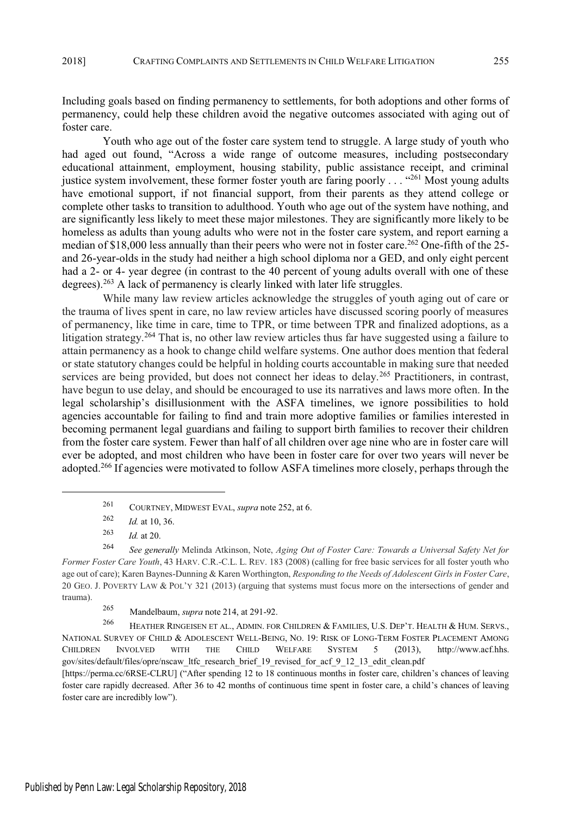Including goals based on finding permanency to settlements, for both adoptions and other forms of permanency, could help these children avoid the negative outcomes associated with aging out of foster care.

Youth who age out of the foster care system tend to struggle. A large study of youth who had aged out found, "Across a wide range of outcome measures, including postsecondary educational attainment, employment, housing stability, public assistance receipt, and criminal justice system involvement, these former foster youth are faring poorly . . . "261 Most young adults have emotional support, if not financial support, from their parents as they attend college or complete other tasks to transition to adulthood. Youth who age out of the system have nothing, and are significantly less likely to meet these major milestones. They are significantly more likely to be homeless as adults than young adults who were not in the foster care system, and report earning a median of \$18,000 less annually than their peers who were not in foster care.<sup>262</sup> One-fifth of the 25and 26-year-olds in the study had neither a high school diploma nor a GED, and only eight percent had a 2- or 4- year degree (in contrast to the 40 percent of young adults overall with one of these degrees).<sup>263</sup> A lack of permanency is clearly linked with later life struggles.

While many law review articles acknowledge the struggles of youth aging out of care or the trauma of lives spent in care, no law review articles have discussed scoring poorly of measures of permanency, like time in care, time to TPR, or time between TPR and finalized adoptions, as a litigation strategy.<sup>264</sup> That is, no other law review articles thus far have suggested using a failure to attain permanency as a hook to change child welfare systems. One author does mention that federal or state statutory changes could be helpful in holding courts accountable in making sure that needed services are being provided, but does not connect her ideas to delay.<sup>265</sup> Practitioners, in contrast, have begun to use delay, and should be encouraged to use its narratives and laws more often. In the legal scholarship's disillusionment with the ASFA timelines, we ignore possibilities to hold agencies accountable for failing to find and train more adoptive families or families interested in becoming permanent legal guardians and failing to support birth families to recover their children from the foster care system. Fewer than half of all children over age nine who are in foster care will ever be adopted, and most children who have been in foster care for over two years will never be adopted.<sup>266</sup> If agencies were motivated to follow ASFA timelines more closely, perhaps through the

[https://perma.cc/6RSE-CLRU] ("After spending 12 to 18 continuous months in foster care, children's chances of leaving foster care rapidly decreased. After 36 to 42 months of continuous time spent in foster care, a child's chances of leaving foster care are incredibly low").

<sup>261</sup> COURTNEY, MIDWEST EVAL, *supra* note 252, at 6.

<sup>262</sup> *Id.* at 10, 36.

<sup>263</sup> *Id.* at 20.

<sup>264</sup> *See generally* Melinda Atkinson, Note, *Aging Out of Foster Care: Towards a Universal Safety Net for Former Foster Care Youth*, 43 HARV. C.R.-C.L. L. REV. 183 (2008) (calling for free basic services for all foster youth who age out of care); Karen Baynes-Dunning & Karen Worthington, *Responding to the Needs of Adolescent Girlsin Foster Care*, 20 GEO. J. POVERTY LAW & POL'<sup>Y</sup> 321 (2013) (arguing that systems must focus more on the intersections of gender and trauma).

<sup>265</sup> Mandelbaum, *supra* note 214, at 291-92.

<sup>266</sup> HEATHER RINGEISEN ET AL., ADMIN. FOR CHILDREN & FAMILIES, U.S. DEP'T. HEALTH & HUM. SERVS., NATIONAL SURVEY OF CHILD & ADOLESCENT WELL-BEING, NO. 19: RISK OF LONG-TERM FOSTER PLACEMENT AMONG CHILDREN INVOLVED WITH THE CHILD WELFARE SYSTEM 5 (2013), http://www.acf.hhs. gov/sites/default/files/opre/nscaw\_ltfc\_research\_brief\_19\_revised\_for\_acf\_9\_12\_13\_edit\_clean.pdf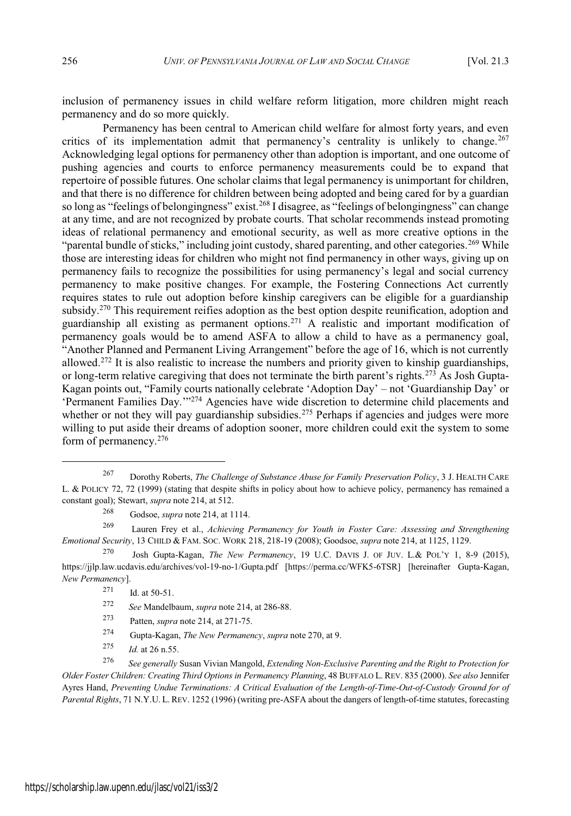inclusion of permanency issues in child welfare reform litigation, more children might reach permanency and do so more quickly.

Permanency has been central to American child welfare for almost forty years, and even critics of its implementation admit that permanency's centrality is unlikely to change.<sup>267</sup> Acknowledging legal options for permanency other than adoption is important, and one outcome of pushing agencies and courts to enforce permanency measurements could be to expand that repertoire of possible futures. One scholar claims that legal permanency is unimportant for children, and that there is no difference for children between being adopted and being cared for by a guardian so long as "feelings of belongingness" exist.<sup>268</sup> I disagree, as "feelings of belongingness" can change at any time, and are not recognized by probate courts. That scholar recommends instead promoting ideas of relational permanency and emotional security, as well as more creative options in the "parental bundle of sticks," including joint custody, shared parenting, and other categories.<sup>269</sup> While those are interesting ideas for children who might not find permanency in other ways, giving up on permanency fails to recognize the possibilities for using permanency's legal and social currency permanency to make positive changes. For example, the Fostering Connections Act currently requires states to rule out adoption before kinship caregivers can be eligible for a guardianship subsidy.<sup>270</sup> This requirement reifies adoption as the best option despite reunification, adoption and guardianship all existing as permanent options.<sup>271</sup> A realistic and important modification of permanency goals would be to amend ASFA to allow a child to have as a permanency goal, "Another Planned and Permanent Living Arrangement" before the age of 16, which is not currently allowed.<sup>272</sup> It is also realistic to increase the numbers and priority given to kinship guardianships, or long-term relative caregiving that does not terminate the birth parent's rights.<sup>273</sup> As Josh Gupta-Kagan points out, "Family courts nationally celebrate 'Adoption Day' - not 'Guardianship Day' or 'Permanent Families Day."<sup>274</sup> Agencies have wide discretion to determine child placements and whether or not they will pay guardianship subsidies.<sup>275</sup> Perhaps if agencies and judges were more willing to put aside their dreams of adoption sooner, more children could exit the system to some form of permanency.<sup>276</sup>

<sup>269</sup> Lauren Frey et al., *Achieving Permanency for Youth in Foster Care: Assessing and Strengthening Emotional Security*, 13 CHILD & FAM. SOC. WORK 218, 218-19 (2008); Goodsoe, *supra* note 214, at 1125, 1129.

<sup>270</sup> Josh Gupta-Kagan, *The New Permanency*, 19 U.C. DAVIS J. OF JUV. L.& POL'<sup>Y</sup> 1, 8-9 (2015), https://jjlp.law.ucdavis.edu/archives/vol-19-no-1/Gupta.pdf [https://perma.cc/WFK5-6TSR] [hereinafter Gupta-Kagan, *New Permanency*].

- <sup>273</sup> Patten, *supra* note 214, at 271-75.
- <sup>274</sup> Gupta-Kagan, *The New Permanency*, *supra* note 270, at 9.
- <sup>275</sup> *Id.* at 26 n.55.

<sup>276</sup> *See generally* Susan Vivian Mangold, *Extending Non-Exclusive Parenting and the Right to Protection for Older Foster Children: Creating Third Options in Permanency Planning*, 48 BUFFALO L. REV. 835 (2000). *See also* Jennifer Ayres Hand, *Preventing Undue Terminations: A Critical Evaluation of the Length-of-Time-Out-of-Custody Ground for of Parental Rights*, 71 N.Y.U. L. REV. 1252 (1996) (writing pre-ASFA about the dangers of length-of-time statutes, forecasting

<sup>267</sup> Dorothy Roberts, *The Challenge of Substance Abuse for Family Preservation Policy*, 3 J. HEALTH CARE L. & POLICY 72, 72 (1999) (stating that despite shifts in policy about how to achieve policy, permanency has remained a constant goal); Stewart, *supra* note 214, at 512.

<sup>268</sup> Godsoe, *supra* note 214, at 1114.

 $271$  Id. at 50-51.

<sup>272</sup> *See* Mandelbaum, *supra* note 214, at 286-88.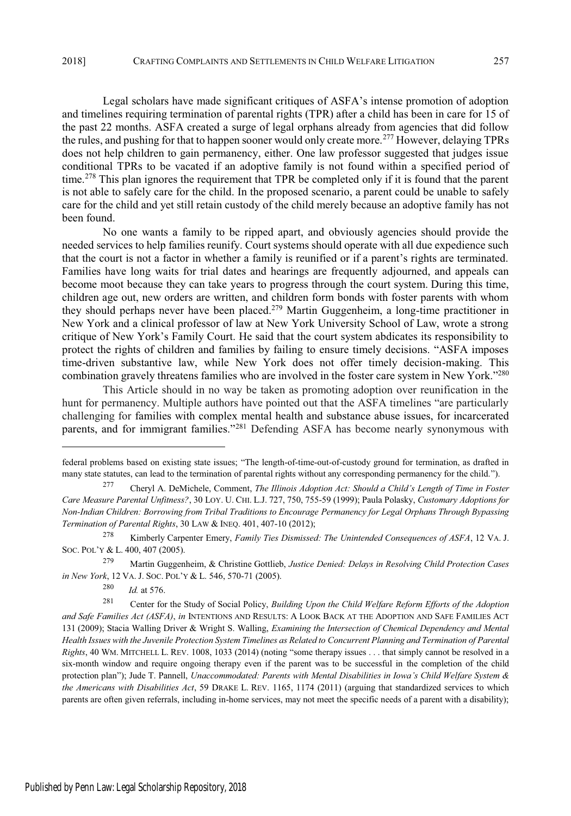Legal scholars have made significant critiques of ASFA's intense promotion of adoption and timelines requiring termination of parental rights (TPR) after a child has been in care for 15 of the past 22 months. ASFA created a surge of legal orphans already from agencies that did follow the rules, and pushing for that to happen sooner would only create more.<sup>277</sup> However, delaying TPRs does not help children to gain permanency, either. One law professor suggested that judges issue conditional TPRs to be vacated if an adoptive family is not found within a specified period of time.<sup>278</sup> This plan ignores the requirement that TPR be completed only if it is found that the parent is not able to safely care for the child. In the proposed scenario, a parent could be unable to safely care for the child and yet still retain custody of the child merely because an adoptive family has not been found.

No one wants a family to be ripped apart, and obviously agencies should provide the needed services to help families reunify. Court systems should operate with all due expedience such that the court is not a factor in whether a family is reunified or if a parent's rights are terminated. Families have long waits for trial dates and hearings are frequently adjourned, and appeals can become moot because they can take years to progress through the court system. During this time, children age out, new orders are written, and children form bonds with foster parents with whom they should perhaps never have been placed.<sup>279</sup> Martin Guggenheim, a long-time practitioner in New York and a clinical professor of law at New York University School of Law, wrote a strong critique of New York's Family Court. He said that the court system abdicates its responsibility to protect the rights of children and families by failing to ensure timely decisions. "ASFA imposes time-driven substantive law, while New York does not offer timely decision-making. This combination gravely threatens families who are involved in the foster care system in New York."<sup>280</sup>

This Article should in no way be taken as promoting adoption over reunification in the hunt for permanency. Multiple authors have pointed out that the ASFA timelines "are particularly challenging for families with complex mental health and substance abuse issues, for incarcerated parents, and for immigrant families."<sup>281</sup> Defending ASFA has become nearly synonymous with

<sup>279</sup> Martin Guggenheim, & Christine Gottlieb, *Justice Denied: Delays in Resolving Child Protection Cases in New York*, 12 VA. J. SOC. POL'<sup>Y</sup> & L. 546, 570-71 (2005).

<sup>280</sup> *Id.* at 576.

federal problems based on existing state issues; "The length-of-time-out-of-custody ground for termination, as drafted in many state statutes, can lead to the termination of parental rights without any corresponding permanency for the child.").

<sup>277</sup> Cheryl A. DeMichele, Comment, *The Illinois Adoption Act: Should a Child's Length of Time in Foster Care Measure Parental Unfitness?*, 30 LOY. U. CHI. L.J. 727, 750, 755-59 (1999); Paula Polasky, *Customary Adoptions for Non-Indian Children: Borrowing from Tribal Traditions to Encourage Permanency for Legal Orphans Through Bypassing Termination of Parental Rights*, 30 LAW & INEQ. 401, 407-10 (2012);

<sup>278</sup> Kimberly Carpenter Emery, *Family Ties Dismissed: The Unintended Consequences of ASFA*, 12 VA. J. SOC. POL'<sup>Y</sup> & L. 400, 407 (2005).

<sup>281</sup> Center for the Study of Social Policy, *Building Upon the Child Welfare Reform Efforts of the Adoption and Safe Families Act (ASFA)*, *in* INTENTIONS AND RESULTS: A LOOK BACK AT THE ADOPTION AND SAFE FAMILIES ACT 131 (2009); Stacia Walling Driver & Wright S. Walling, *Examining the Intersection of Chemical Dependency and Mental Health Issues with the Juvenile Protection System Timelines as Related to Concurrent Planning and Termination of Parental Rights*, 40 WM. MITCHELL L. REV. 1008, 1033 (2014) (noting "some therapy issues . . . that simply cannot be resolved in a six-month window and require ongoing therapy even if the parent was to be successful in the completion of the child protection plan"); Jude T. Pannell, *Unaccommodated: Parents with Mental Disabilities in Iowa's Child Welfare System & the Americans with Disabilities Act*, 59 DRAKE L. REV. 1165, 1174 (2011) (arguing that standardized services to which parents are often given referrals, including in-home services, may not meet the specific needs of a parent with a disability);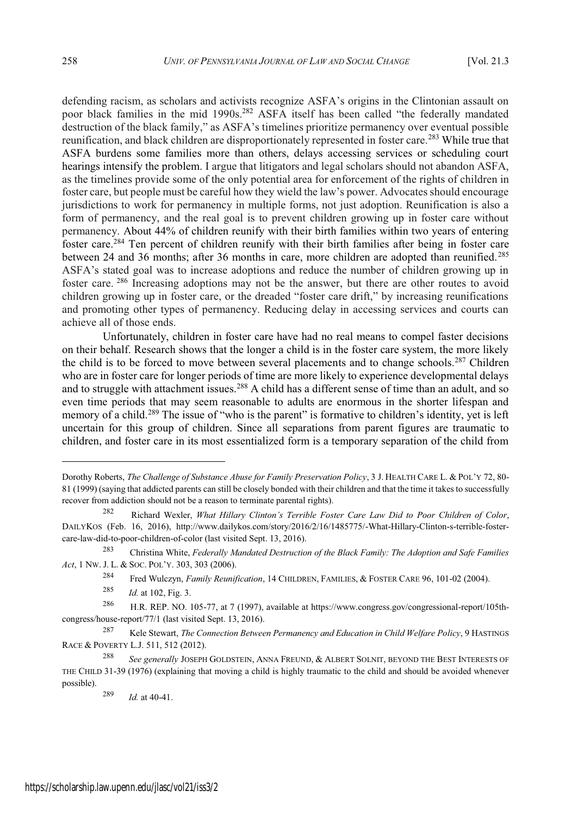defending racism, as scholars and activists recognize ASFA's origins in the Clintonian assault on poor black families in the mid 1990s.<sup>282</sup> ASFA itself has been called "the federally mandated destruction of the black family," as ASFA's timelines prioritize permanency over eventual possible reunification, and black children are disproportionately represented in foster care.<sup>283</sup> While true that ASFA burdens some families more than others, delays accessing services or scheduling court hearings intensify the problem. I argue that litigators and legal scholars should not abandon ASFA, as the timelines provide some of the only potential area for enforcement of the rights of children in foster care, but people must be careful how they wield the law's power. Advocates should encourage jurisdictions to work for permanency in multiple forms, not just adoption. Reunification is also a form of permanency, and the real goal is to prevent children growing up in foster care without permanency. About 44% of children reunify with their birth families within two years of entering foster care.<sup>284</sup> Ten percent of children reunify with their birth families after being in foster care between 24 and 36 months; after 36 months in care, more children are adopted than reunified.<sup>285</sup> ASFA's stated goal was to increase adoptions and reduce the number of children growing up in foster care. <sup>286</sup> Increasing adoptions may not be the answer, but there are other routes to avoid children growing up in foster care, or the dreaded "foster care drift," by increasing reunifications and promoting other types of permanency. Reducing delay in accessing services and courts can achieve all of those ends.

Unfortunately, children in foster care have had no real means to compel faster decisions on their behalf. Research shows that the longer a child is in the foster care system, the more likely the child is to be forced to move between several placements and to change schools.<sup>287</sup> Children who are in foster care for longer periods of time are more likely to experience developmental delays and to struggle with attachment issues.<sup>288</sup> A child has a different sense of time than an adult, and so even time periods that may seem reasonable to adults are enormous in the shorter lifespan and memory of a child.<sup>289</sup> The issue of "who is the parent" is formative to children's identity, yet is left uncertain for this group of children. Since all separations from parent figures are traumatic to children, and foster care in its most essentialized form is a temporary separation of the child from

Dorothy Roberts, *The Challenge of Substance Abuse for Family Preservation Policy*, 3 J. HEALTH CARE L. & POL'<sup>Y</sup> 72, 80- 81 (1999) (saying that addicted parents can still be closely bonded with their children and that the time it takesto successfully recover from addiction should not be a reason to terminate parental rights).

<sup>282</sup> Richard Wexler, *What Hillary Clinton's Terrible Foster Care Law Did to Poor Children of Color*, DAILYKOS (Feb. 16, 2016), http://www.dailykos.com/story/2016/2/16/1485775/-What-Hillary-Clinton-s-terrible-fostercare-law-did-to-poor-children-of-color (last visited Sept. 13, 2016).

<sup>283</sup> Christina White, *Federally Mandated Destruction of the Black Family: The Adoption and Safe Families Act*, 1 NW. J. L. & SOC. POL'Y. 303, 303 (2006).

<sup>284</sup> Fred Wulczyn, *Family Reunification*, 14 CHILDREN, FAMILIES, & FOSTER CARE 96, 101-02 (2004).

<sup>285</sup> *Id.* at 102, Fig. 3.

<sup>286</sup> H.R. REP. NO. 105-77, at 7 (1997), available at https://www.congress.gov/congressional-report/105thcongress/house-report/77/1 (last visited Sept. 13, 2016).

<sup>287</sup> Kele Stewart, *The Connection Between Permanency and Education in Child Welfare Policy*, 9 HASTINGS RACE & POVERTY L.J. 511, 512 (2012).

<sup>288</sup> *See generally* JOSEPH GOLDSTEIN, ANNA FREUND, & ALBERT SOLNIT, BEYOND THE BEST INTERESTS OF THE CHILD 31-39 (1976) (explaining that moving a child is highly traumatic to the child and should be avoided whenever possible).

<sup>289</sup> *Id.* at 40-41.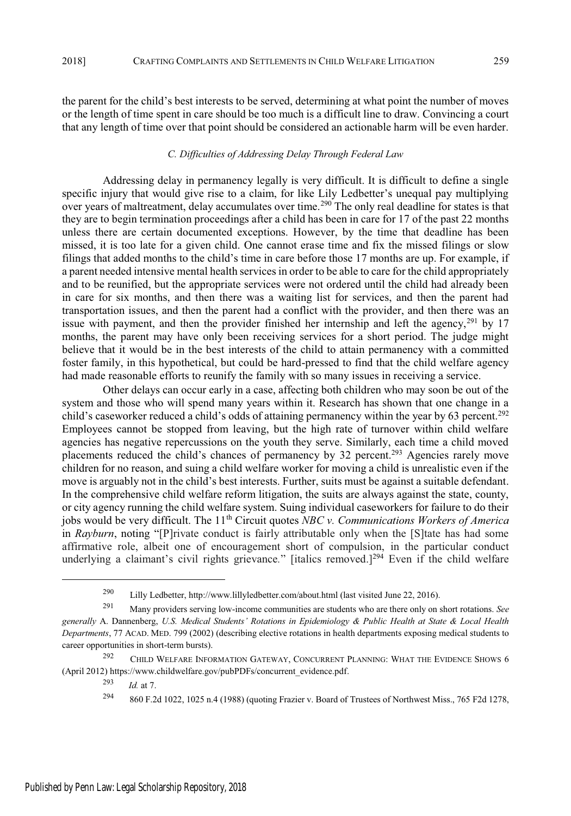the parent for the child's best interests to be served, determining at what point the number of moves or the length of time spent in care should be too much is a difficult line to draw. Convincing a court that any length of time over that point should be considered an actionable harm will be even harder.

#### *C. Difficulties of Addressing Delay Through Federal Law*

Addressing delay in permanency legally is very difficult. It is difficult to define a single specific injury that would give rise to a claim, for like Lily Ledbetter's unequal pay multiplying over years of maltreatment, delay accumulates over time.<sup>290</sup> The only real deadline for states is that they are to begin termination proceedings after a child has been in care for 17 of the past 22 months unless there are certain documented exceptions. However, by the time that deadline has been missed, it is too late for a given child. One cannot erase time and fix the missed filings or slow filings that added months to the child's time in care before those 17 months are up. For example, if a parent needed intensive mental health services in order to be able to care for the child appropriately and to be reunified, but the appropriate services were not ordered until the child had already been in care for six months, and then there was a waiting list for services, and then the parent had transportation issues, and then the parent had a conflict with the provider, and then there was an issue with payment, and then the provider finished her internship and left the agency, $291$  by 17 months, the parent may have only been receiving services for a short period. The judge might believe that it would be in the best interests of the child to attain permanency with a committed foster family, in this hypothetical, but could be hard-pressed to find that the child welfare agency had made reasonable efforts to reunify the family with so many issues in receiving a service.

Other delays can occur early in a case, affecting both children who may soon be out of the system and those who will spend many years within it. Research has shown that one change in a child's caseworker reduced a child's odds of attaining permanency within the year by 63 percent.<sup>292</sup> Employees cannot be stopped from leaving, but the high rate of turnover within child welfare agencies has negative repercussions on the youth they serve. Similarly, each time a child moved placements reduced the child's chances of permanency by 32 percent.<sup>293</sup> Agencies rarely move children for no reason, and suing a child welfare worker for moving a child is unrealistic even if the move is arguably not in the child's best interests. Further, suits must be against a suitable defendant. In the comprehensive child welfare reform litigation, the suits are always against the state, county, or city agency running the child welfare system. Suing individual caseworkers for failure to do their jobs would be very difficult. The 11th Circuit quotes *NBC v. Communications Workers of America* in *Rayburn*, noting "[P]rivate conduct is fairly attributable only when the [S]tate has had some affirmative role, albeit one of encouragement short of compulsion, in the particular conduct underlying a claimant's civil rights grievance." [italics removed.]<sup>294</sup> Even if the child welfare

<sup>290</sup> Lilly Ledbetter, http://www.lillyledbetter.com/about.html (last visited June 22, 2016).

<sup>291</sup> Many providers serving low-income communities are students who are there only on short rotations. *See generally* A. Dannenberg, *U.S. Medical Students' Rotations in Epidemiology & Public Health at State & Local Health Departments*, 77 ACAD. MED. 799 (2002) (describing elective rotations in health departments exposing medical students to career opportunities in short-term bursts).

<sup>&</sup>lt;sup>292</sup> CHILD WELFARE INFORMATION GATEWAY, CONCURRENT PLANNING: WHAT THE EVIDENCE SHOWS 6 (April 2012) https://www.childwelfare.gov/pubPDFs/concurrent\_evidence.pdf.

<sup>293</sup> *Id.* at 7.

<sup>294</sup> 860 F.2d 1022, 1025 n.4 (1988) (quoting Frazier v. Board of Trustees of Northwest Miss., 765 F2d 1278,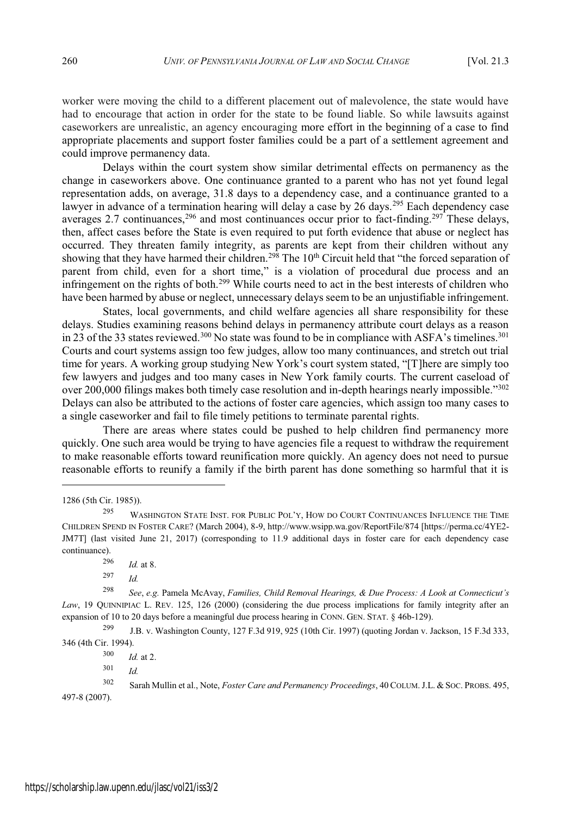worker were moving the child to a different placement out of malevolence, the state would have had to encourage that action in order for the state to be found liable. So while lawsuits against caseworkers are unrealistic, an agency encouraging more effort in the beginning of a case to find appropriate placements and support foster families could be a part of a settlement agreement and could improve permanency data.

Delays within the court system show similar detrimental effects on permanency as the change in caseworkers above. One continuance granted to a parent who has not yet found legal representation adds, on average, 31.8 days to a dependency case, and a continuance granted to a lawyer in advance of a termination hearing will delay a case by 26 days.<sup>295</sup> Each dependency case averages 2.7 continuances,  $296$  and most continuances occur prior to fact-finding.<sup>297</sup> These delays, then, affect cases before the State is even required to put forth evidence that abuse or neglect has occurred. They threaten family integrity, as parents are kept from their children without any showing that they have harmed their children.<sup>298</sup> The 10<sup>th</sup> Circuit held that "the forced separation of parent from child, even for a short time," is a violation of procedural due process and an infringement on the rights of both.<sup>299</sup> While courts need to act in the best interests of children who have been harmed by abuse or neglect, unnecessary delays seem to be an unjustifiable infringement.

States, local governments, and child welfare agencies all share responsibility for these delays. Studies examining reasons behind delays in permanency attribute court delays as a reason in 23 of the 33 states reviewed.<sup>300</sup> No state was found to be in compliance with ASFA's timelines.<sup>301</sup> Courts and court systems assign too few judges, allow too many continuances, and stretch out trial time for years. A working group studying New York's court system stated, "[T] here are simply too few lawyers and judges and too many cases in New York family courts. The current caseload of over 200,000 filings makes both timely case resolution and in-depth hearings nearly impossible."302 Delays can also be attributed to the actions of foster care agencies, which assign too many cases to a single caseworker and fail to file timely petitions to terminate parental rights.

There are areas where states could be pushed to help children find permanency more quickly. One such area would be trying to have agencies file a request to withdraw the requirement to make reasonable efforts toward reunification more quickly. An agency does not need to pursue reasonable efforts to reunify a family if the birth parent has done something so harmful that it is

<sup>1286</sup> (5th Cir. 1985)).

<sup>295</sup> WASHINGTON STATE INST. FOR PUBLIC POL'Y, HOW DO COURT CONTINUANCES INFLUENCE THE TIME CHILDREN SPEND IN FOSTER CARE? (March 2004), 8-9, http://www.wsipp.wa.gov/ReportFile/874 [https://perma.cc/4YE2- JM7T] (last visited June 21, 2017) (corresponding to 11.9 additional days in foster care for each dependency case continuance).

<sup>296</sup> *Id.* at 8.

<sup>297</sup> *Id.*

<sup>298</sup> *See*, *e.g.* Pamela McAvay, *Families, Child Removal Hearings, & Due Process: A Look at Connecticut's Law*, 19 QUINNIPIAC L. REV. 125, 126 (2000) (considering the due process implications for family integrity after an expansion of 10 to 20 days before a meaningful due process hearing in CONN. GEN. STAT. § 46b-129).

<sup>299</sup> J.B. v. Washington County, 127 F.3d 919, 925 (10th Cir. 1997) (quoting Jordan v. Jackson, 15 F.3d 333, 346 (4th Cir. 1994).

<sup>300</sup> *Id.* at 2.

<sup>301</sup> *Id.*

<sup>302</sup> Sarah Mullin et al., Note, *Foster Care and Permanency Proceedings*, 40 COLUM. J.L. & SOC. PROBS. 495, 497-8 (2007).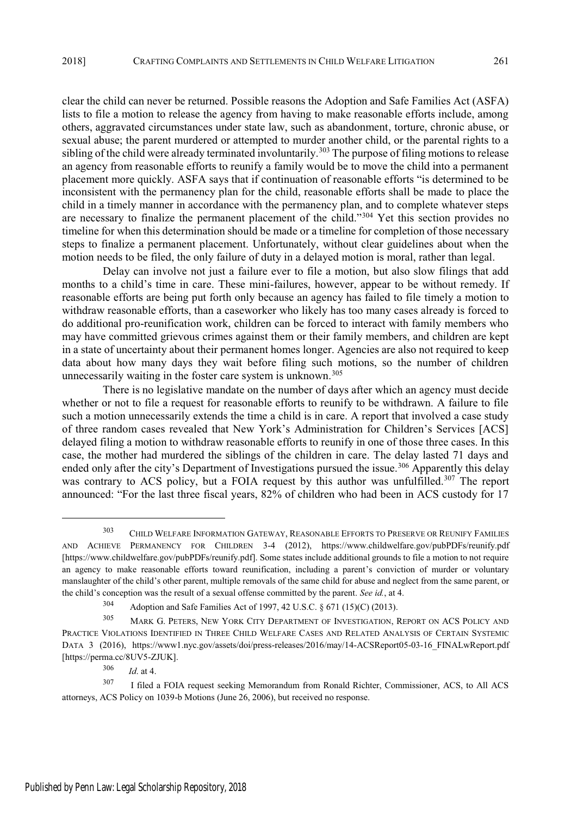clear the child can never be returned. Possible reasons the Adoption and Safe Families Act (ASFA) lists to file a motion to release the agency from having to make reasonable efforts include, among others, aggravated circumstances under state law, such as abandonment, torture, chronic abuse, or sexual abuse; the parent murdered or attempted to murder another child, or the parental rights to a sibling of the child were already terminated involuntarily.<sup>303</sup> The purpose of filing motions to release an agency from reasonable efforts to reunify a family would be to move the child into a permanent placement more quickly. ASFA says that if continuation of reasonable efforts "is determined to be inconsistent with the permanency plan for the child, reasonable efforts shall be made to place the child in a timely manner in accordance with the permanency plan, and to complete whatever steps are necessary to finalize the permanent placement of the child."<sup>304</sup> Yet this section provides no timeline for when this determination should be made or a timeline for completion of those necessary steps to finalize a permanent placement. Unfortunately, without clear guidelines about when the motion needs to be filed, the only failure of duty in a delayed motion is moral, rather than legal.

Delay can involve not just a failure ever to file a motion, but also slow filings that add months to a child's time in care. These mini-failures, however, appear to be without remedy. If reasonable efforts are being put forth only because an agency has failed to file timely a motion to withdraw reasonable efforts, than a caseworker who likely has too many cases already is forced to do additional pro-reunification work, children can be forced to interact with family members who may have committed grievous crimes against them or their family members, and children are kept in a state of uncertainty about their permanent homes longer. Agencies are also not required to keep data about how many days they wait before filing such motions, so the number of children unnecessarily waiting in the foster care system is unknown.<sup>305</sup>

There is no legislative mandate on the number of days after which an agency must decide whether or not to file a request for reasonable efforts to reunify to be withdrawn. A failure to file such a motion unnecessarily extends the time a child is in care. A report that involved a case study of three random cases revealed that New York's Administration for Children's Services [ACS] delayed filing a motion to withdraw reasonable efforts to reunify in one of those three cases. In this case, the mother had murdered the siblings of the children in care. The delay lasted 71 days and ended only after the city's Department of Investigations pursued the issue.<sup>306</sup> Apparently this delay was contrary to ACS policy, but a FOIA request by this author was unfulfilled.<sup>307</sup> The report announced: "For the last three fiscal years, 82% of children who had been in ACS custody for 17

<sup>303</sup> CHILD WELFARE INFORMATION GATEWAY, REASONABLE EFFORTS TO PRESERVE OR REUNIFY FAMILIES AND ACHIEVE PERMANENCY FOR CHILDREN 3-4 (2012), https://www.childwelfare.gov/pubPDFs/reunify.pdf [https://www.childwelfare.gov/pubPDFs/reunify.pdf]. Some states include additional grounds to file a motion to not require an agency to make reasonable efforts toward reunification, including a parent's conviction of murder or voluntary manslaughter of the child's other parent, multiple removals of the same child for abuse and neglect from the same parent, or the child's conception was the result of a sexual offense committed by the parent. *See id.*, at 4.

<sup>304</sup> Adoption and Safe Families Act of 1997, 42 U.S.C. § 671 (15)(C) (2013).

<sup>305</sup> MARK G. PETERS, NEW YORK CITY DEPARTMENT OF INVESTIGATION, REPORT ON ACS POLICY AND PRACTICE VIOLATIONS IDENTIFIED IN THREE CHILD WELFARE CASES AND RELATED ANALYSIS OF CERTAIN SYSTEMIC DATA 3 (2016), https://www1.nyc.gov/assets/doi/press-releases/2016/may/14-ACSReport05-03-16\_FINALwReport.pdf [https://perma.cc/8UV5-ZJUK].

<sup>306</sup> *Id*. at 4.

<sup>307</sup> I filed a FOIA request seeking Memorandum from Ronald Richter, Commissioner, ACS, to All ACS attorneys, ACS Policy on 1039-b Motions (June 26, 2006), but received no response.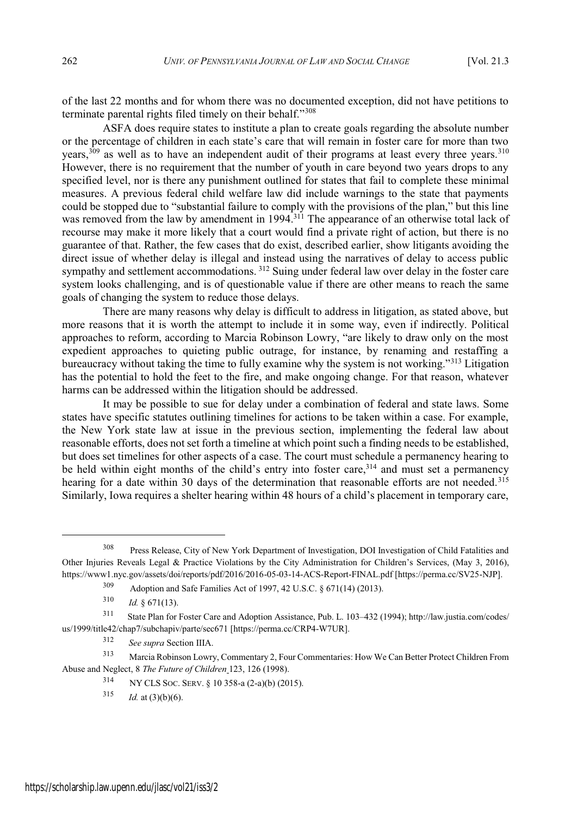of the last 22 months and for whom there was no documented exception, did not have petitions to terminate parental rights filed timely on their behalf."308

ASFA does require states to institute a plan to create goals regarding the absolute number or the percentage of children in each state's care that will remain in foster care for more than two years,<sup>309</sup> as well as to have an independent audit of their programs at least every three years.<sup>310</sup> However, there is no requirement that the number of youth in care beyond two years drops to any specified level, nor is there any punishment outlined for states that fail to complete these minimal measures. A previous federal child welfare law did include warnings to the state that payments could be stopped due to "substantial failure to comply with the provisions of the plan," but this line was removed from the law by amendment in 1994.<sup>311</sup> The appearance of an otherwise total lack of recourse may make it more likely that a court would find a private right of action, but there is no guarantee of that. Rather, the few cases that do exist, described earlier, show litigants avoiding the direct issue of whether delay is illegal and instead using the narratives of delay to access public sympathy and settlement accommodations. <sup>312</sup> Suing under federal law over delay in the foster care system looks challenging, and is of questionable value if there are other means to reach the same goals of changing the system to reduce those delays.

There are many reasons why delay is difficult to address in litigation, as stated above, but more reasons that it is worth the attempt to include it in some way, even if indirectly. Political approaches to reform, according to Marcia Robinson Lowry, "are likely to draw only on the most expedient approaches to quieting public outrage, for instance, by renaming and restaffing a bureaucracy without taking the time to fully examine why the system is not working."313 Litigation has the potential to hold the feet to the fire, and make ongoing change. For that reason, whatever harms can be addressed within the litigation should be addressed.

It may be possible to sue for delay under a combination of federal and state laws. Some states have specific statutes outlining timelines for actions to be taken within a case. For example, the New York state law at issue in the previous section, implementing the federal law about reasonable efforts, does not set forth a timeline at which point such a finding needs to be established, but does set timelines for other aspects of a case. The court must schedule a permanency hearing to be held within eight months of the child's entry into foster care, $314$  and must set a permanency hearing for a date within 30 days of the determination that reasonable efforts are not needed.<sup>315</sup> Similarly, Iowa requires a shelter hearing within 48 hours of a child's placement in temporary care,

<sup>308</sup> Press Release, City of New York Department of Investigation, DOI Investigation of Child Fatalities and Other Injuries Reveals Legal & Practice Violations by the City Administration for Children's Services, (May 3, 2016), https://www1.nyc.gov/assets/doi/reports/pdf/2016/2016-05-03-14-ACS-Report-FINAL.pdf [https://perma.cc/SV25-NJP].

<sup>309</sup> Adoption and Safe Families Act of 1997, 42 U.S.C. § 671(14) (2013).

 $310$  *Id.* § 671(13).

<sup>311</sup> State Plan for Foster Care and Adoption Assistance, Pub. L. 103-432 (1994); http://law.justia.com/codes/ us/1999/title42/chap7/subchapiv/parte/sec671 [https://perma.cc/CRP4-W7UR].

<sup>312</sup> *See supra* Section IIIA.

<sup>313</sup> Marcia Robinson Lowry, Commentary 2, Four Commentaries: How We Can Better Protect Children From Abuse and Neglect, 8 *The Future of Children* 123, 126 (1998).

<sup>314</sup> NY CLS SOC. SERV. § 10 358-a (2-a)(b) (2015).

 $315$  *Id.* at  $(3)(b)(6)$ .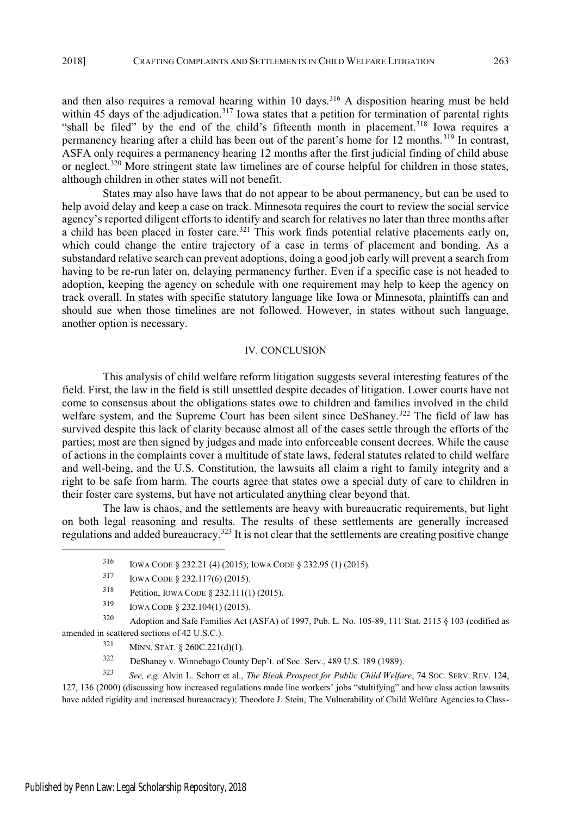and then also requires a removal hearing within 10 days.<sup>316</sup> A disposition hearing must be held within 45 days of the adjudication.<sup>317</sup> Iowa states that a petition for termination of parental rights "shall be filed" by the end of the child's fifteenth month in placement.<sup>318</sup> Iowa requires a permanency hearing after a child has been out of the parent's home for 12 months.<sup>319</sup> In contrast, ASFA only requires a permanency hearing 12 months after the first judicial finding of child abuse or neglect.<sup>320</sup> More stringent state law timelines are of course helpful for children in those states, although children in other states will not benefit.

States may also have laws that do not appear to be about permanency, but can be used to help avoid delay and keep a case on track. Minnesota requires the court to review the social service agency's reported diligent efforts to identify and search for relatives no later than three months after a child has been placed in foster care.<sup>321</sup> This work finds potential relative placements early on, which could change the entire trajectory of a case in terms of placement and bonding. As a substandard relative search can prevent adoptions, doing a good job early will prevent a search from having to be re-run later on, delaying permanency further. Even if a specific case is not headed to adoption, keeping the agency on schedule with one requirement may help to keep the agency on track overall. In states with specific statutory language like Iowa or Minnesota, plaintiffs can and should sue when those timelines are not followed. However, in states without such language, another option is necessary.

### IV. CONCLUSION

This analysis of child welfare reform litigation suggests several interesting features of the field. First, the law in the field is still unsettled despite decades of litigation. Lower courts have not come to consensus about the obligations states owe to children and families involved in the child welfare system, and the Supreme Court has been silent since DeShaney.<sup>322</sup> The field of law has survived despite this lack of clarity because almost all of the cases settle through the efforts of the parties; most are then signed by judges and made into enforceable consent decrees. While the cause of actions in the complaints cover a multitude of state laws, federal statutes related to child welfare and well-being, and the U.S. Constitution, the lawsuits all claim a right to family integrity and a right to be safe from harm. The courts agree that states owe a special duty of care to children in their foster care systems, but have not articulated anything clear beyond that.

The law is chaos, and the settlements are heavy with bureaucratic requirements, but light on both legal reasoning and results. The results of these settlements are generally increased regulations and added bureaucracy.<sup>323</sup> It is not clear that the settlements are creating positive change

<sup>323</sup> *See, e.g.* Alvin L. Schorr et al., *The Bleak Prospect for Public Child Welfare*, 74 SOC. SERV. REV. 124, 127, 136 (2000) (discussing how increased regulations made line workers' jobs "stultifying" and how class action lawsuits have added rigidity and increased bureaucracy); Theodore J. Stein, The Vulnerability of Child Welfare Agencies to Class-

<sup>316</sup> IOWA CODE § 232.21 (4) (2015); IOWA CODE § 232.95 (1) (2015).

<sup>317</sup> IOWA CODE § 232.117(6) (2015).

<sup>318</sup> Petition, IOWA CODE § 232.111(1) (2015).

<sup>319</sup> IOWA CODE § 232.104(1) (2015).

<sup>320</sup> Adoption and Safe Families Act (ASFA) of 1997, Pub. L. No. 105-89, 111 Stat. 2115 § 103 (codified as amended in scattered sections of 42 U.S.C.).

 $321$  MINN. STAT. § 260C.221(d)(1).

<sup>322</sup> DeShaney v. Winnebago County Dep't. of Soc. Serv., 489 U.S. 189 (1989).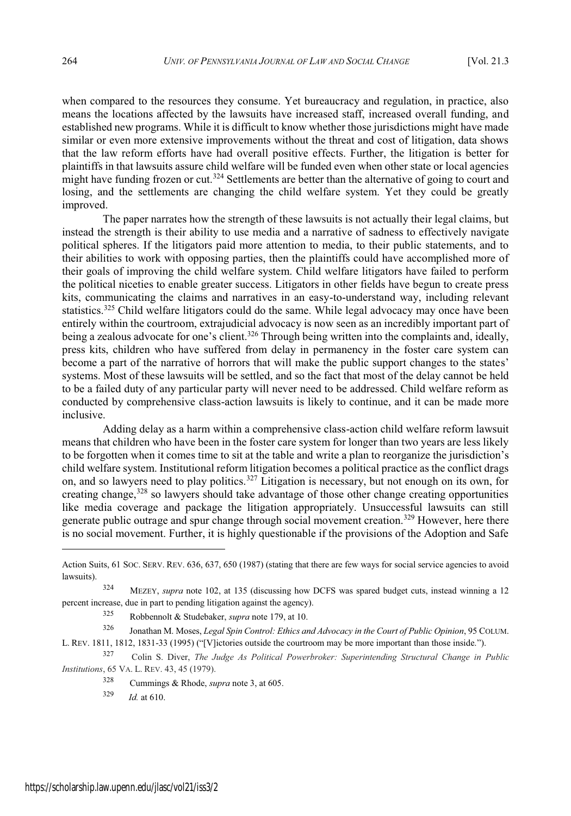when compared to the resources they consume. Yet bureaucracy and regulation, in practice, also means the locations affected by the lawsuits have increased staff, increased overall funding, and established new programs. While it is difficult to know whether those jurisdictions might have made similar or even more extensive improvements without the threat and cost of litigation, data shows that the law reform efforts have had overall positive effects. Further, the litigation is better for plaintiffs in that lawsuits assure child welfare will be funded even when other state or local agencies might have funding frozen or cut.<sup>324</sup> Settlements are better than the alternative of going to court and losing, and the settlements are changing the child welfare system. Yet they could be greatly improved.

The paper narrates how the strength of these lawsuits is not actually their legal claims, but instead the strength is their ability to use media and a narrative of sadness to effectively navigate political spheres. If the litigators paid more attention to media, to their public statements, and to their abilities to work with opposing parties, then the plaintiffs could have accomplished more of their goals of improving the child welfare system. Child welfare litigators have failed to perform the political niceties to enable greater success. Litigators in other fields have begun to create press kits, communicating the claims and narratives in an easy-to-understand way, including relevant statistics.<sup>325</sup> Child welfare litigators could do the same. While legal advocacy may once have been entirely within the courtroom, extrajudicial advocacy is now seen as an incredibly important part of being a zealous advocate for one's client.<sup>326</sup> Through being written into the complaints and, ideally, press kits, children who have suffered from delay in permanency in the foster care system can become a part of the narrative of horrors that will make the public support changes to the states' systems. Most of these lawsuits will be settled, and so the fact that most of the delay cannot be held to be a failed duty of any particular party will never need to be addressed. Child welfare reform as conducted by comprehensive class-action lawsuits is likely to continue, and it can be made more inclusive.

Adding delay as a harm within a comprehensive class-action child welfare reform lawsuit means that children who have been in the foster care system for longer than two years are less likely to be forgotten when it comes time to sit at the table and write a plan to reorganize the jurisdiction's child welfare system. Institutional reform litigation becomes a political practice as the conflict drags on, and so lawyers need to play politics.<sup>327</sup> Litigation is necessary, but not enough on its own, for creating change,<sup>328</sup> so lawyers should take advantage of those other change creating opportunities like media coverage and package the litigation appropriately. Unsuccessful lawsuits can still generate public outrage and spur change through social movement creation.<sup>329</sup> However, here there is no social movement. Further, it is highly questionable if the provisions of the Adoption and Safe

<sup>325</sup> Robbennolt & Studebaker, *supra* note 179, at 10.

<sup>329</sup> *Id.* at 610.

Action Suits, 61 SOC. SERV. REV. 636, 637, 650 (1987) (stating that there are few ways for social service agencies to avoid lawsuits).

<sup>324</sup> MEZEY, *supra* note 102, at 135 (discussing how DCFS was spared budget cuts, instead winning a 12 percent increase, due in part to pending litigation against the agency).

<sup>326</sup> Jonathan M. Moses, *Legal Spin Control: Ethics and Advocacy in the Court of Public Opinion*, 95 COLUM. L. REV. 1811, 1812, 1831-33 (1995) ("[V]ictories outside the courtroom may be more important than those inside.").

<sup>327</sup> Colin S. Diver, *The Judge As Political Powerbroker: Superintending Structural Change in Public Institutions*, 65 VA. L. REV. 43, 45 (1979).

<sup>328</sup> Cummings & Rhode, *supra* note 3, at 605.